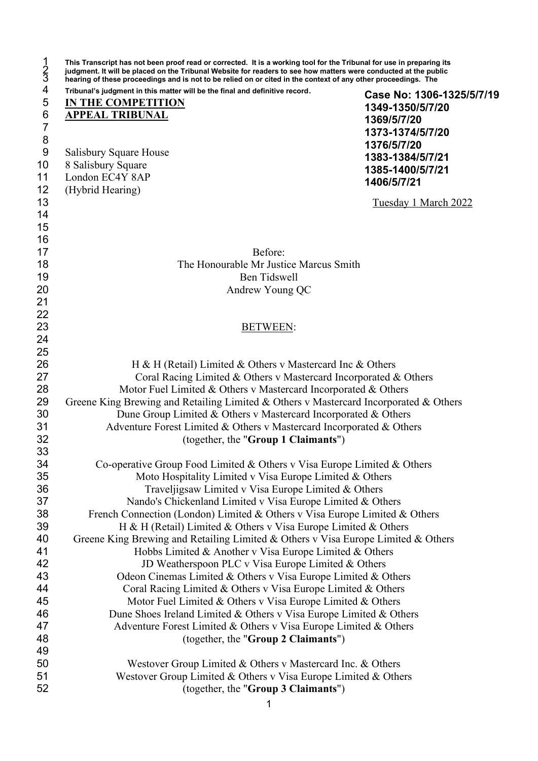| Tribunal's judgment in this matter will be the final and definitive record.                                 |                                                     |
|-------------------------------------------------------------------------------------------------------------|-----------------------------------------------------|
| IN THE COMPETITION                                                                                          | Case No: 1306-1325/5/7/19                           |
| <b>APPEAL TRIBUNAL</b>                                                                                      | 1349-1350/5/7/20<br>1369/5/7/20<br>1373-1374/5/7/20 |
| Salisbury Square House<br>8 Salisbury Square                                                                | 1376/5/7/20<br>1383-1384/5/7/21<br>1385-1400/5/7/21 |
| London EC4Y 8AP                                                                                             | 1406/5/7/21                                         |
| (Hybrid Hearing)                                                                                            | Tuesday 1 March 2022                                |
|                                                                                                             |                                                     |
|                                                                                                             |                                                     |
|                                                                                                             |                                                     |
| Before:<br>The Honourable Mr Justice Marcus Smith                                                           |                                                     |
| <b>Ben Tidswell</b>                                                                                         |                                                     |
| Andrew Young QC                                                                                             |                                                     |
|                                                                                                             |                                                     |
|                                                                                                             |                                                     |
| <b>BETWEEN:</b>                                                                                             |                                                     |
|                                                                                                             |                                                     |
|                                                                                                             |                                                     |
| H & H (Retail) Limited & Others v Mastercard Inc & Others                                                   |                                                     |
| Coral Racing Limited & Others v Mastercard Incorporated & Others                                            |                                                     |
| Motor Fuel Limited & Others v Mastercard Incorporated & Others                                              |                                                     |
| Greene King Brewing and Retailing Limited & Others v Mastercard Incorporated & Others                       |                                                     |
| Dune Group Limited & Others v Mastercard Incorporated & Others                                              |                                                     |
| Adventure Forest Limited & Others v Mastercard Incorporated & Others<br>(together, the "Group 1 Claimants") |                                                     |
|                                                                                                             |                                                     |
| Co-operative Group Food Limited & Others v Visa Europe Limited & Others                                     |                                                     |
| Moto Hospitality Limited v Visa Europe Limited & Others                                                     |                                                     |
| Traveljigsaw Limited v Visa Europe Limited & Others                                                         |                                                     |
| Nando's Chickenland Limited v Visa Europe Limited & Others                                                  |                                                     |
| French Connection (London) Limited & Others v Visa Europe Limited & Others                                  |                                                     |
| H & H (Retail) Limited & Others v Visa Europe Limited & Others                                              |                                                     |
| Greene King Brewing and Retailing Limited & Others v Visa Europe Limited & Others                           |                                                     |
| Hobbs Limited & Another v Visa Europe Limited & Others                                                      |                                                     |
| JD Weatherspoon PLC v Visa Europe Limited & Others                                                          |                                                     |
| Odeon Cinemas Limited & Others v Visa Europe Limited & Others                                               |                                                     |
| Coral Racing Limited & Others v Visa Europe Limited & Others                                                |                                                     |
| Motor Fuel Limited & Others v Visa Europe Limited & Others                                                  |                                                     |
| Dune Shoes Ireland Limited & Others v Visa Europe Limited & Others                                          |                                                     |
| Adventure Forest Limited & Others v Visa Europe Limited & Others                                            |                                                     |
| (together, the "Group 2 Claimants")                                                                         |                                                     |
| Westover Group Limited & Others v Mastercard Inc. & Others                                                  |                                                     |
| Westover Group Limited & Others v Visa Europe Limited & Others                                              |                                                     |
|                                                                                                             |                                                     |
| (together, the "Group 3 Claimants")                                                                         |                                                     |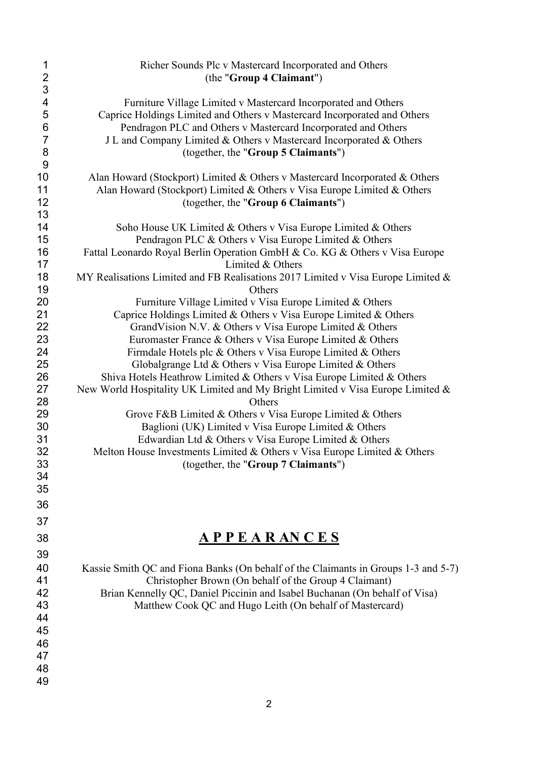| 1                       | Richer Sounds Plc v Mastercard Incorporated and Others                                          |
|-------------------------|-------------------------------------------------------------------------------------------------|
| $\overline{\mathbf{c}}$ | (the "Group 4 Claimant")                                                                        |
| 3                       |                                                                                                 |
| $\overline{\mathbf{4}}$ | Furniture Village Limited v Mastercard Incorporated and Others                                  |
| 5                       | Caprice Holdings Limited and Others v Mastercard Incorporated and Others                        |
| 6                       | Pendragon PLC and Others v Mastercard Incorporated and Others                                   |
| $\overline{7}$          | J L and Company Limited & Others v Mastercard Incorporated & Others                             |
| 8                       | (together, the "Group 5 Claimants")                                                             |
| 9                       |                                                                                                 |
| 10                      | Alan Howard (Stockport) Limited & Others v Mastercard Incorporated & Others                     |
| 11                      | Alan Howard (Stockport) Limited & Others v Visa Europe Limited & Others                         |
| 12                      | (together, the "Group 6 Claimants")                                                             |
| 13<br>14                |                                                                                                 |
| 15                      | Soho House UK Limited & Others v Visa Europe Limited & Others                                   |
|                         | Pendragon PLC & Others v Visa Europe Limited & Others                                           |
| 16<br>17                | Fattal Leonardo Royal Berlin Operation GmbH & Co. KG & Others v Visa Europe<br>Limited & Others |
| 18<br>19                | MY Realisations Limited and FB Realisations 2017 Limited v Visa Europe Limited &<br>Others      |
| 20                      | Furniture Village Limited v Visa Europe Limited & Others                                        |
| 21                      | Caprice Holdings Limited & Others v Visa Europe Limited & Others                                |
| 22                      | GrandVision N.V. & Others v Visa Europe Limited & Others                                        |
| 23                      | Euromaster France & Others v Visa Europe Limited & Others                                       |
| 24                      | Firmdale Hotels plc & Others v Visa Europe Limited & Others                                     |
| 25                      | Globalgrange Ltd & Others v Visa Europe Limited & Others                                        |
| 26                      | Shiva Hotels Heathrow Limited & Others v Visa Europe Limited & Others                           |
| 27                      | New World Hospitality UK Limited and My Bright Limited v Visa Europe Limited &                  |
| 28                      | Others                                                                                          |
| 29                      | Grove F&B Limited & Others v Visa Europe Limited & Others                                       |
| 30                      | Baglioni (UK) Limited v Visa Europe Limited & Others                                            |
| 31                      | Edwardian Ltd & Others v Visa Europe Limited & Others                                           |
| 32                      | Melton House Investments Limited & Others v Visa Europe Limited & Others                        |
| 33                      | (together, the "Group 7 Claimants")                                                             |
| 34                      |                                                                                                 |
| 35                      |                                                                                                 |
| 36                      |                                                                                                 |
| 37                      |                                                                                                 |
|                         |                                                                                                 |
| 38                      | <u>APPEARANCES</u>                                                                              |
| 39                      |                                                                                                 |
| 40                      | Kassie Smith QC and Fiona Banks (On behalf of the Claimants in Groups 1-3 and 5-7)              |
| 41                      | Christopher Brown (On behalf of the Group 4 Claimant)                                           |
| 42                      | Brian Kennelly QC, Daniel Piccinin and Isabel Buchanan (On behalf of Visa)                      |
| 43                      | Matthew Cook QC and Hugo Leith (On behalf of Mastercard)                                        |
| 44                      |                                                                                                 |
| 45                      |                                                                                                 |
| 46                      |                                                                                                 |
| 47                      |                                                                                                 |
| 48                      |                                                                                                 |
| 49                      |                                                                                                 |
|                         |                                                                                                 |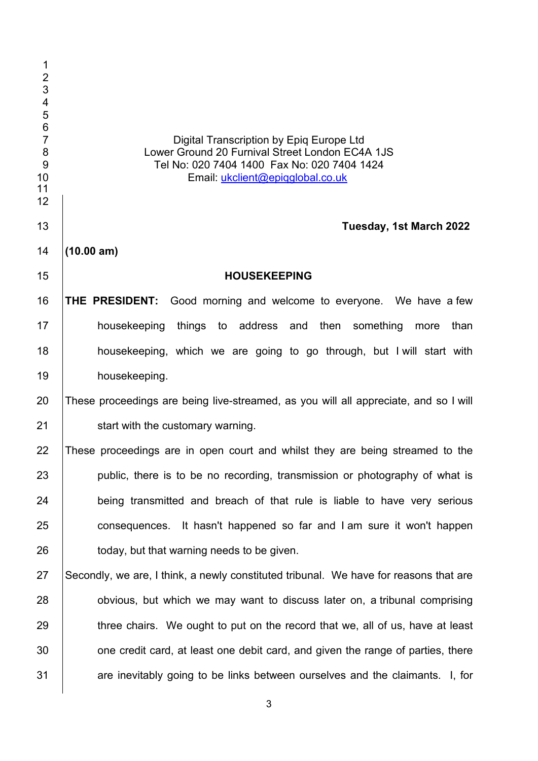| $\mathbf 1$<br>$\overline{c}$<br>34567<br>8<br>$\overline{9}$<br>10<br>11<br>12 | Digital Transcription by Epiq Europe Ltd<br>Lower Ground 20 Furnival Street London EC4A 1JS<br>Tel No: 020 7404 1400 Fax No: 020 7404 1424<br>Email: ukclient@epiqglobal.co.uk |
|---------------------------------------------------------------------------------|--------------------------------------------------------------------------------------------------------------------------------------------------------------------------------|
| 13                                                                              | Tuesday, 1st March 2022                                                                                                                                                        |
| 14                                                                              | (10.00 am)                                                                                                                                                                     |
| 15                                                                              | <b>HOUSEKEEPING</b>                                                                                                                                                            |
| 16                                                                              | THE PRESIDENT: Good morning and welcome to everyone. We have a few                                                                                                             |
| 17                                                                              | housekeeping<br>things to address and then something<br>than<br>more                                                                                                           |
| 18                                                                              | housekeeping, which we are going to go through, but I will start with                                                                                                          |
| 19                                                                              | housekeeping.                                                                                                                                                                  |
| 20                                                                              | These proceedings are being live-streamed, as you will all appreciate, and so I will                                                                                           |
| 21                                                                              | start with the customary warning.                                                                                                                                              |
| 22                                                                              | These proceedings are in open court and whilst they are being streamed to the                                                                                                  |
| 23                                                                              | public, there is to be no recording, transmission or photography of what is                                                                                                    |
| 24                                                                              | being transmitted and breach of that rule is liable to have very serious                                                                                                       |
| 25                                                                              | consequences. It hasn't happened so far and I am sure it won't happen                                                                                                          |
| 26                                                                              | today, but that warning needs to be given.                                                                                                                                     |
| 27                                                                              | Secondly, we are, I think, a newly constituted tribunal. We have for reasons that are                                                                                          |
| 28                                                                              | obvious, but which we may want to discuss later on, a tribunal comprising                                                                                                      |
| 29                                                                              | three chairs. We ought to put on the record that we, all of us, have at least                                                                                                  |
| 30                                                                              | one credit card, at least one debit card, and given the range of parties, there                                                                                                |
| 31                                                                              | are inevitably going to be links between ourselves and the claimants. I, for                                                                                                   |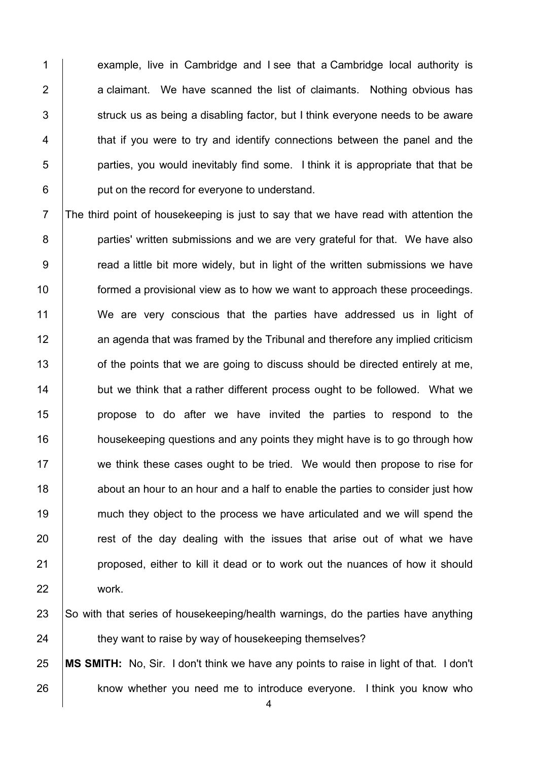1 example, live in Cambridge and I see that a Cambridge local authority is a claimant. We have scanned the list of claimants. Nothing obvious has struck us as being a disabling factor, but I think everyone needs to be aware 4 T that if you were to try and identify connections between the panel and the | parties, you would inevitably find some. I think it is appropriate that that be **put on the record for everyone to understand.** 

 The third point of housekeeping is just to say that we have read with attention the **parties' written submissions and we are very grateful for that. We have also 9** read a little bit more widely, but in light of the written submissions we have **formed a provisional view as to how we want to approach these proceedings.**  We are very conscious that the parties have addressed us in light of 12 an agenda that was framed by the Tribunal and therefore any implied criticism **find** of the points that we are going to discuss should be directed entirely at me, **but we think that a rather different process ought to be followed. What we**  propose to do after we have invited the parties to respond to the **housekeeping questions and any points they might have is to go through how** 17 we think these cases ought to be tried. We would then propose to rise for 18 about an hour to an hour and a half to enable the parties to consider just how 19 much they object to the process we have articulated and we will spend the **Fig.** rest of the day dealing with the issues that arise out of what we have **proposed, either to kill it dead or to work out the nuances of how it should** work.

23 So with that series of housekeeping/health warnings, do the parties have anything **they want to raise by way of housekeeping themselves?** 

 **MS SMITH:** No, Sir. I don't think we have any points to raise in light of that. I don't **know whether you need me to introduce everyone.** I think you know who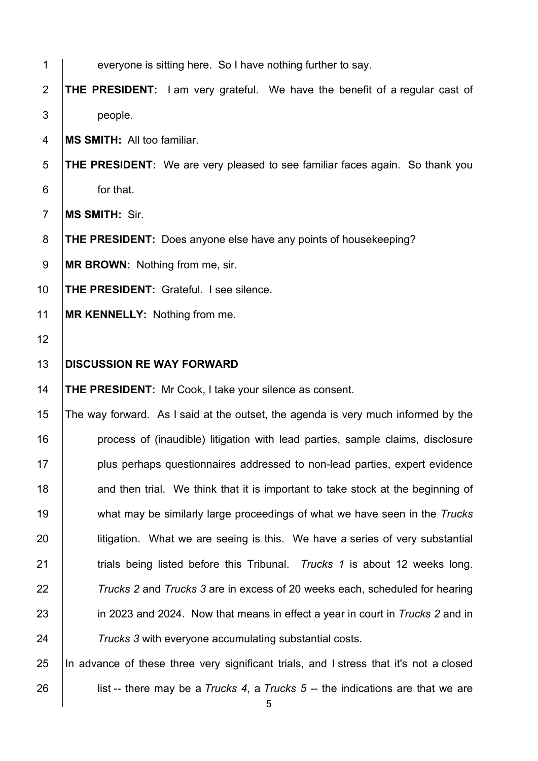| 1              | everyone is sitting here. So I have nothing further to say.                            |
|----------------|----------------------------------------------------------------------------------------|
| $\overline{2}$ | <b>THE PRESIDENT:</b> I am very grateful. We have the benefit of a regular cast of     |
| 3              | people.                                                                                |
| 4              | <b>MS SMITH: All too familiar.</b>                                                     |
| 5              | <b>THE PRESIDENT:</b> We are very pleased to see familiar faces again. So thank you    |
| 6              | for that.                                                                              |
| $\overline{7}$ | MS SMITH: Sir.                                                                         |
| 8              | <b>THE PRESIDENT:</b> Does anyone else have any points of housekeeping?                |
| $9\,$          | <b>MR BROWN:</b> Nothing from me, sir.                                                 |
| 10             | <b>THE PRESIDENT: Grateful. I see silence.</b>                                         |
| 11             | MR KENNELLY: Nothing from me.                                                          |
| 12             |                                                                                        |
| 13             | <b>DISCUSSION RE WAY FORWARD</b>                                                       |
| 14             | <b>THE PRESIDENT:</b> Mr Cook, I take your silence as consent.                         |
| 15             | The way forward. As I said at the outset, the agenda is very much informed by the      |
| 16             | process of (inaudible) litigation with lead parties, sample claims, disclosure         |
| 17             | plus perhaps questionnaires addressed to non-lead parties, expert evidence             |
| 18             | and then trial. We think that it is important to take stock at the beginning of        |
| 19             | what may be similarly large proceedings of what we have seen in the Trucks             |
| 20             | litigation. What we are seeing is this. We have a series of very substantial           |
| 21             | trials being listed before this Tribunal. Trucks 1 is about 12 weeks long.             |
| 22             | Trucks 2 and Trucks 3 are in excess of 20 weeks each, scheduled for hearing            |
| 23             | in 2023 and 2024. Now that means in effect a year in court in Trucks 2 and in          |
| 24             | Trucks 3 with everyone accumulating substantial costs.                                 |
| 25             | In advance of these three very significant trials, and I stress that it's not a closed |
| 26             | list -- there may be a Trucks 4, a Trucks $5 -$ the indications are that we are        |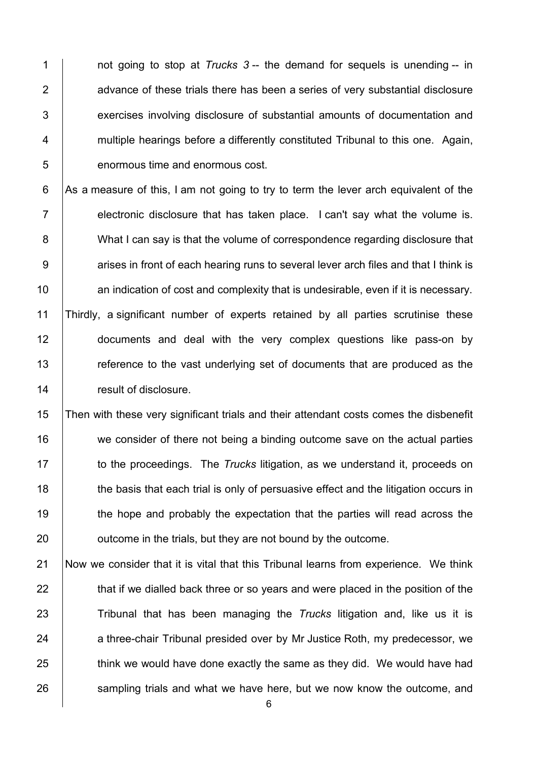not going to stop at *Trucks 3* -- the demand for sequels is unending -- in 2 advance of these trials there has been a series of very substantial disclosure **Exercises involving disclosure of substantial amounts of documentation and Fig. 2** multiple hearings before a differently constituted Tribunal to this one. Again, **b** enormous time and enormous cost.

 As a measure of this, I am not going to try to term the lever arch equivalent of the  $\parallel$  electronic disclosure that has taken place. I can't say what the volume is. 8 What I can say is that the volume of correspondence regarding disclosure that 9 <br>9 arises in front of each hearing runs to several lever arch files and that I think is **an** indication of cost and complexity that is undesirable, even if it is necessary. Thirdly, a significant number of experts retained by all parties scrutinise these **documents** and deal with the very complex questions like pass-on by 13 Terreference to the vast underlying set of documents that are produced as the **Figure** result of disclosure.

15 Then with these very significant trials and their attendant costs comes the disbenefit 16 we consider of there not being a binding outcome save on the actual parties 17 to the proceedings. The *Trucks* litigation, as we understand it, proceeds on 18 the basis that each trial is only of persuasive effect and the litigation occurs in 19 the hope and probably the expectation that the parties will read across the 20 **outcome in the trials, but they are not bound by the outcome.** 

21 Now we consider that it is vital that this Tribunal learns from experience. We think 22 that if we dialled back three or so years and were placed in the position of the 23 Tribunal that has been managing the *Trucks* litigation and, like us it is 24 a three-chair Tribunal presided over by Mr Justice Roth, my predecessor, we  $25$   $\parallel$  think we would have done exactly the same as they did. We would have had 26 sampling trials and what we have here, but we now know the outcome, and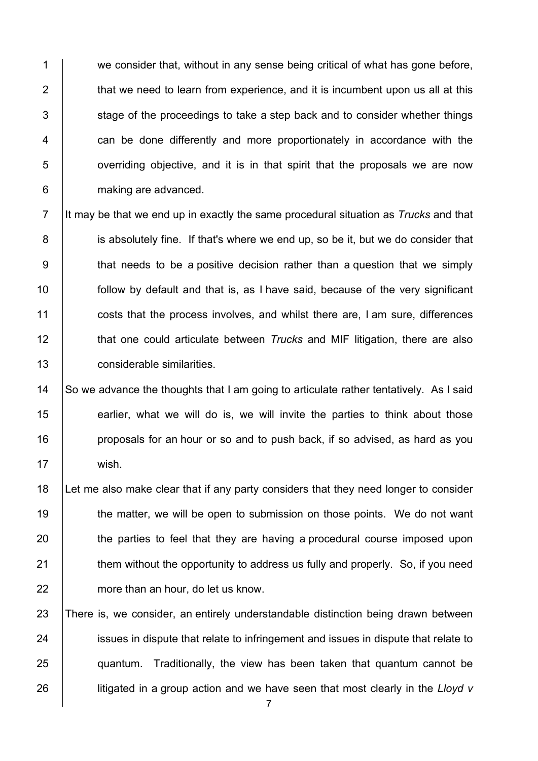1 we consider that, without in any sense being critical of what has gone before,  $\parallel$  that we need to learn from experience, and it is incumbent upon us all at this stage of the proceedings to take a step back and to consider whether things **can be done differently and more proportionately in accordance with the**   $\vert$  overriding objective, and it is in that spirit that the proposals we are now 6 making are advanced.

 It may be that we end up in exactly the same procedural situation as *Trucks* and that 8 is absolutely fine. If that's where we end up, so be it, but we do consider that 9 that needs to be a positive decision rather than a question that we simply **follow** by default and that is, as I have said, because of the very significant **costs that the process involves, and whilst there are, I am sure, differences that one could articulate between** *Trucks* and MIF litigation, there are also considerable similarities.

## 14 So we advance the thoughts that I am going to articulate rather tentatively. As I said 15 earlier, what we will do is, we will invite the parties to think about those 16 **proposals for an hour or so and to push back, if so advised, as hard as you** 17 | wish.

18 Let me also make clear that if any party considers that they need longer to consider 19 the matter, we will be open to submission on those points. We do not want 20 the parties to feel that they are having a procedural course imposed upon 21 **them without the opportunity to address us fully and properly.** So, if you need 22 more than an hour, do let us know.

 There is, we consider, an entirely understandable distinction being drawn between 24 issues in dispute that relate to infringement and issues in dispute that relate to quantum. Traditionally, the view has been taken that quantum cannot be **litigated in a group action and we have seen that most clearly in the** *Lloyd v*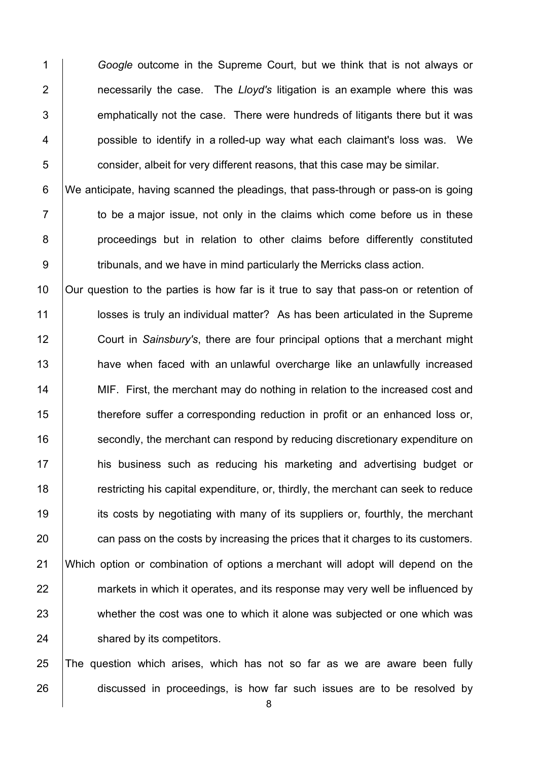*Google* outcome in the Supreme Court, but we think that is not always or necessarily the case. The *Lloyd's* litigation is an example where this was **Example 1** emphatically not the case. There were hundreds of litigants there but it was 4 | possible to identify in a rolled-up way what each claimant's loss was. We  $\Box$  consider, albeit for very different reasons, that this case may be similar.

 We anticipate, having scanned the pleadings, that pass-through or pass-on is going  $\vert$  to be a major issue, not only in the claims which come before us in these 8 | proceedings but in relation to other claims before differently constituted 9 | tribunals, and we have in mind particularly the Merricks class action.

10 | Our question to the parties is how far is it true to say that pass-on or retention of **I** losses is truly an individual matter? As has been articulated in the Supreme Court in *Sainsbury's*, there are four principal options that a merchant might **have when faced with an unlawful overcharge like an unlawfully increased** 14 MIF. First, the merchant may do nothing in relation to the increased cost and **therefore suffer a corresponding reduction in profit or an enhanced loss or, Secondly, the merchant can respond by reducing discretionary expenditure on his business such as reducing his marketing and advertising budget or Fig. 7** restricting his capital expenditure, or, thirdly, the merchant can seek to reduce 19 its costs by negotiating with many of its suppliers or, fourthly, the merchant 20 can pass on the costs by increasing the prices that it charges to its customers. Which option or combination of options a merchant will adopt will depend on the 22 markets in which it operates, and its response may very well be influenced by 23 whether the cost was one to which it alone was subjected or one which was **Shared by its competitors.** 

 The question which arises, which has not so far as we are aware been fully 26 discussed in proceedings, is how far such issues are to be resolved by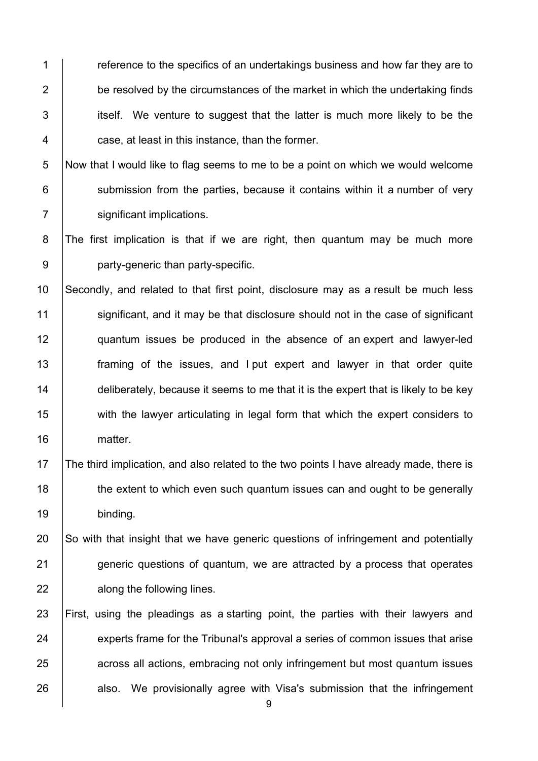**Fig. 2** reference to the specifics of an undertakings business and how far they are to 2 be resolved by the circumstances of the market in which the undertaking finds itself. We venture to suggest that the latter is much more likely to be the **case, at least in this instance, than the former.** 

5 Now that I would like to flag seems to me to be a point on which we would welcome  $6$  submission from the parties, because it contains within it a number of very 7 significant implications.

8 The first implication is that if we are right, then quantum may be much more 9 **party-generic than party-specific.** 

10 Secondly, and related to that first point, disclosure may as a result be much less 11 significant, and it may be that disclosure should not in the case of significant 12 quantum issues be produced in the absence of an expert and lawyer-led 13 **framing of the issues, and I put expert and lawyer in that order quite** 14  $\parallel$  deliberately, because it seems to me that it is the expert that is likely to be key 15 with the lawyer articulating in legal form that which the expert considers to 16 | matter.

17 The third implication, and also related to the two points I have already made, there is 18 the extent to which even such quantum issues can and ought to be generally 19 binding.

20 So with that insight that we have generic questions of infringement and potentially 21 **generic questions of quantum, we are attracted by a process that operates** 22 **All Exercise 22 along the following lines.** 

23 First, using the pleadings as a starting point, the parties with their lawyers and 24 experts frame for the Tribunal's approval a series of common issues that arise 25 across all actions, embracing not only infringement but most quantum issues 26 also. We provisionally agree with Visa's submission that the infringement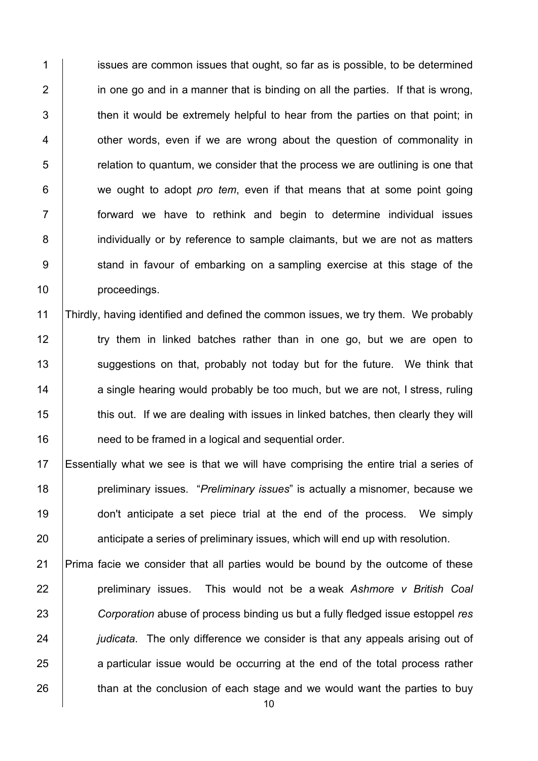1 issues are common issues that ought, so far as is possible, to be determined 2 in one go and in a manner that is binding on all the parties. If that is wrong,  $\parallel$  then it would be extremely helpful to hear from the parties on that point; in **1** other words, even if we are wrong about the question of commonality in relation to quantum, we consider that the process we are outlining is one that we ought to adopt *pro tem*, even if that means that at some point going forward we have to rethink and begin to determine individual issues 8 individually or by reference to sample claimants, but we are not as matters 9 Stand in favour of embarking on a sampling exercise at this stage of the **proceedings**.

 Thirdly, having identified and defined the common issues, we try them. We probably 12 try them in linked batches rather than in one go, but we are open to 13 | suggestions on that, probably not today but for the future. We think that 14 a single hearing would probably be too much, but we are not, I stress, ruling 15 this out. If we are dealing with issues in linked batches, then clearly they will **need to be framed in a logical and sequential order.** 

 Essentially what we see is that we will have comprising the entire trial a series of preliminary issues. "*Preliminary issues*" is actually a misnomer, because we **don't anticipate a set piece trial at the end of the process.** We simply **And Studing anticipate a series of preliminary issues, which will end up with resolution.** 

 Prima facie we consider that all parties would be bound by the outcome of these **preliminary issues.** This would not be a weak *Ashmore v British Coal Corporation* abuse of process binding us but a fully fledged issue estoppel *res judicata*. The only difference we consider is that any appeals arising out of 25 a particular issue would be occurring at the end of the total process rather 26 than at the conclusion of each stage and we would want the parties to buy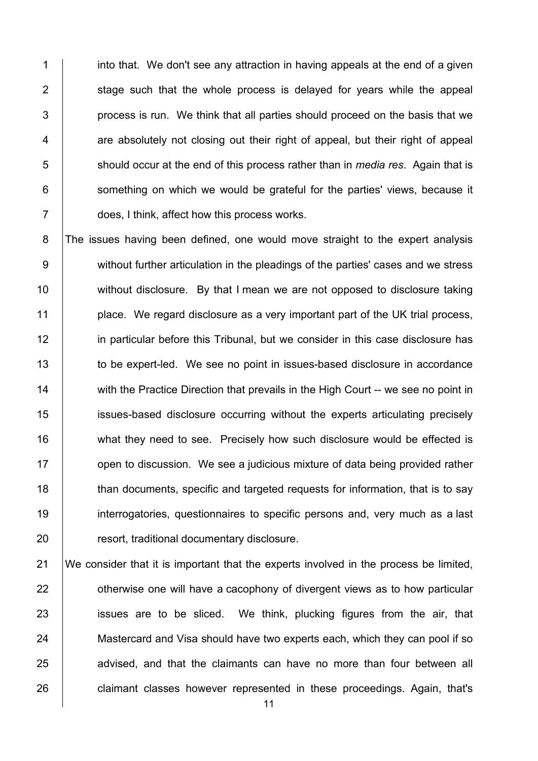1 into that. We don't see any attraction in having appeals at the end of a given stage such that the whole process is delayed for years while the appeal | process is run. We think that all parties should proceed on the basis that we  $\vert$  are absolutely not closing out their right of appeal, but their right of appeal 5 should occur at the end of this process rather than in *media res*. Again that is something on which we would be grateful for the parties' views, because it does, I think, affect how this process works.

8 The issues having been defined, one would move straight to the expert analysis 9 without further articulation in the pleadings of the parties' cases and we stress 10 without disclosure. By that I mean we are not opposed to disclosure taking 11 **place.** We regard disclosure as a very important part of the UK trial process, 12 **in particular before this Tribunal, but we consider in this case disclosure has** 13 to be expert-led. We see no point in issues-based disclosure in accordance 14 With the Practice Direction that prevails in the High Court -- we see no point in 15 issues-based disclosure occurring without the experts articulating precisely 16 what they need to see. Precisely how such disclosure would be effected is 17 **Fig.** open to discussion. We see a judicious mixture of data being provided rather 18 than documents, specific and targeted requests for information, that is to say 19 interrogatories, questionnaires to specific persons and, very much as a last 20 **Fig. 20** resort, traditional documentary disclosure.

 We consider that it is important that the experts involved in the process be limited, **Fig.** otherwise one will have a cacophony of divergent views as to how particular **i** issues are to be sliced. We think, plucking figures from the air, that 24 Mastercard and Visa should have two experts each, which they can pool if so 25 advised, and that the claimants can have no more than four between all **claimant classes however represented in these proceedings. Again, that's**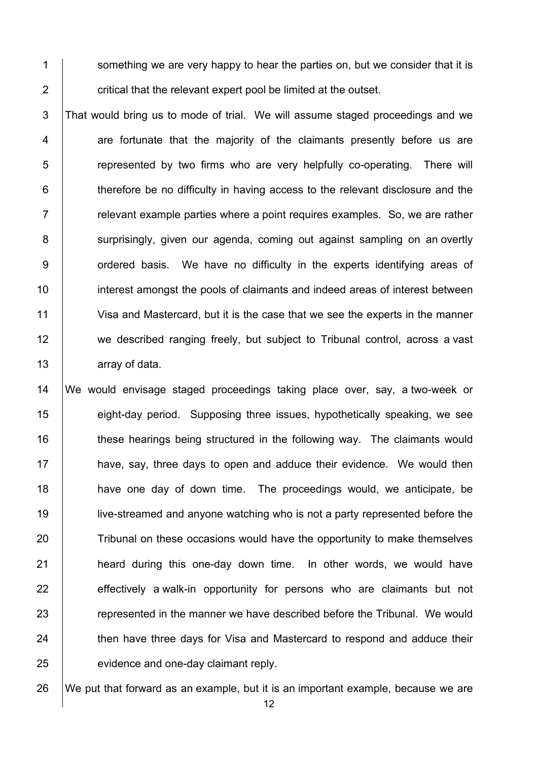1 Something we are very happy to hear the parties on, but we consider that it is  $2 \mid$  critical that the relevant expert pool be limited at the outset.

 That would bring us to mode of trial. We will assume staged proceedings and we 4 are fortunate that the majority of the claimants presently before us are **Fig.** Fepresented by two firms who are very helpfully co-operating. There will  $\parallel$  therefore be no difficulty in having access to the relevant disclosure and the  $\parallel$  relevant example parties where a point requires examples. So, we are rather 8 | surprisingly, given our agenda, coming out against sampling on an overtly 9 | ordered basis. We have no difficulty in the experts identifying areas of **interest amongst the pools of claimants and indeed areas of interest between**  Visa and Mastercard, but it is the case that we see the experts in the manner 12 we described ranging freely, but subject to Tribunal control, across a vast **array of data.** 

 We would envisage staged proceedings taking place over, say, a two-week or **eight-day period.** Supposing three issues, hypothetically speaking, we see 16 these hearings being structured in the following way. The claimants would **have, say, three days to open and adduce their evidence.** We would then **have one day of down time.** The proceedings would, we anticipate, be live-streamed and anyone watching who is not a party represented before the 20 Tribunal on these occasions would have the opportunity to make themselves **heard during this one-day down time.** In other words, we would have 22 effectively a walk-in opportunity for persons who are claimants but not **Fig. 23 represented in the manner we have described before the Tribunal. We would** 24 then have three days for Visa and Mastercard to respond and adduce their **evidence and one-day claimant reply.** 

We put that forward as an example, but it is an important example, because we are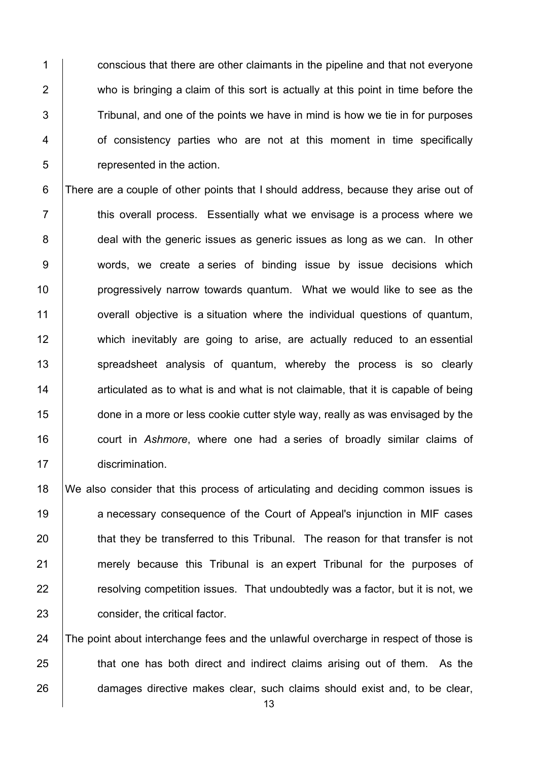1 conscious that there are other claimants in the pipeline and that not everyone 2 who is bringing a claim of this sort is actually at this point in time before the  $3$  Tribunal, and one of the points we have in mind is how we tie in for purposes 4 | of consistency parties who are not at this moment in time specifically 5 **Fig.** represented in the action.

6 There are a couple of other points that I should address, because they arise out of 7 **this overall process.** Essentially what we envisage is a process where we 8 deal with the generic issues as generic issues as long as we can. In other 9 words, we create a series of binding issue by issue decisions which 10 **progressively narrow towards quantum.** What we would like to see as the 11 **overall objective is a situation where the individual questions of quantum,** 12 which inevitably are going to arise, are actually reduced to an essential 13 Spreadsheet analysis of quantum, whereby the process is so clearly 14  $\parallel$  articulated as to what is and what is not claimable, that it is capable of being 15 done in a more or less cookie cutter style way, really as was envisaged by the 16 court in *Ashmore*, where one had a series of broadly similar claims of 17 discrimination.

18 We also consider that this process of articulating and deciding common issues is 19 anecessary consequence of the Court of Appeal's injunction in MIF cases 20 that they be transferred to this Tribunal. The reason for that transfer is not 21 merely because this Tribunal is an expert Tribunal for the purposes of 22 **Fig. 22 resolving competition issues. That undoubtedly was a factor, but it is not, we** 23 **consider**, the critical factor.

24 The point about interchange fees and the unlawful overcharge in respect of those is 25 **that one has both direct and indirect claims arising out of them.** As the 26 damages directive makes clear, such claims should exist and, to be clear,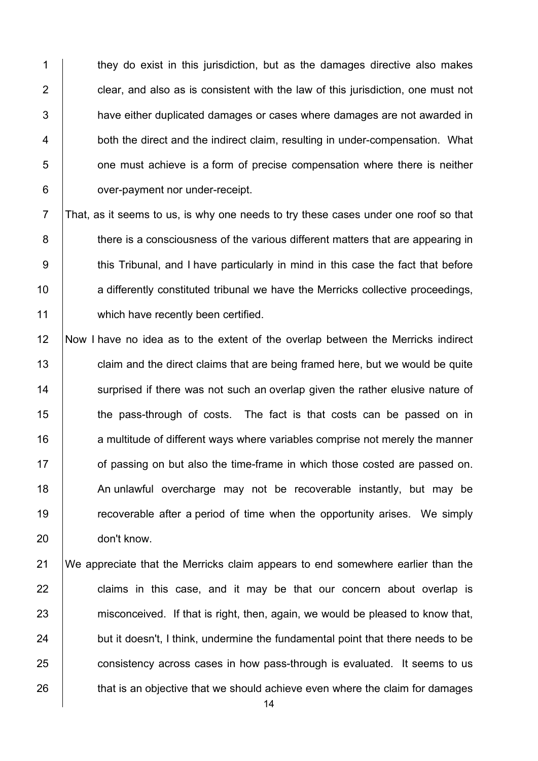1 they do exist in this jurisdiction, but as the damages directive also makes  $\vert$  clear, and also as is consistent with the law of this jurisdiction, one must not 3 have either duplicated damages or cases where damages are not awarded in **both the direct and the indirect claim, resulting in under-compensation.** What **b** one must achieve is a form of precise compensation where there is neither **over-payment nor under-receipt.** 

 $7$  That, as it seems to us, is why one needs to try these cases under one roof so that 8 there is a consciousness of the various different matters that are appearing in 9 this Tribunal, and I have particularly in mind in this case the fact that before 10 **a** differently constituted tribunal we have the Merricks collective proceedings, 11 which have recently been certified.

12 Now I have no idea as to the extent of the overlap between the Merricks indirect 13 **claim and the direct claims that are being framed here, but we would be quite** 14 Surprised if there was not such an overlap given the rather elusive nature of 15 the pass-through of costs. The fact is that costs can be passed on in 16 **a** multitude of different ways where variables comprise not merely the manner 17 **or** of passing on but also the time-frame in which those costed are passed on. 18 An unlawful overcharge may not be recoverable instantly, but may be 19 The recoverable after a period of time when the opportunity arises. We simply 20 don't know.

21 We appreciate that the Merricks claim appears to end somewhere earlier than the 22 | claims in this case, and it may be that our concern about overlap is 23 misconceived. If that is right, then, again, we would be pleased to know that, 24 but it doesn't, I think, undermine the fundamental point that there needs to be 25 consistency across cases in how pass-through is evaluated. It seems to us 26 that is an objective that we should achieve even where the claim for damages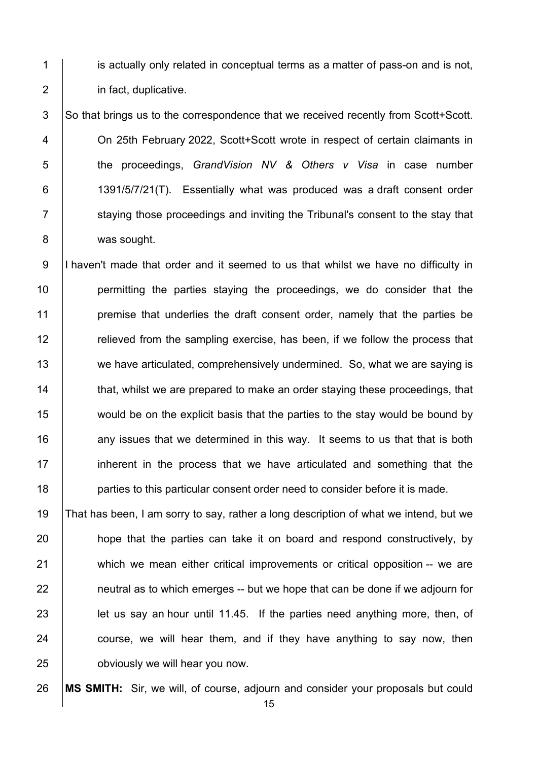1 is actually only related in conceptual terms as a matter of pass-on and is not, **in fact, duplicative.** 

3 So that brings us to the correspondence that we received recently from Scott+Scott. On 25th February 2022, Scott+Scott wrote in respect of certain claimants in the proceedings, *GrandVision NV & Others v Visa* in case number 6 | 1391/5/7/21(T). Essentially what was produced was a draft consent order 7 Staying those proceedings and inviting the Tribunal's consent to the stay that 8 | was sought.

9 I haven't made that order and it seemed to us that whilst we have no difficulty in **permitting the parties staying the proceedings, we do consider that the premise that underlies the draft consent order, namely that the parties be Fig.** relieved from the sampling exercise, has been, if we follow the process that 13 we have articulated, comprehensively undermined. So, what we are saying is **that, whilst we are prepared to make an order staying these proceedings, that**  would be on the explicit basis that the parties to the stay would be bound by **16** any issues that we determined in this way. It seems to us that that is both 17 inherent in the process that we have articulated and something that the **parties to this particular consent order need to consider before it is made.** 

 That has been, I am sorry to say, rather a long description of what we intend, but we **hope that the parties can take it on board and respond constructively, by** 21 which we mean either critical improvements or critical opposition -- we are | neutral as to which emerges -- but we hope that can be done if we adjourn for **let us say an hour until 11.45.** If the parties need anything more, then, of course, we will hear them, and if they have anything to say now, then **budge 1** obviously we will hear you now.

**MS SMITH:** Sir, we will, of course, adjourn and consider your proposals but could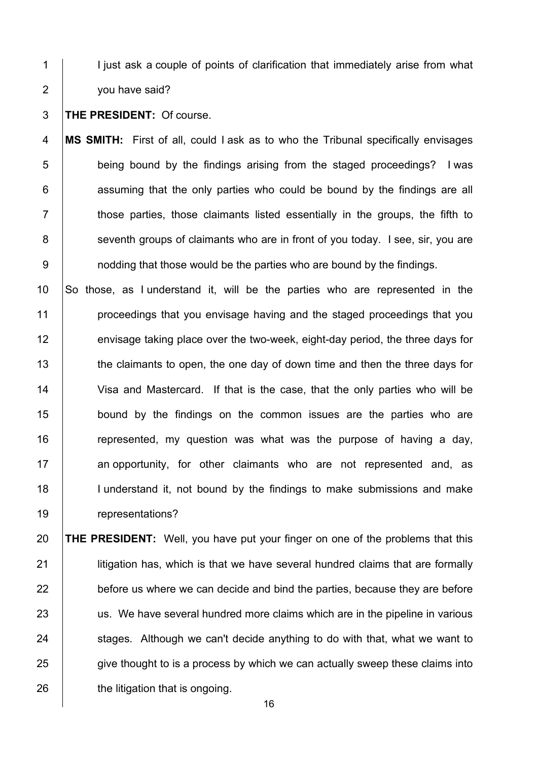1 | I just ask a couple of points of clarification that immediately arise from what **you have said?** 

**THE PRESIDENT:** Of course.

 **MS SMITH:** First of all, could I ask as to who the Tribunal specifically envisages **being bound by the findings arising from the staged proceedings?** I was | assuming that the only parties who could be bound by the findings are all  $\vert$  those parties, those claimants listed essentially in the groups, the fifth to 8 Seventh groups of claimants who are in front of you today. I see, sir, you are **1** nodding that those would be the parties who are bound by the findings.

 So those, as I understand it, will be the parties who are represented in the **proceedings that you envisage having and the staged proceedings that you Fig.** envisage taking place over the two-week, eight-day period, the three days for 13 the claimants to open, the one day of down time and then the three days for Visa and Mastercard. If that is the case, that the only parties who will be **bound by the findings on the common issues are the parties who are** 16 The represented, my question was what was the purpose of having a day, 17 an opportunity, for other claimants who are not represented and, as 18 | I understand it, not bound by the findings to make submissions and make 19 | representations?

 **THE PRESIDENT:** Well, you have put your finger on one of the problems that this **litigation has, which is that we have several hundred claims that are formally**  before us where we can decide and bind the parties, because they are before 23 us. We have several hundred more claims which are in the pipeline in various stages. Although we can't decide anything to do with that, what we want to 25 give thought to is a process by which we can actually sweep these claims into **the litigation that is ongoing.**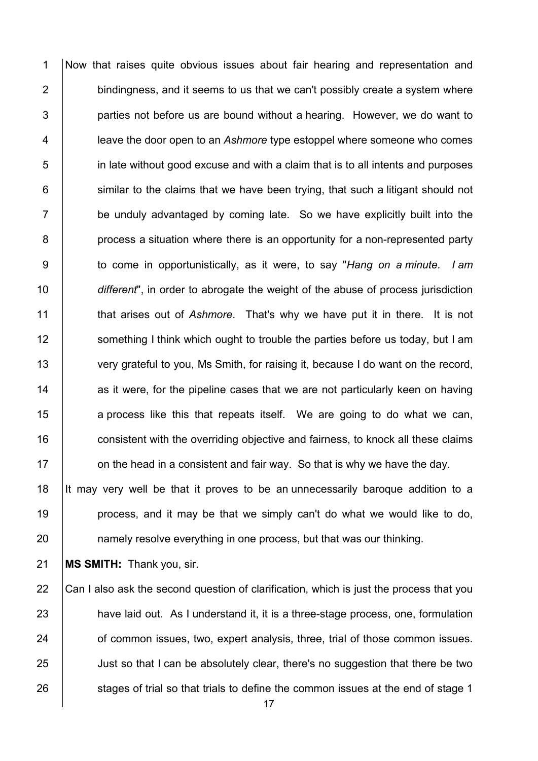Now that raises quite obvious issues about fair hearing and representation and bindingness, and it seems to us that we can't possibly create a system where | parties not before us are bound without a hearing. However, we do want to leave the door open to an *Ashmore* type estoppel where someone who comes in late without good excuse and with a claim that is to all intents and purposes similar to the claims that we have been trying, that such a litigant should not be unduly advantaged by coming late. So we have explicitly built into the **process a situation where there is an opportunity for a non-represented party**  to come in opportunistically, as it were, to say "*Hang on a minute. I am different*", in order to abrogate the weight of the abuse of process jurisdiction that arises out of *Ashmore*. That's why we have put it in there. It is not 12 Something I think which ought to trouble the parties before us today, but I am 13 very grateful to you, Ms Smith, for raising it, because I do want on the record, as it were, for the pipeline cases that we are not particularly keen on having 15 a process like this that repeats itself. We are going to do what we can, **consistent with the overriding objective and fairness, to knock all these claims**  $\parallel$  on the head in a consistent and fair way. So that is why we have the day. It may very well be that it proves to be an unnecessarily baroque addition to a

**process**, and it may be that we simply can't do what we would like to do, **hamely resolve everything in one process, but that was our thinking.** 

**MS SMITH:** Thank you, sir.

22 Can I also ask the second question of clarification, which is just the process that you 23 have laid out. As I understand it, it is a three-stage process, one, formulation **of common issues, two, expert analysis, three, trial of those common issues.** 25 Just so that I can be absolutely clear, there's no suggestion that there be two 26 stages of trial so that trials to define the common issues at the end of stage 1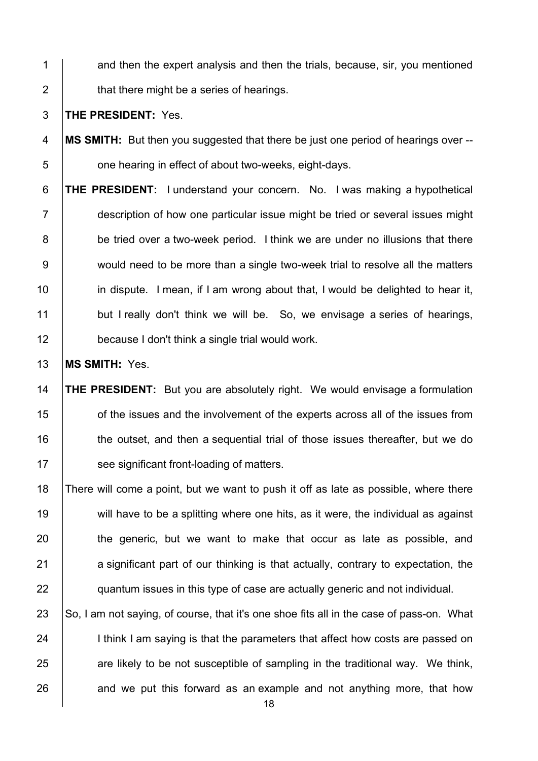1 and then the expert analysis and then the trials, because, sir, you mentioned **that there might be a series of hearings.** 

**THE PRESIDENT:** Yes.

- **MS SMITH:** But then you suggested that there be just one period of hearings over -- **b** one hearing in effect of about two-weeks, eight-days.
- **THE PRESIDENT:** I understand your concern. No. I was making a hypothetical description of how one particular issue might be tried or several issues might 8 be tried over a two-week period. I think we are under no illusions that there 9 would need to be more than a single two-week trial to resolve all the matters **in dispute.** I mean, if I am wrong about that, I would be delighted to hear it, 11 but I really don't think we will be. So, we envisage a series of hearings, **because I don't think a single trial would work.**

**MS SMITH:** Yes.

 **THE PRESIDENT:** But you are absolutely right. We would envisage a formulation **our-** of the issues and the involvement of the experts across all of the issues from 16 | the outset, and then a sequential trial of those issues thereafter, but we do **See significant front-loading of matters.** 

18 There will come a point, but we want to push it off as late as possible, where there 19 will have to be a splitting where one hits, as it were, the individual as against 20 the generic, but we want to make that occur as late as possible, and a significant part of our thinking is that actually, contrary to expectation, the **quantum issues in this type of case are actually generic and not individual.** 

 $\mid$  So, I am not saying, of course, that it's one shoe fits all in the case of pass-on. What 24 I think I am saying is that the parameters that affect how costs are passed on are likely to be not susceptible of sampling in the traditional way. We think, and we put this forward as an example and not anything more, that how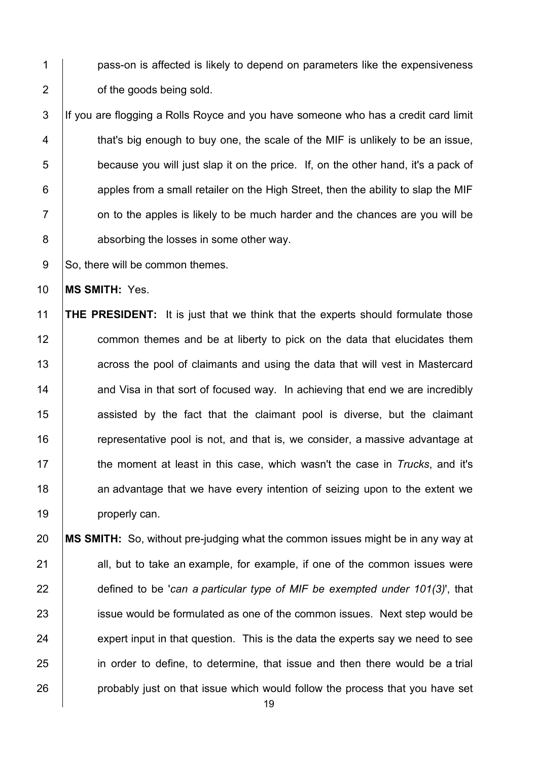1 | pass-on is affected is likely to depend on parameters like the expensiveness **b** of the goods being sold.

3 If you are flogging a Rolls Royce and you have someone who has a credit card limit  $\vert$  that's big enough to buy one, the scale of the MIF is unlikely to be an issue, 5 because you will just slap it on the price. If, on the other hand, it's a pack of | apples from a small retailer on the High Street, then the ability to slap the MIF  $\vert$  on to the apples is likely to be much harder and the chances are you will be **absorbing the losses in some other way.** 

9 So, there will be common themes.

**MS SMITH:** Yes.

 **THE PRESIDENT:** It is just that we think that the experts should formulate those **common themes and be at liberty to pick on the data that elucidates them Fig.** across the pool of claimants and using the data that will vest in Mastercard  $\parallel$  and Visa in that sort of focused way. In achieving that end we are incredibly **1** assisted by the fact that the claimant pool is diverse, but the claimant **Theory Fe** representative pool is not, and that is, we consider, a massive advantage at the moment at least in this case, which wasn't the case in *Trucks*, and it's **18** an advantage that we have every intention of seizing upon to the extent we 19 | properly can.

 **MS SMITH:** So, without pre-judging what the common issues might be in any way at 21 all, but to take an example, for example, if one of the common issues were defined to be '*can a particular type of MIF be exempted under 101(3)*', that 23 issue would be formulated as one of the common issues. Next step would be expert input in that question. This is the data the experts say we need to see 25 in order to define, to determine, that issue and then there would be a trial **probably just on that issue which would follow the process that you have set**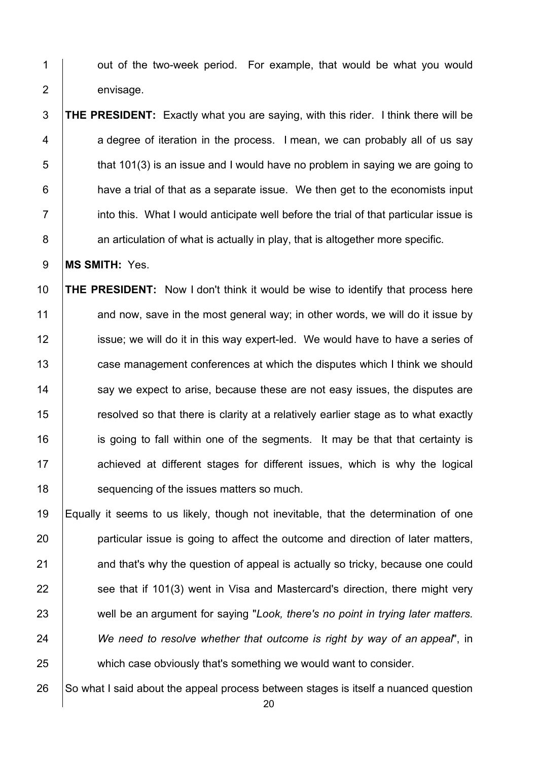1 | out of the two-week period. For example, that would be what you would 2 envisage.

 **THE PRESIDENT:** Exactly what you are saying, with this rider. I think there will be 4 | a degree of iteration in the process. I mean, we can probably all of us say that 101(3) is an issue and I would have no problem in saying we are going to **have a trial of that as a separate issue.** We then get to the economists input  $7 \parallel$  into this. What I would anticipate well before the trial of that particular issue is **an articulation of what is actually in play, that is altogether more specific.** 

**MS SMITH:** Yes.

 **THE PRESIDENT:** Now I don't think it would be wise to identify that process here 11 and now, save in the most general way; in other words, we will do it issue by **igns** issue; we will do it in this way expert-led. We would have to have a series of 13 case management conferences at which the disputes which I think we should 14 Say we expect to arise, because these are not easy issues, the disputes are 15 There is clarity at a relatively earlier stage as to what exactly **i** is going to fall within one of the segments. It may be that that certainty is **Achieved at different stages for different issues, which is why the logical SACC** sequencing of the issues matters so much.

 Equally it seems to us likely, though not inevitable, that the determination of one **particular issue is going to affect the outcome and direction of later matters,** 21 and that's why the question of appeal is actually so tricky, because one could see that if 101(3) went in Visa and Mastercard's direction, there might very 23 well be an argument for saying "Look, there's no point in trying later matters. *We need to resolve whether that outcome is right by way of an appeal*", in which case obviously that's something we would want to consider.

So what I said about the appeal process between stages is itself a nuanced question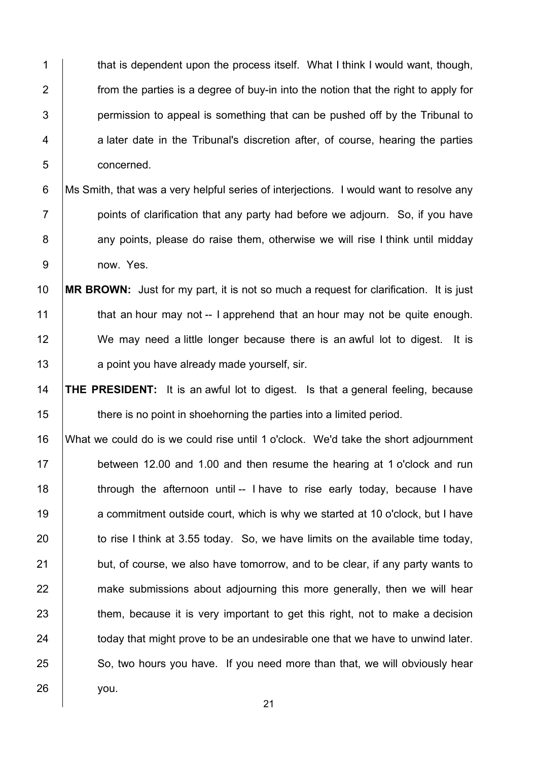1 that is dependent upon the process itself. What I think I would want, though, 2  $\parallel$  from the parties is a degree of buy-in into the notion that the right to apply for  $3$  | permission to appeal is something that can be pushed off by the Tribunal to 4 a later date in the Tribunal's discretion after, of course, hearing the parties 5 concerned.

6 Ms Smith, that was a very helpful series of interjections. I would want to resolve any  $7$  | points of clarification that any party had before we adiourn. So, if you have 8 any points, please do raise them, otherwise we will rise I think until midday 9 now. Yes.

 **MR BROWN:** Just for my part, it is not so much a request for clarification. It is just  $\parallel$  that an hour may not -- I apprehend that an hour may not be quite enough. 12 We may need a little longer because there is an awful lot to digest. It is **a** point you have already made yourself, sir.

14 **THE PRESIDENT:** It is an awful lot to digest. Is that a general feeling, because 15 **there is no point in shoehorning the parties into a limited period.** 

16 What we could do is we could rise until 1 o'clock. We'd take the short adjournment 17 between 12.00 and 1.00 and then resume the hearing at 1 o'clock and run 18  $\parallel$  through the afternoon until -- I have to rise early today, because I have 19 a commitment outside court, which is why we started at 10 o'clock, but I have 20  $\vert$  to rise I think at 3.55 today. So, we have limits on the available time today,  $21$  but, of course, we also have tomorrow, and to be clear, if any party wants to 22 make submissions about adjourning this more generally, then we will hear 23 them, because it is very important to get this right, not to make a decision 24 today that might prove to be an undesirable one that we have to unwind later. 25 So, two hours you have. If you need more than that, we will obviously hear 26 you.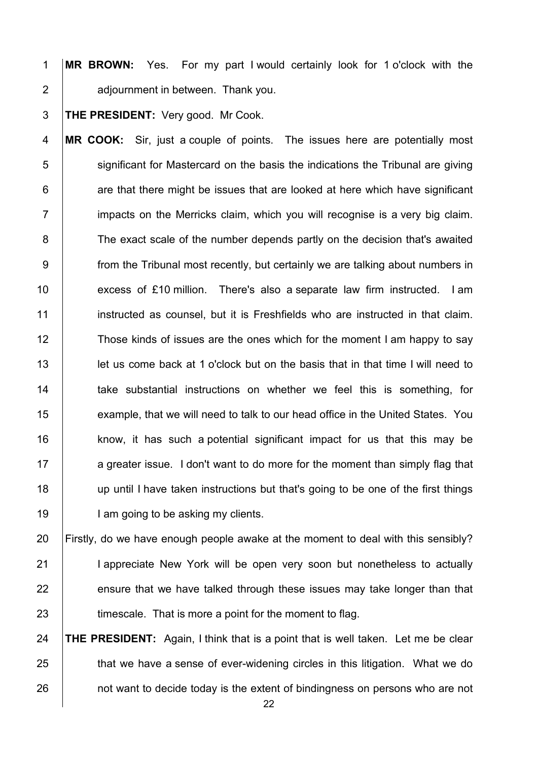1 **MR BROWN:** Yes. For my part I would certainly look for 1 o'clock with the 2 **adjournment in between. Thank you.** 

3 **THE PRESIDENT:** Very good. Mr Cook.

4 **MR COOK:** Sir, just a couple of points. The issues here are potentially most 5 Sum significant for Mastercard on the basis the indications the Tribunal are giving  $6$   $\vert$  are that there might be issues that are looked at here which have significant  $7$  impacts on the Merricks claim, which you will recognise is a very big claim. 8 The exact scale of the number depends partly on the decision that's awaited 9 **from the Tribunal most recently, but certainly we are talking about numbers in** 10 excess of £10 million. There's also a separate law firm instructed. I am 11 **instructed as counsel, but it is Freshfields who are instructed in that claim.** 12 Those kinds of issues are the ones which for the moment I am happy to say 13 let us come back at 1 o'clock but on the basis that in that time I will need to 14 take substantial instructions on whether we feel this is something, for 15 **example, that we will need to talk to our head office in the United States. You** 16 **know, it has such a potential significant impact for us that this may be** 17 a greater issue. I don't want to do more for the moment than simply flag that 18 up until I have taken instructions but that's going to be one of the first things 19 | I am going to be asking my clients.

20 Firstly, do we have enough people awake at the moment to deal with this sensibly? 21 | I appreciate New York will be open very soon but nonetheless to actually  $22$  ensure that we have talked through these issues may take longer than that 23 **timescale.** That is more a point for the moment to flag.

24 **THE PRESIDENT:** Again, I think that is a point that is well taken. Let me be clear 25 **that we have a sense of ever-widening circles in this litigation. What we do** 26 **not want to decide today is the extent of bindingness on persons who are not**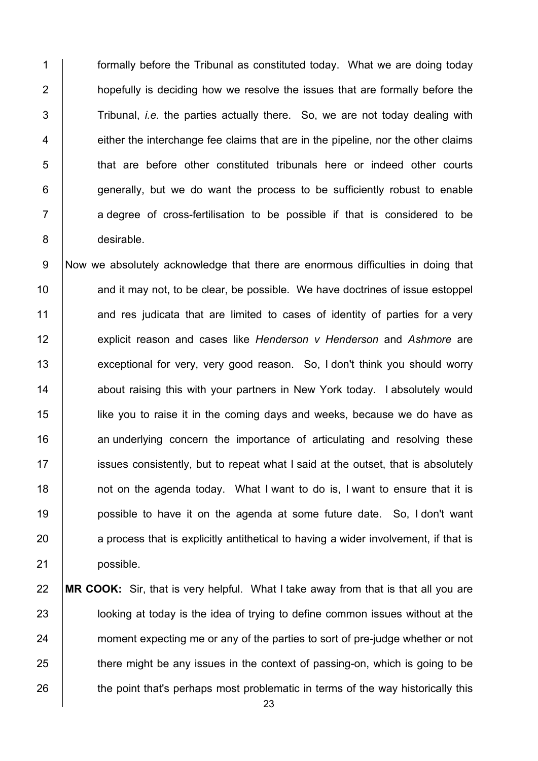formally before the Tribunal as constituted today. What we are doing today **hopefully is deciding how we resolve the issues that are formally before the** 3 Tribunal, *i.e.* the parties actually there. So, we are not today dealing with  $\parallel$  either the interchange fee claims that are in the pipeline, nor the other claims **that are before other constituted tribunals here or indeed other courts**  | generally, but we do want the process to be sufficiently robust to enable 7 | a degree of cross-fertilisation to be possible if that is considered to be desirable.

 Now we absolutely acknowledge that there are enormous difficulties in doing that 10 | and it may not, to be clear, be possible. We have doctrines of issue estoppel 11 and res judicata that are limited to cases of identity of parties for a very explicit reason and cases like *Henderson v Henderson* and *Ashmore* are 13 exceptional for very, very good reason. So, I don't think you should worry 14 about raising this with your partners in New York today. I absolutely would **lick** we use it in the coming days and weeks, because we do have as **16** an underlying concern the importance of articulating and resolving these **ignosum** issues consistently, but to repeat what I said at the outset, that is absolutely **not on the agenda today.** What I want to do is, I want to ensure that it is **possible to have it on the agenda at some future date.** So, I don't want a process that is explicitly antithetical to having a wider involvement, if that is 21 possible.

## **MR COOK:** Sir, that is very helpful. What I take away from that is that all you are **let is uponly in the idea of trying to define common issues without at the** 24 moment expecting me or any of the parties to sort of pre-judge whether or not 25 there might be any issues in the context of passing-on, which is going to be 26 the point that's perhaps most problematic in terms of the way historically this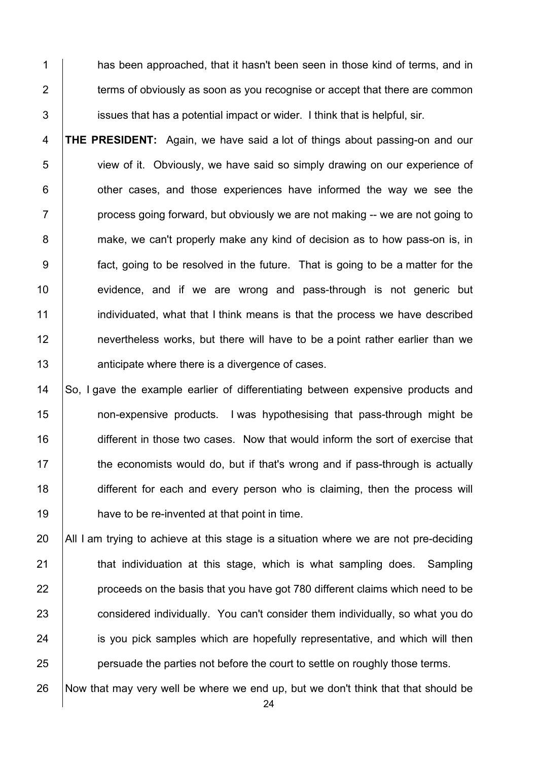1 has been approached, that it hasn't been seen in those kind of terms, and in  $2 \mid$  terms of obviously as soon as you recognise or accept that there are common issues that has a potential impact or wider. I think that is helpful, sir.

 **THE PRESIDENT:** Again, we have said a lot of things about passing-on and our view of it. Obviously, we have said so simply drawing on our experience of  $\vert$  other cases, and those experiences have informed the way we see the  $7 \mid$  process going forward, but obviously we are not making -- we are not going to 8 make, we can't properly make any kind of decision as to how pass-on is, in fact, going to be resolved in the future. That is going to be a matter for the 10 evidence, and if we are wrong and pass-through is not generic but **individuated, what that I think means is that the process we have described nevertheless works, but there will have to be a point rather earlier than we Alter** anticipate where there is a divergence of cases.

14 So, I gave the example earlier of differentiating between expensive products and **non-expensive products.** I was hypothesising that pass-through might be 16 different in those two cases. Now that would inform the sort of exercise that the economists would do, but if that's wrong and if pass-through is actually 18 different for each and every person who is claiming, then the process will **have to be re-invented at that point in time.** 

 $\parallel$  All I am trying to achieve at this stage is a situation where we are not pre-deciding **that individuation at this stage, which is what sampling does.** Sampling **proceeds on the basis that you have got 780 different claims which need to be** 23 considered individually. You can't consider them individually, so what you do **is you pick samples which are hopefully representative, and which will then persuade the parties not before the court to settle on roughly those terms.** 

Now that may very well be where we end up, but we don't think that that should be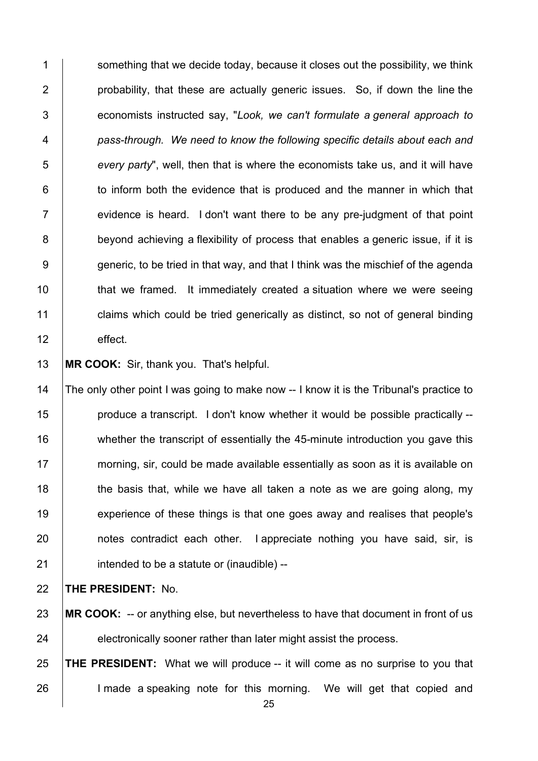1 Something that we decide today, because it closes out the possibility, we think 2 | probability, that these are actually generic issues. So, if down the line the 3 economists instructed say, "*Look, we can't formulate a general approach to*  4 *pass-through. We need to know the following specific details about each and*  5 *every party*", well, then that is where the economists take us, and it will have 6 **than** to inform both the evidence that is produced and the manner in which that  $7$   $\vert$  evidence is heard. I don't want there to be any pre-judgment of that point 8 beyond achieving a flexibility of process that enables a generic issue, if it is 9 generic, to be tried in that way, and that I think was the mischief of the agenda 10 | that we framed. It immediately created a situation where we were seeing 11 claims which could be tried generically as distinct, so not of general binding 12 effect.

13 **MR COOK:** Sir, thank you. That's helpful.

14 The only other point I was going to make now -- I know it is the Tribunal's practice to **produce a transcript.** I don't know whether it would be possible practically --16 whether the transcript of essentially the 45-minute introduction you gave this morning, sir, could be made available essentially as soon as it is available on  $\parallel$  the basis that, while we have all taken a note as we are going along, my **Experience of these things is that one goes away and realises that people's notes contradict each other.** I appreciate nothing you have said, sir, is | intended to be a statute or (inaudible) --

22 **THE PRESIDENT:** No.

23 **MR COOK:** -- or anything else, but nevertheless to have that document in front of us 24 electronically sooner rather than later might assist the process.

25 **THE PRESIDENT:** What we will produce -- it will come as no surprise to you that 26 I l made a speaking note for this morning. We will get that copied and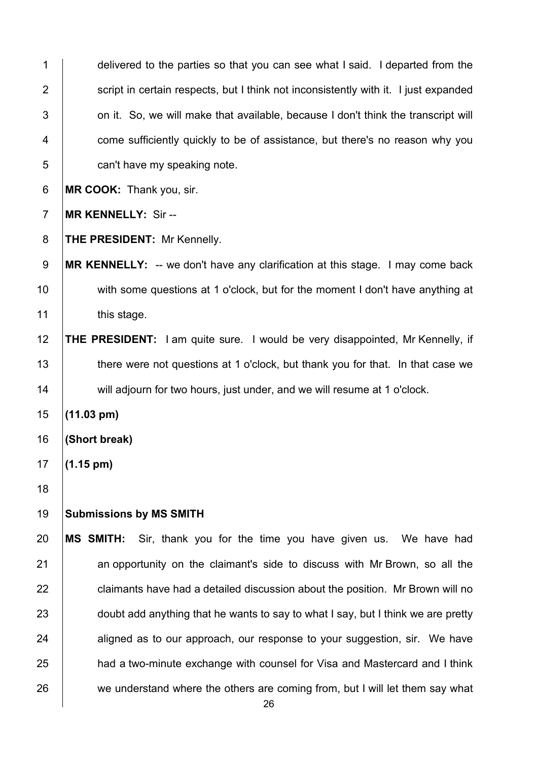delivered to the parties so that you can see what I said. I departed from the 2 | script in certain respects, but I think not inconsistently with it. I just expanded  $\vert$  on it. So, we will make that available, because I don't think the transcript will **Fig. 2** come sufficiently quickly to be of assistance, but there's no reason why you **can't have my speaking note. MR COOK:** Thank you, sir. **MR KENNELLY:** Sir -- **THE PRESIDENT:** Mr Kennelly. **MR KENNELLY:** -- we don't have any clarification at this stage. I may come back 10 with some questions at 1 o'clock, but for the moment I don't have anything at 11 | this stage. **THE PRESIDENT:** I am quite sure. I would be very disappointed, Mr Kennelly, if 13 there were not questions at 1 o'clock, but thank you for that. In that case we 14 will adjourn for two hours, just under, and we will resume at 1 o'clock. **(11.03 pm) (Short break) (1.15 pm) Submissions by MS SMITH MS SMITH:** Sir, thank you for the time you have given us. We have had 21 an opportunity on the claimant's side to discuss with Mr Brown, so all the claimants have had a detailed discussion about the position. Mr Brown will no 23 doubt add anything that he wants to say to what I say, but I think we are pretty aligned as to our approach, our response to your suggestion, sir. We have **had a two-minute exchange with counsel for Visa and Mastercard and I think** 26 we understand where the others are coming from, but I will let them say what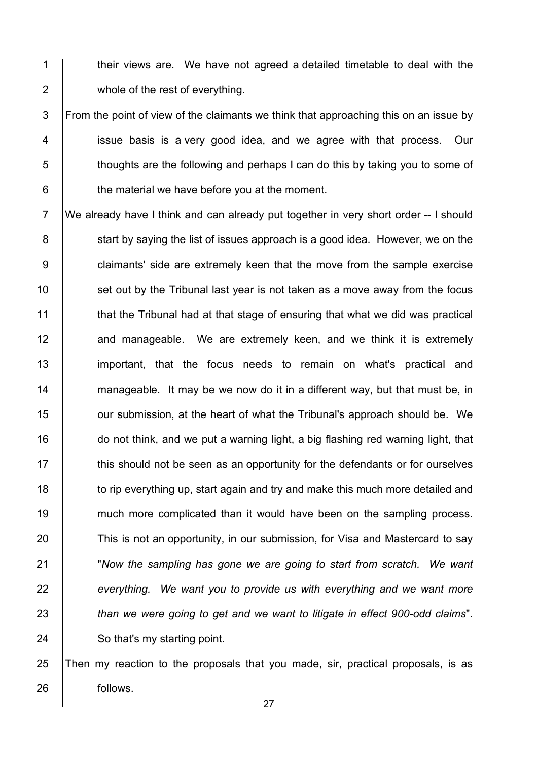1 their views are. We have not agreed a detailed timetable to deal with the 2 **whole of the rest of everything.** 

 $3$  From the point of view of the claimants we think that approaching this on an issue by 4 issue basis is a very good idea, and we agree with that process. Our  $5$   $\vert$  thoughts are the following and perhaps I can do this by taking you to some of  $6 \mid$  the material we have before you at the moment.

7 We already have I think and can already put together in very short order -- I should 8 Start by saying the list of issues approach is a good idea. However, we on the 9 **claimants'** side are extremely keen that the move from the sample exercise  $10$  set out by the Tribunal last year is not taken as a move away from the focus 11 that the Tribunal had at that stage of ensuring that what we did was practical 12 **and manageable.** We are extremely keen, and we think it is extremely 13 | important, that the focus needs to remain on what's practical and 14  $\parallel$  manageable. It may be we now do it in a different way, but that must be, in 15 **J** our submission, at the heart of what the Tribunal's approach should be. We 16 do not think, and we put a warning light, a big flashing red warning light, that 17 **this should not be seen as an opportunity for the defendants or for ourselves** 18 to rip everything up, start again and try and make this much more detailed and 19 much more complicated than it would have been on the sampling process. 20 This is not an opportunity, in our submission, for Visa and Mastercard to say 21 "*Now the sampling has gone we are going to start from scratch. We want*  22 *everything. We want you to provide us with everything and we want more*  23 *than we were going to get and we want to litigate in effect 900-odd claims*". 24 So that's my starting point.

25 Then my reaction to the proposals that you made, sir, practical proposals, is as 26 **follows**.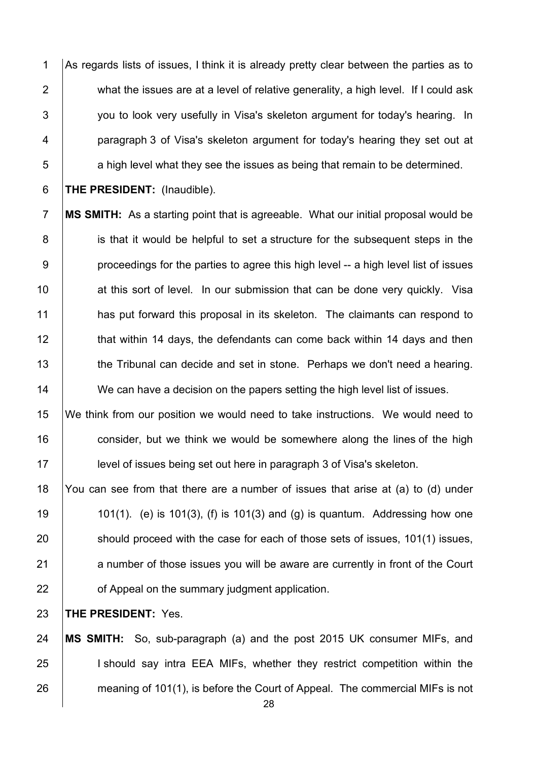1 As regards lists of issues, I think it is already pretty clear between the parties as to 2 what the issues are at a level of relative generality, a high level. If I could ask  $3$   $\vert$  vou to look very usefully in Visa's skeleton argument for today's hearing. In 4 **paragraph 3 of Visa's skeleton argument for today's hearing they set out at**  $\overline{5}$  a high level what they see the issues as being that remain to be determined.

6 **THE PRESIDENT:** (Inaudible).

7 **MS SMITH:** As a starting point that is agreeable. What our initial proposal would be 8 is that it would be helpful to set a structure for the subsequent steps in the  $9 \mid$  proceedings for the parties to agree this high level -- a high level list of issues 10 at this sort of level. In our submission that can be done very quickly. Visa 11 **has put forward this proposal in its skeleton.** The claimants can respond to 12 **that within 14 days, the defendants can come back within 14 days and then** 13 the Tribunal can decide and set in stone. Perhaps we don't need a hearing. 14 We can have a decision on the papers setting the high level list of issues.

15 We think from our position we would need to take instructions. We would need to 16 consider, but we think we would be somewhere along the lines of the high 17 **level of issues being set out here in paragraph 3 of Visa's skeleton.** 

18 You can see from that there are a number of issues that arise at (a) to (d) under 19  $\vert$  101(1). (e) is 101(3), (f) is 101(3) and (g) is quantum. Addressing how one 20 should proceed with the case for each of those sets of issues, 101(1) issues, 21 a number of those issues you will be aware are currently in front of the Court 22 **of Appeal on the summary judgment application.** 

23 **THE PRESIDENT:** Yes.

24 **MS SMITH:** So, sub-paragraph (a) and the post 2015 UK consumer MIFs, and 25 I I should say intra EEA MIFs, whether they restrict competition within the 26 **meaning of 101(1), is before the Court of Appeal. The commercial MIFs is not**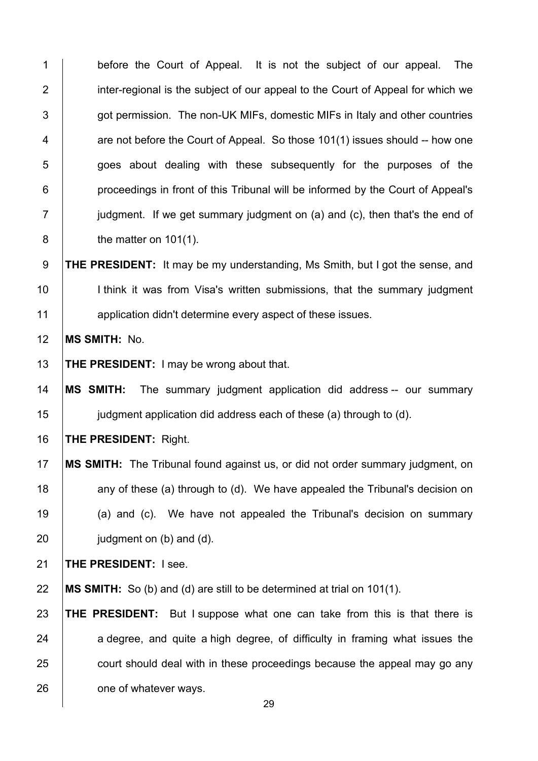1 before the Court of Appeal. It is not the subiect of our appeal. The 2 inter-regional is the subject of our appeal to the Court of Appeal for which we **got permission. The non-UK MIFs, domestic MIFs in Italy and other countries**  $4 \mid$  are not before the Court of Appeal. So those 101(1) issues should -- how one **goes about dealing with these subsequently for the purposes of the proceedings in front of this Tribunal will be informed by the Court of Appeal's**  judgment. If we get summary judgment on (a) and (c), then that's the end of **b** the matter on 101(1). **THE PRESIDENT:** It may be my understanding, Ms Smith, but I got the sense, and 10 | I think it was from Visa's written submissions, that the summary judgment **All application didn't determine every aspect of these issues. MS SMITH:** No. **THE PRESIDENT:** I may be wrong about that. **MS SMITH:** The summary judgment application did address -- our summary **judgment application did address each of these (a) through to (d). THE PRESIDENT:** Right. **MS SMITH:** The Tribunal found against us, or did not order summary judgment, on  $\parallel$  any of these (a) through to (d). We have appealed the Tribunal's decision on (a) and (c). We have not appealed the Tribunal's decision on summary judgment on (b) and (d). **THE PRESIDENT:** I see. **MS SMITH:** So (b) and (d) are still to be determined at trial on 101(1). **THE PRESIDENT:** But I suppose what one can take from this is that there is a degree, and quite a high degree, of difficulty in framing what issues the 25 court should deal with in these proceedings because the appeal may go any 26 one of whatever ways.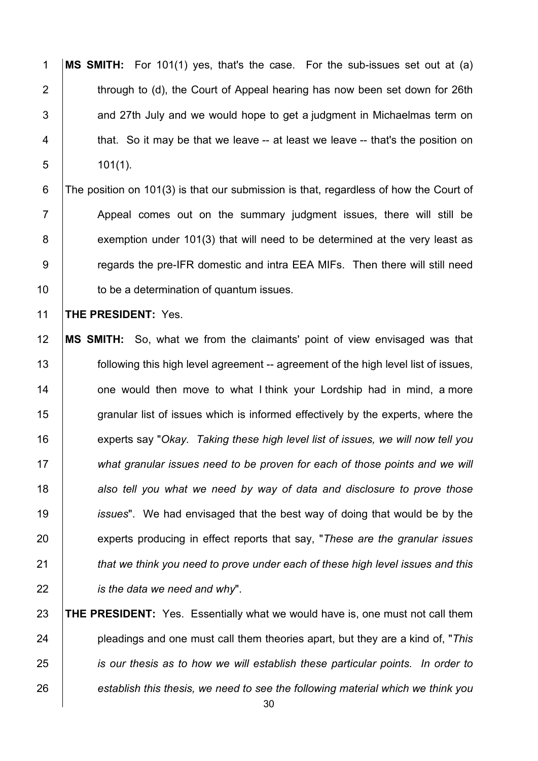**MS SMITH:** For 101(1) yes, that's the case. For the sub-issues set out at (a) 2  $\parallel$  through to (d), the Court of Appeal hearing has now been set down for 26th  $\vert$  and 27th July and we would hope to get a judgment in Michaelmas term on 4 that. So it may be that we leave -- at least we leave -- that's the position on 101(1).

 The position on 101(3) is that our submission is that, regardless of how the Court of 7 Appeal comes out on the summary judgment issues, there will still be 8 exemption under 101(3) that will need to be determined at the very least as **Figure 2** regards the pre-IFR domestic and intra EEA MIFs. Then there will still need **to be a determination of quantum issues.** 

**THE PRESIDENT:** Yes.

 **MS SMITH:** So, what we from the claimants' point of view envisaged was that **following this high level agreement** -- agreement of the high level list of issues, **one would then move to what I think your Lordship had in mind, a more** 15 granular list of issues which is informed effectively by the experts, where the experts say "*Okay. Taking these high level list of issues, we will now tell you what granular issues need to be proven for each of those points and we will also tell you what we need by way of data and disclosure to prove those issues*". We had envisaged that the best way of doing that would be by the experts producing in effect reports that say, "*These are the granular issues that we think you need to prove under each of these high level issues and this is the data we need and why*".

 **THE PRESIDENT:** Yes. Essentially what we would have is, one must not call them pleadings and one must call them theories apart, but they are a kind of, "*This is our thesis as to how we will establish these particular points. In order to establish this thesis, we need to see the following material which we think you*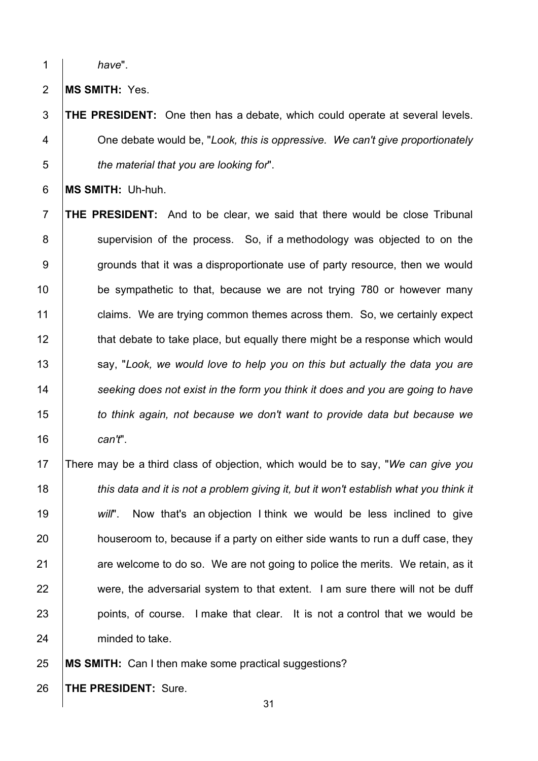*have*".

**MS SMITH:** Yes.

 **THE PRESIDENT:** One then has a debate, which could operate at several levels. One debate would be, "*Look, this is oppressive. We can't give proportionately the material that you are looking for*".

**MS SMITH:** Uh-huh.

 **THE PRESIDENT:** And to be clear, we said that there would be close Tribunal 8 Supervision of the process. So, if a methodology was objected to on the 9 g or ounds that it was a disproportionate use of party resource, then we would **be sympathetic to that, because we are not trying 780 or however many claims.** We are trying common themes across them. So, we certainly expect 12 that debate to take place, but equally there might be a response which would **say, "Look, we would love to help you on this but actually the data you are**  *seeking does not exist in the form you think it does and you are going to have to think again, not because we don't want to provide data but because we can't*".

 There may be a third class of objection, which would be to say, "*We can give you this data and it is not a problem giving it, but it won't establish what you think it will*". Now that's an objection I think we would be less inclined to give **houseroom to, because if a party on either side wants to run a duff case, they**  are welcome to do so. We are not going to police the merits. We retain, as it 22 were, the adversarial system to that extent. I am sure there will not be duff **points, of course.** I make that clear. It is not a control that we would be 24 minded to take.

**MS SMITH:** Can I then make some practical suggestions?

**THE PRESIDENT:** Sure.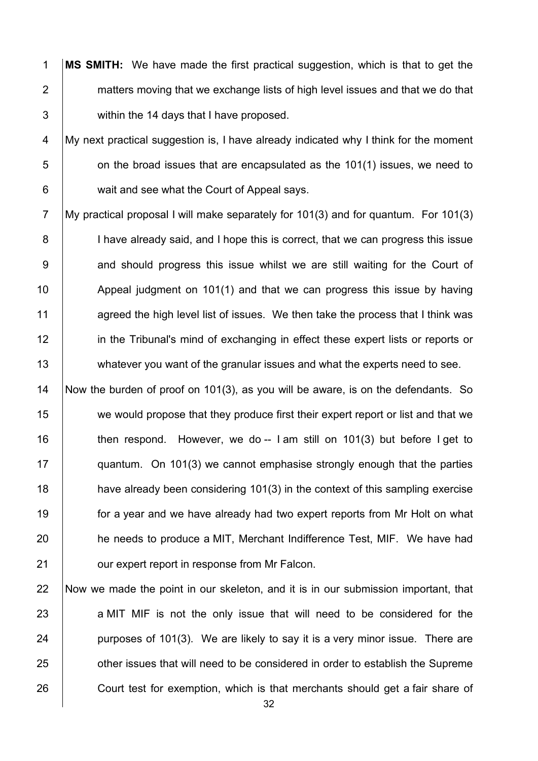1 **MS SMITH:** We have made the first practical suggestion, which is that to get the 2 matters moving that we exchange lists of high level issues and that we do that 3 within the 14 days that I have proposed.

4 My next practical suggestion is, I have already indicated why I think for the moment  $5$  | con the broad issues that are encapsulated as the 101(1) issues, we need to 6 wait and see what the Court of Appeal says.

7 My practical proposal I will make separately for 101(3) and for quantum. For 101(3) 8 | I have already said, and I hope this is correct, that we can progress this issue 9 and should progress this issue whilst we are still waiting for the Court of 10 Appeal judgment on 101(1) and that we can progress this issue by having 11 agreed the high level list of issues. We then take the process that I think was 12 **in the Tribunal's mind of exchanging in effect these expert lists or reports or** 13 whatever you want of the granular issues and what the experts need to see.

 Now the burden of proof on 101(3), as you will be aware, is on the defendants. So 15 we would propose that they produce first their expert report or list and that we  $\parallel$  then respond. However, we do -- I am still on 101(3) but before I get to quantum. On 101(3) we cannot emphasise strongly enough that the parties **have already been considering 101(3)** in the context of this sampling exercise **for a year and we have already had two expert reports from Mr Holt on what** 20 he needs to produce a MIT, Merchant Indifference Test, MIF. We have had **July 21** our expert report in response from Mr Falcon.

22 Now we made the point in our skeleton, and it is in our submission important, that 23 a MIT MIF is not the only issue that will need to be considered for the 24 **purposes of 101(3).** We are likely to say it is a very minor issue. There are 25 **Fig. 25** other issues that will need to be considered in order to establish the Supreme 26 Court test for exemption, which is that merchants should get a fair share of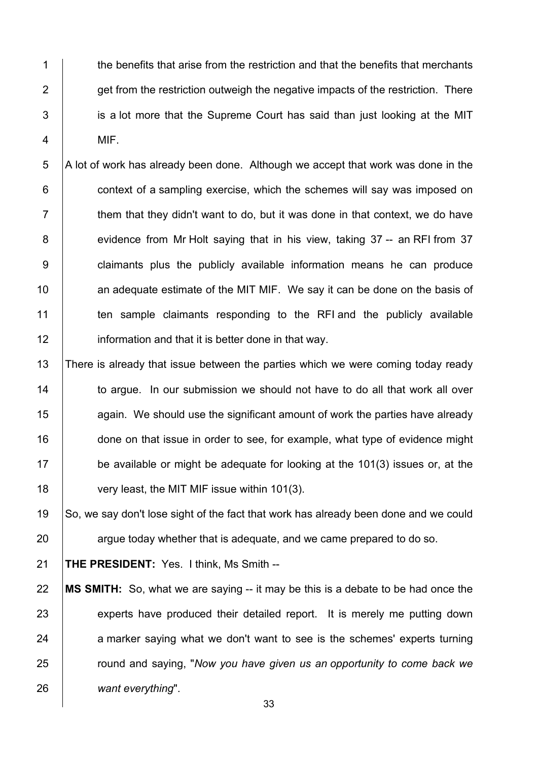1 the benefits that arise from the restriction and that the benefits that merchants  $2 \mid$  get from the restriction outweigh the negative impacts of the restriction. There 3 is a lot more that the Supreme Court has said than just looking at the MIT 4 MIF.

 A lot of work has already been done. Although we accept that work was done in the **context of a sampling exercise, which the schemes will say was imposed on**   $\parallel$  them that they didn't want to do, but it was done in that context, we do have 8 evidence from Mr Holt saying that in his view, taking 37 -- an RFI from 37 9 | claimants plus the publicly available information means he can produce **an adequate estimate of the MIT MIF.** We say it can be done on the basis of 11 ten sample claimants responding to the RFI and the publicly available **information and that it is better done in that way.** 

13 There is already that issue between the parties which we were coming today ready 14 to argue. In our submission we should not have to do all that work all over 15 **15** again. We should use the significant amount of work the parties have already 16 done on that issue in order to see, for example, what type of evidence might 17 be available or might be adequate for looking at the 101(3) issues or, at the 18 very least, the MIT MIF issue within 101(3).

19 So, we say don't lose sight of the fact that work has already been done and we could  $20$  argue today whether that is adequate, and we came prepared to do so.

21 **THE PRESIDENT:** Yes. I think, Ms Smith --

 **MS SMITH:** So, what we are saying -- it may be this is a debate to be had once the 23 experts have produced their detailed report. It is merely me putting down a marker saying what we don't want to see is the schemes' experts turning round and saying, "*Now you have given us an opportunity to come back we want everything*".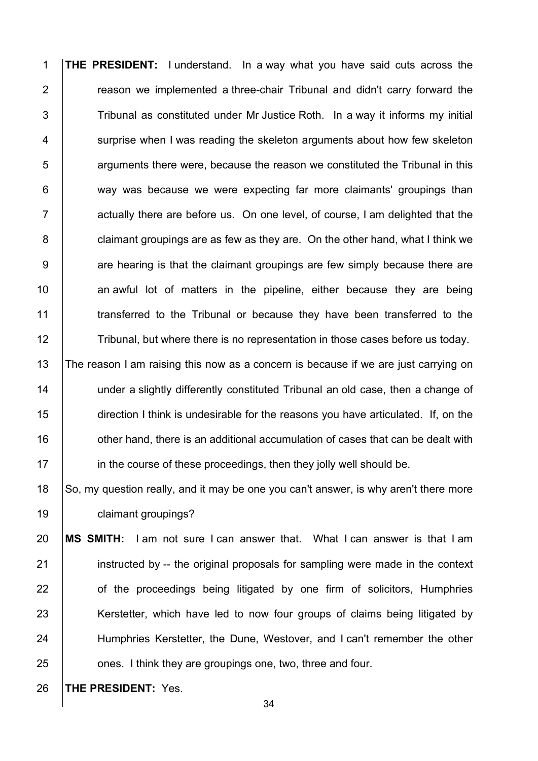**THE PRESIDENT:** I understand. In a way what you have said cuts across the **Figure** reason we implemented a three-chair Tribunal and didn't carry forward the 3 Tribunal as constituted under Mr Justice Roth. In a way it informs my initial 4 Surprise when I was reading the skeleton arguments about how few skeleton arguments there were, because the reason we constituted the Tribunal in this  $\vert$  way was because we were expecting far more claimants' groupings than  $\parallel$  actually there are before us. On one level, of course, I am delighted that the **claimant groupings are as few as they are.** On the other hand, what I think we 9 are hearing is that the claimant groupings are few simply because there are  $\parallel$  an awful lot of matters in the pipeline, either because they are being 11 Transferred to the Tribunal or because they have been transferred to the 12 Tribunal, but where there is no representation in those cases before us today. 13 The reason I am raising this now as a concern is because if we are just carrying on

**under a slightly differently constituted Tribunal an old case, then a change of**  direction I think is undesirable for the reasons you have articulated. If, on the  $\parallel$  other hand, there is an additional accumulation of cases that can be dealt with **in the course of these proceedings, then they jolly well should be.** 

18 So, my question really, and it may be one you can't answer, is why aren't there more **claimant groupings?** 

 **MS SMITH:** I am not sure I can answer that. What I can answer is that I am **instructed by -- the original proposals for sampling were made in the context of the proceedings being litigated by one firm of solicitors, Humphries** 23 Kerstetter, which have led to now four groups of claims being litigated by 24 | Humphries Kerstetter, the Dune, Westover, and I can't remember the other **ones.** I think they are groupings one, two, three and four.

**THE PRESIDENT:** Yes.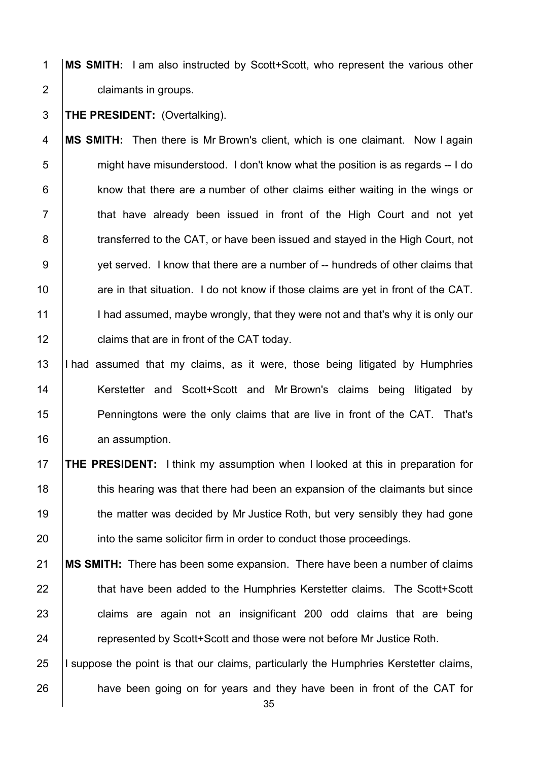1 **MS SMITH:** I am also instructed by Scott+Scott, who represent the various other 2 **claimants in groups.** 

## 3 **THE PRESIDENT:** (Overtalking).

 **MS SMITH:** Then there is Mr Brown's client, which is one claimant. Now I again might have misunderstood. I don't know what the position is as regards -- I do | know that there are a number of other claims either waiting in the wings or 7 | that have already been issued in front of the High Court and not yet **transferred to the CAT, or have been issued and stayed in the High Court, not** 9 yet served. I know that there are a number of -- hundreds of other claims that **are in that situation.** I do not know if those claims are yet in front of the CAT. 11 I had assumed, maybe wrongly, that they were not and that's why it is only our **claims that are in front of the CAT today.** 

13 I had assumed that my claims, as it were, those being litigated by Humphries 14 | Kerstetter and Scott+Scott and MrBrown's claims being litigated by 15 **Penningtons were the only claims that are live in front of the CAT.** That's 16 an assumption.

17 **THE PRESIDENT:** I think my assumption when I looked at this in preparation for 18 this hearing was that there had been an expansion of the claimants but since 19 the matter was decided by Mr Justice Roth, but very sensibly they had gone 20 **into the same solicitor firm in order to conduct those proceedings.** 

21 **MS SMITH:** There has been some expansion. There have been a number of claims 22 that have been added to the Humphries Kerstetter claims. The Scott+Scott 23 claims are again not an insignificant 200 odd claims that are being 24 **The Stude of the Scott-Scott and those were not before Mr Justice Roth.** 

25 I suppose the point is that our claims, particularly the Humphries Kerstetter claims, 26 **have been going on for years and they have been in front of the CAT for**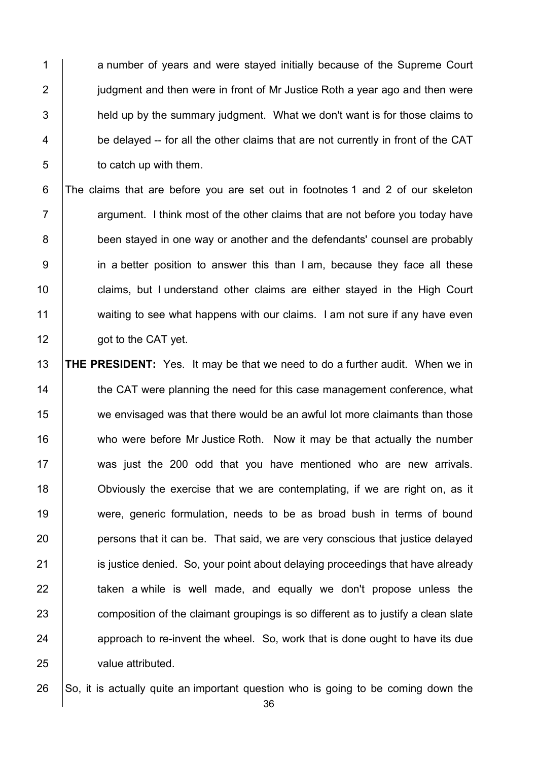1 a number of vears and were staved initially because of the Supreme Court 2 **judgment and then were in front of Mr Justice Roth a year ago and then were**  $3$  held up by the summary judgment. What we don't want is for those claims to 4 be delayed -- for all the other claims that are not currently in front of the CAT 5 **b** to catch up with them.

6 The claims that are before you are set out in footnotes 1 and 2 of our skeleton  $7$   $\parallel$  argument. I think most of the other claims that are not before you today have 8 been stayed in one way or another and the defendants' counsel are probably 9 in a better position to answer this than I am, because they face all these 10 **claims, but I understand other claims are either stayed in the High Court** 11 waiting to see what happens with our claims. I am not sure if any have even 12 **got to the CAT yet.** 

 **THE PRESIDENT:** Yes. It may be that we need to do a further audit. When we in 14 the CAT were planning the need for this case management conference, what 15 we envisaged was that there would be an awful lot more claimants than those 16 who were before Mr Justice Roth. Now it may be that actually the number 17 was just the 200 odd that you have mentioned who are new arrivals. Obviously the exercise that we are contemplating, if we are right on, as it were, generic formulation, needs to be as broad bush in terms of bound **persons that it can be.** That said, we are very conscious that justice delayed **ignosing is guilged.** So, your point about delaying proceedings that have already  $\parallel$  taken a while is well made, and equally we don't propose unless the 23 composition of the claimant groupings is so different as to justify a clean slate approach to re-invent the wheel. So, work that is done ought to have its due value attributed.

26  $\vert$  So, it is actually quite an important question who is going to be coming down the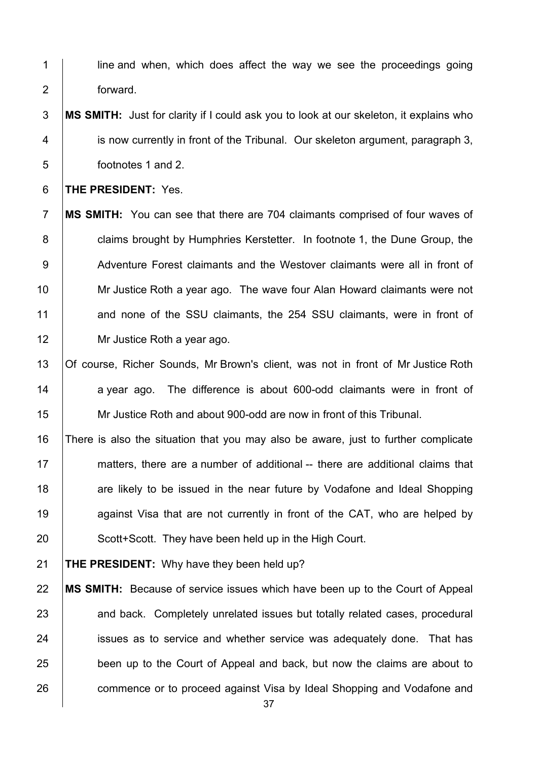- 1 | line and when, which does affect the way we see the proceedings going forward.
- **MS SMITH:** Just for clarity if I could ask you to look at our skeleton, it explains who **ignous currently in front of the Tribunal. Our skeleton argument, paragraph 3,** footnotes 1 and 2.

**THE PRESIDENT:** Yes.

- **MS SMITH:** You can see that there are 704 claimants comprised of four waves of **claims brought by Humphries Kerstetter.** In footnote 1, the Dune Group, the 9 Adventure Forest claimants and the Westover claimants were all in front of 10 Mr Justice Roth a year ago. The wave four Alan Howard claimants were not 11 and none of the SSU claimants, the 254 SSU claimants, were in front of 12 | Mr Justice Roth a year ago.
- 13 | Of course, Richer Sounds, Mr Brown's client, was not in front of Mr Justice Roth 14 a year ago. The difference is about 600-odd claimants were in front of Mr Justice Roth and about 900-odd are now in front of this Tribunal.
- There is also the situation that you may also be aware, just to further complicate matters, there are a number of additional -- there are additional claims that 18 are likely to be issued in the near future by Vodafone and Ideal Shopping **against Visa that are not currently in front of the CAT, who are helped by** 20 Scott+Scott. They have been held up in the High Court.

**THE PRESIDENT:** Why have they been held up?

 **MS SMITH:** Because of service issues which have been up to the Court of Appeal 23 and back. Completely unrelated issues but totally related cases, procedural **ignor** issues as to service and whether service was adequately done. That has **been up to the Court of Appeal and back**, but now the claims are about to **commence or to proceed against Visa by Ideal Shopping and Vodafone and**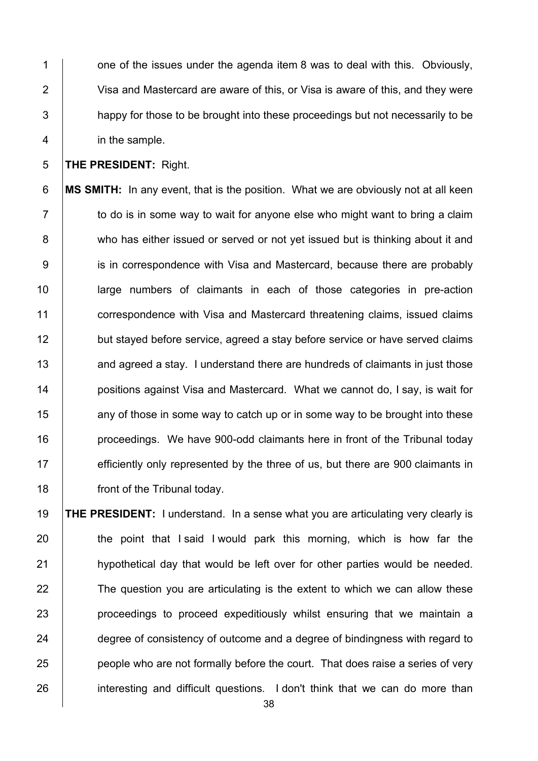1  $\vert$  one of the issues under the agenda item 8 was to deal with this. Obviously, 2 Visa and Mastercard are aware of this, or Visa is aware of this, and they were 3 happy for those to be brought into these proceedings but not necessarily to be 4 in the sample.

5 **THE PRESIDENT:** Right.

6 **MS SMITH:** In any event, that is the position. What we are obviously not at all keen  $7 \mid$  to do is in some way to wait for anyone else who might want to bring a claim 8 who has either issued or served or not yet issued but is thinking about it and 9 is in correspondence with Visa and Mastercard, because there are probably 10 large numbers of claimants in each of those categories in pre-action 11 **correspondence with Visa and Mastercard threatening claims, issued claims** 12 but stayed before service, agreed a stay before service or have served claims 13 and agreed a stay. I understand there are hundreds of claimants in just those 14 **positions against Visa and Mastercard. What we cannot do, I say, is wait for** 15 15 any of those in some way to catch up or in some way to be brought into these 16 **proceedings.** We have 900-odd claimants here in front of the Tribunal today 17 efficiently only represented by the three of us, but there are 900 claimants in 18 **front of the Tribunal today.** 

 **THE PRESIDENT:** I understand. In a sense what you are articulating very clearly is 20 the point that I said I would park this morning, which is how far the **hypothetical day that would be left over for other parties would be needed.**  The question you are articulating is the extent to which we can allow these **proceedings to proceed expeditiously whilst ensuring that we maintain a degree of consistency of outcome and a degree of bindingness with regard to people who are not formally before the court.** That does raise a series of very 26 interesting and difficult questions. I don't think that we can do more than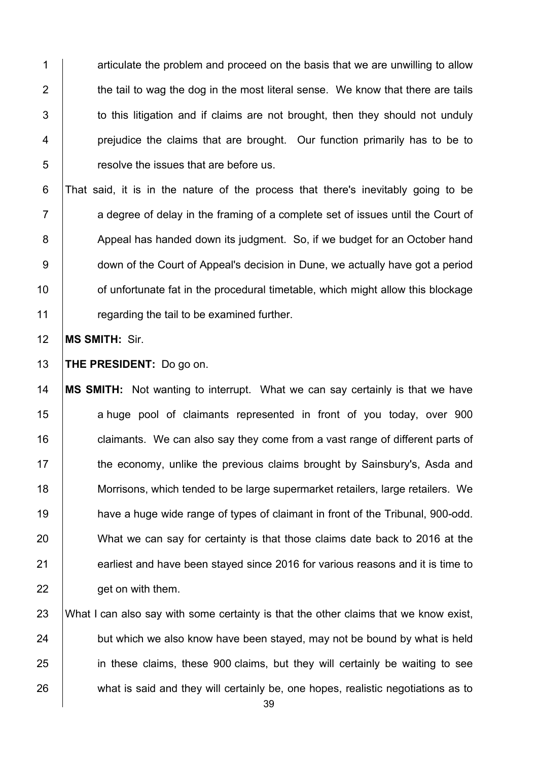1 1 articulate the problem and proceed on the basis that we are unwilling to allow  $\parallel$  the tail to wag the dog in the most literal sense. We know that there are tails  $\vert$  to this litigation and if claims are not brought, then they should not unduly **prejudice the claims that are brought.** Our function primarily has to be to **Fig.** resolve the issues that are before us.

 That said, it is in the nature of the process that there's inevitably going to be  $7 \mid$  a degree of delay in the framing of a complete set of issues until the Court of 8 Appeal has handed down its judgment. So, if we budget for an October hand **down of the Court of Appeal's decision in Dune, we actually have got a period f** of unfortunate fat in the procedural timetable, which might allow this blockage **Figure 1** regarding the tail to be examined further.

12 **MS SMITH:** Sir.

13 **THE PRESIDENT:** Do go on.

14 **MS SMITH:** Not wanting to interrupt. What we can say certainly is that we have 15 a huge pool of claimants represented in front of you today, over 900 16 **claimants.** We can also say they come from a vast range of different parts of 17 The economy, unlike the previous claims brought by Sainsbury's, Asda and 18 Morrisons, which tended to be large supermarket retailers, large retailers. We 19 **have a huge wide range of types of claimant in front of the Tribunal, 900-odd.** 20 What we can say for certainty is that those claims date back to 2016 at the 21 earliest and have been stayed since 2016 for various reasons and it is time to 22 **get on with them.** 

23 What I can also say with some certainty is that the other claims that we know exist, 24 but which we also know have been stayed, may not be bound by what is held 25 in these claims, these 900 claims, but they will certainly be waiting to see 26 what is said and they will certainly be, one hopes, realistic negotiations as to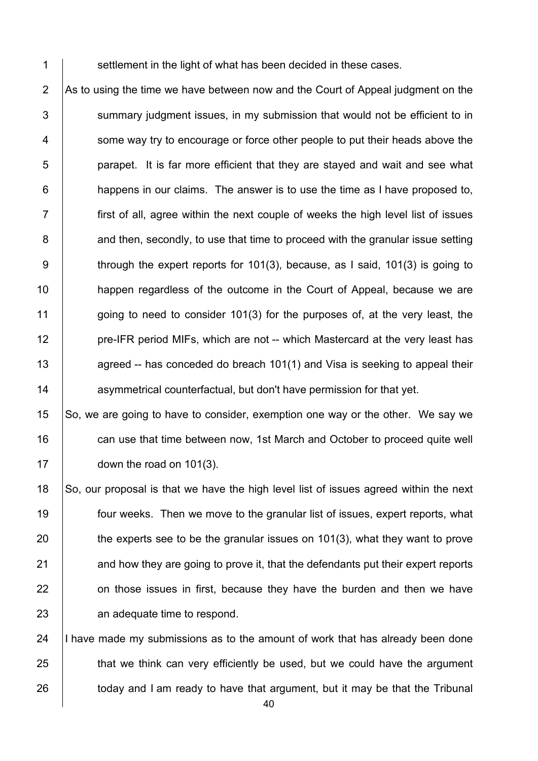1 Settlement in the light of what has been decided in these cases.

 $\vert$  As to using the time we have between now and the Court of Appeal judgment on the summary judgment issues, in my submission that would not be efficient to in 4 Some way try to encourage or force other people to put their heads above the **b** parapet. It is far more efficient that they are stayed and wait and see what | happens in our claims. The answer is to use the time as I have proposed to, first of all, agree within the next couple of weeks the high level list of issues 8 and then, secondly, to use that time to proceed with the granular issue setting 9 through the expert reports for 101(3), because, as I said, 101(3) is going to **happen regardless of the outcome in the Court of Appeal, because we are** 11 going to need to consider 101(3) for the purposes of, at the very least, the **pre-IFR period MIFs, which are not -- which Mastercard at the very least has agreed -- has conceded do breach 101(1)** and Visa is seeking to appeal their **14** asymmetrical counterfactual, but don't have permission for that yet.

 So, we are going to have to consider, exemption one way or the other. We say we 16 can use that time between now, 1st March and October to proceed quite well **down the road on 101(3)**.

18 So, our proposal is that we have the high level list of issues agreed within the next four weeks. Then we move to the granular list of issues, expert reports, what 20 the experts see to be the granular issues on 101(3), what they want to prove and how they are going to prove it, that the defendants put their expert reports **on those issues in first, because they have the burden and then we have an adequate time to respond.** 

24  $\parallel$  I have made my submissions as to the amount of work that has already been done  $\parallel$  that we think can very efficiently be used, but we could have the argument today and I am ready to have that argument, but it may be that the Tribunal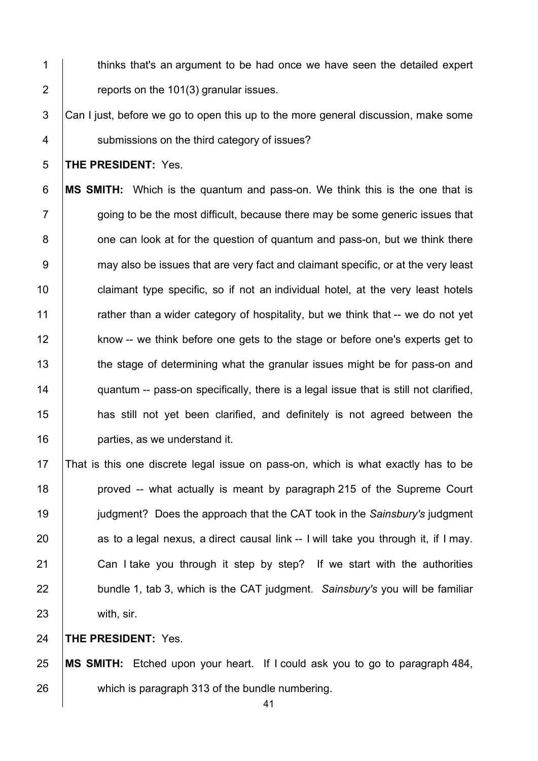- 1 thinks that's an argument to be had once we have seen the detailed expert 2  $\vert$  reports on the 101(3) granular issues.
- $\overline{\phantom{a}}$  Can I just, before we go to open this up to the more general discussion, make some 4 | submissions on the third category of issues?

**THE PRESIDENT:** Yes.

 **MS SMITH:** Which is the quantum and pass-on. We think this is the one that is  $7 \mid$  going to be the most difficult, because there may be some generic issues that  $\vert$  one can look at for the question of quantum and pass-on, but we think there 9 may also be issues that are very fact and claimant specific, or at the very least **claimant type specific, so if not an individual hotel, at the very least hotels** 11 The rather than a wider category of hospitality, but we think that -- we do not yet 12 know -- we think before one gets to the stage or before one's experts get to 13 the stage of determining what the granular issues might be for pass-on and **quantum -- pass-on specifically, there is a legal issue that is still not clarified, has still not yet been clarified, and definitely is not agreed between the parties**, as we understand it.

 That is this one discrete legal issue on pass-on, which is what exactly has to be **proved** -- what actually is meant by paragraph 215 of the Supreme Court judgment? Does the approach that the CAT took in the *Sainsbury's* judgment as to a legal nexus, a direct causal link -- I will take you through it, if I may. 21 Can I take you through it step by step? If we start with the authorities **bundle 1, tab 3, which is the CAT judgment.** Sainsbury's you will be familiar with, sir.

**THE PRESIDENT:** Yes.

 **MS SMITH:** Etched upon your heart. If I could ask you to go to paragraph 484, which is paragraph 313 of the bundle numbering.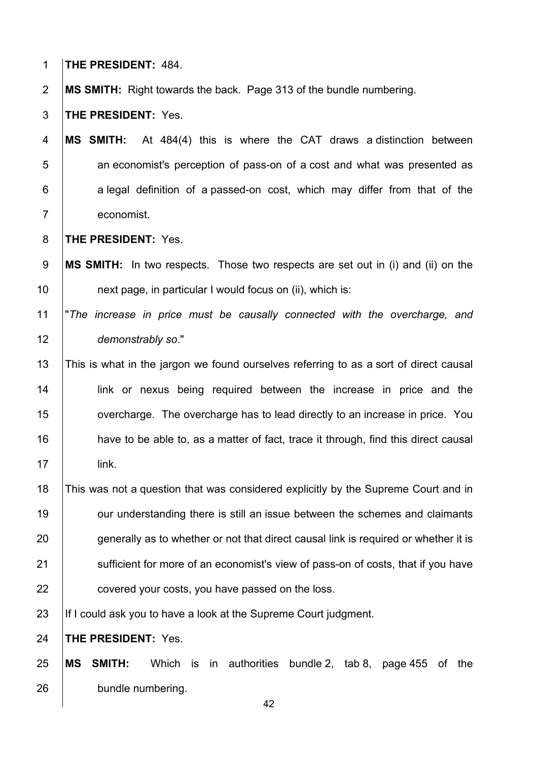**THE PRESIDENT:** 484.

**MS SMITH:** Right towards the back. Page 313 of the bundle numbering.

**THE PRESIDENT:** Yes.

 **MS SMITH:** At 484(4) this is where the CAT draws a distinction between **b** an economist's perception of pass-on of a cost and what was presented as a legal definition of a passed-on cost, which may differ from that of the economist.

**THE PRESIDENT:** Yes.

 **MS SMITH:** In two respects. Those two respects are set out in (i) and (ii) on the **next page, in particular I would focus on (ii), which is:** 

#### "*The increase in price must be causally connected with the overcharge, and demonstrably so*."

 This is what in the jargon we found ourselves referring to as a sort of direct causal 14 | link or nexus being required between the increase in price and the **overcharge.** The overcharge has to lead directly to an increase in price. You 16 have to be able to, as a matter of fact, trace it through, find this direct causal link.

 This was not a question that was considered explicitly by the Supreme Court and in **19** our understanding there is still an issue between the schemes and claimants 20 generally as to whether or not that direct causal link is required or whether it is 21 Sufficient for more of an economist's view of pass-on of costs, that if you have **covered your costs, you have passed on the loss.** 

23 | If I could ask you to have a look at the Supreme Court judgment.

**THE PRESIDENT:** Yes.

 **MS SMITH:** Which is in authorities bundle 2, tab 8, page 455 of the **bundle numbering**.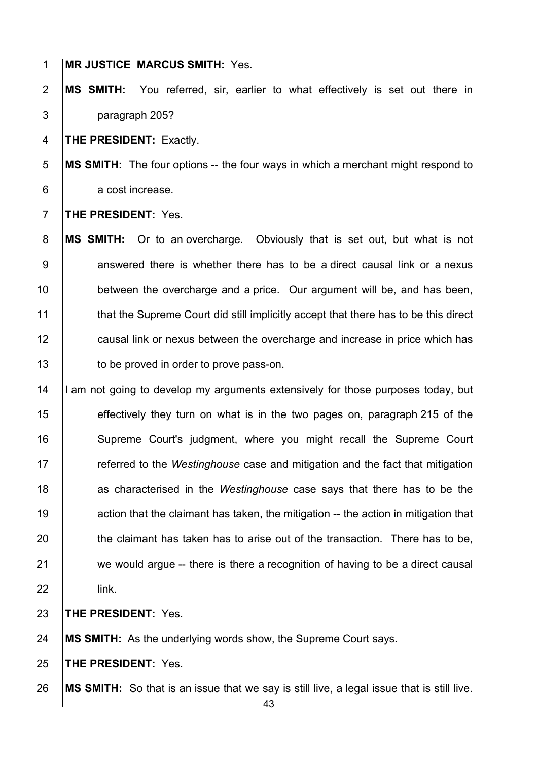**MR JUSTICE MARCUS SMITH:** Yes.

 **MS SMITH:** You referred, sir, earlier to what effectively is set out there in paragraph 205?

**THE PRESIDENT:** Exactly.

 **MS SMITH:** The four options -- the four ways in which a merchant might respond to 6 a cost increase.

**THE PRESIDENT:** Yes.

 **MS SMITH:** Or to an overcharge. Obviously that is set out, but what is not answered there is whether there has to be a direct causal link or a nexus **between the overcharge and a price.** Our argument will be, and has been, **that the Supreme Court did still implicitly accept that there has to be this direct causal link or nexus between the overcharge and increase in price which has to be proved in order to prove pass-on.** 

14 I am not going to develop my arguments extensively for those purposes today, but **effectively they turn on what is in the two pages on, paragraph 215 of the** 16 Supreme Court's judgment, where you might recall the Supreme Court **Fig.** referred to the *Westinghouse* case and mitigation and the fact that mitigation as characterised in the *Westinghouse* case says that there has to be the **19** action that the claimant has taken, the mitigation -- the action in mitigation that 20 the claimant has taken has to arise out of the transaction. There has to be, we would argue -- there is there a recognition of having to be a direct causal link.

**THE PRESIDENT:** Yes.

**MS SMITH:** As the underlying words show, the Supreme Court says.

**THE PRESIDENT:** Yes.

**MS SMITH:** So that is an issue that we say is still live, a legal issue that is still live.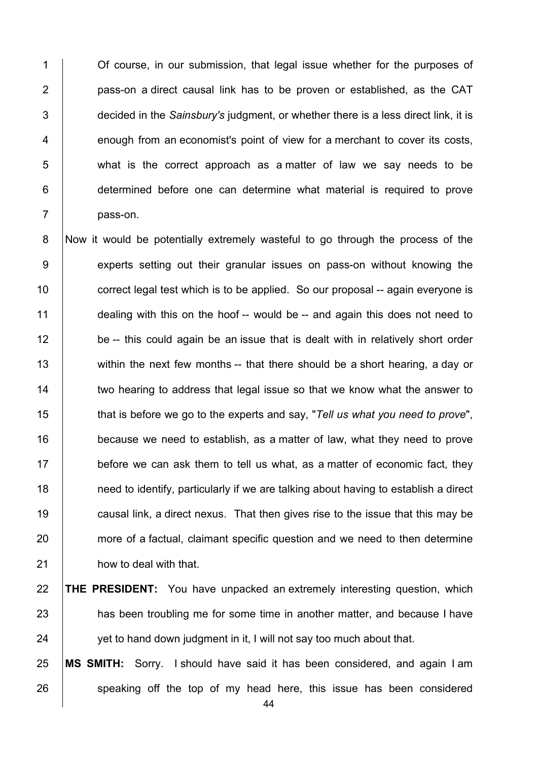**1** Of course, in our submission, that legal issue whether for the purposes of **pass-on a direct causal link has to be proven or established, as the CAT**  decided in the *Sainsbury's* judgment, or whether there is a less direct link, it is 4 enough from an economist's point of view for a merchant to cover its costs, what is the correct approach as a matter of law we say needs to be **determined before one can determine what material is required to prove** 7 **bass-on.** 

8 Now it would be potentially extremely wasteful to go through the process of the 9 experts setting out their granular issues on pass-on without knowing the 10 **correct legal test which is to be applied.** So our proposal -- again everyone is 11 dealing with this on the hoof -- would be -- and again this does not need to 12 be -- this could again be an issue that is dealt with in relatively short order 13 within the next few months -- that there should be a short hearing, a day or 14 two hearing to address that legal issue so that we know what the answer to 15 that is before we go to the experts and say, "*Tell us what you need to prove*", 16 **because we need to establish, as a matter of law, what they need to prove**  $17$  before we can ask them to tell us what, as a matter of economic fact, they 18 **1** need to identify, particularly if we are talking about having to establish a direct 19 **causal link, a direct nexus.** That then gives rise to the issue that this may be 20 more of a factual, claimant specific question and we need to then determine 21 **how to deal with that.** 

## 22 **THE PRESIDENT:** You have unpacked an extremely interesting question, which 23 has been troubling me for some time in another matter, and because I have 24 yet to hand down judgment in it, I will not say too much about that.

25 **MS SMITH:** Sorry. I should have said it has been considered, and again I am 26 speaking off the top of my head here, this issue has been considered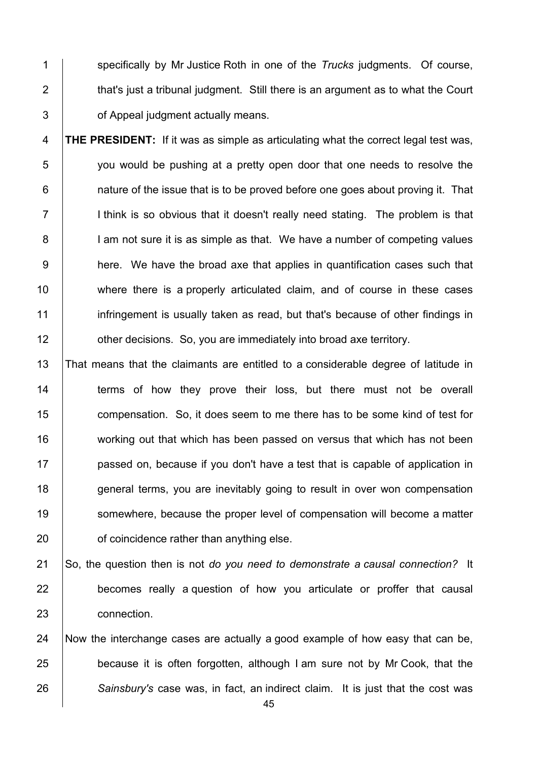specifically by Mr Justice Roth in one of the *Trucks* judgments. Of course, 2  $\parallel$  that's just a tribunal judgment. Still there is an argument as to what the Court **Supers** of Appeal judgment actually means.

 **THE PRESIDENT:** If it was as simple as articulating what the correct legal test was, you would be pushing at a pretty open door that one needs to resolve the | nature of the issue that is to be proved before one goes about proving it. That 7 I ithink is so obvious that it doesn't really need stating. The problem is that 8 | I am not sure it is as simple as that. We have a number of competing values **here.** We have the broad axe that applies in quantification cases such that 10 | where there is a properly articulated claim, and of course in these cases 11 infringement is usually taken as read, but that's because of other findings in **| other decisions.** So, you are immediately into broad axe territory.

 That means that the claimants are entitled to a considerable degree of latitude in 14 Terms of how they prove their loss, but there must not be overall **compensation.** So, it does seem to me there has to be some kind of test for 16 working out that which has been passed on versus that which has not been **passed on, because if you don't have a test that is capable of application in** 18 general terms, you are inevitably going to result in over won compensation 19 Somewhere, because the proper level of compensation will become a matter **b** of coincidence rather than anything else.

 So, the question then is not *do you need to demonstrate a causal connection?* It **becomes really a question of how you articulate or proffer that causal** connection.

 Now the interchange cases are actually a good example of how easy that can be, **because it is often forgotten, although I am sure not by Mr Cook, that the** *Sainsbury's* case was, in fact, an indirect claim. It is just that the cost was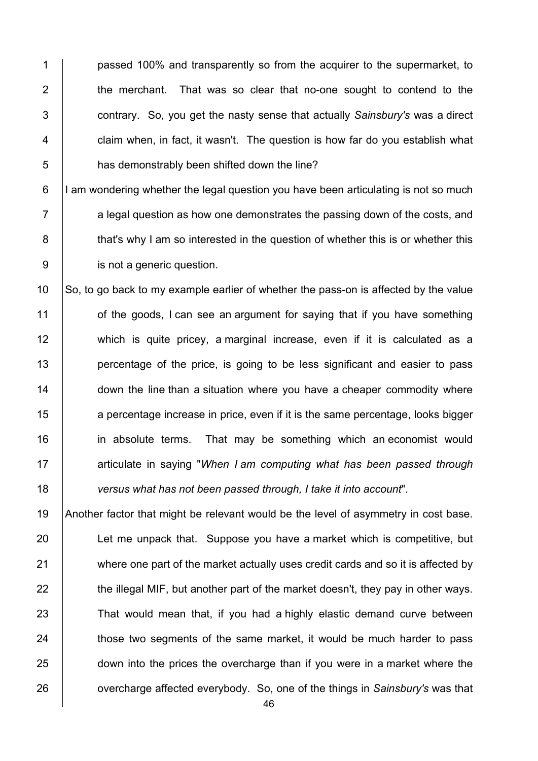1 **passed 100% and transparently so from the acquirer to the supermarket, to** 2 the merchant. That was so clear that no-one sought to contend to the 3 contrary. So, you get the nasty sense that actually *Sainsbury's* was a direct 4 | claim when, in fact, it wasn't. The question is how far do you establish what 5 **has demonstrably been shifted down the line?** 

 $6$  |I am wondering whether the legal question you have been articulating is not so much  $7 \mid$  a legal question as how one demonstrates the passing down of the costs, and 8 that's why I am so interested in the question of whether this is or whether this 9 **juliers** is not a generic question.

10 So, to go back to my example earlier of whether the pass-on is affected by the value 11 of the goods, I can see an argument for saying that if you have something 12 which is quite pricey, a marginal increase, even if it is calculated as a 13 percentage of the price, is going to be less significant and easier to pass 14 **down the line than a situation where you have a cheaper commodity where** 15 a percentage increase in price, even if it is the same percentage, looks bigger 16 **in absolute terms.** That may be something which an economist would 17 **Fig. 2** articulate in saying "*When I am computing what has been passed through* 18 *versus what has not been passed through, I take it into account*".

19 Another factor that might be relevant would be the level of asymmetry in cost base. 20 Let me unpack that. Suppose you have a market which is competitive, but 21 where one part of the market actually uses credit cards and so it is affected by  $22$  the illegal MIF, but another part of the market doesn't, they pay in other ways. 23 That would mean that, if you had a highly elastic demand curve between 24 those two segments of the same market, it would be much harder to pass 25 down into the prices the overcharge than if you were in a market where the 26 **overcharge affected everybody.** So, one of the things in *Sainsbury's* was that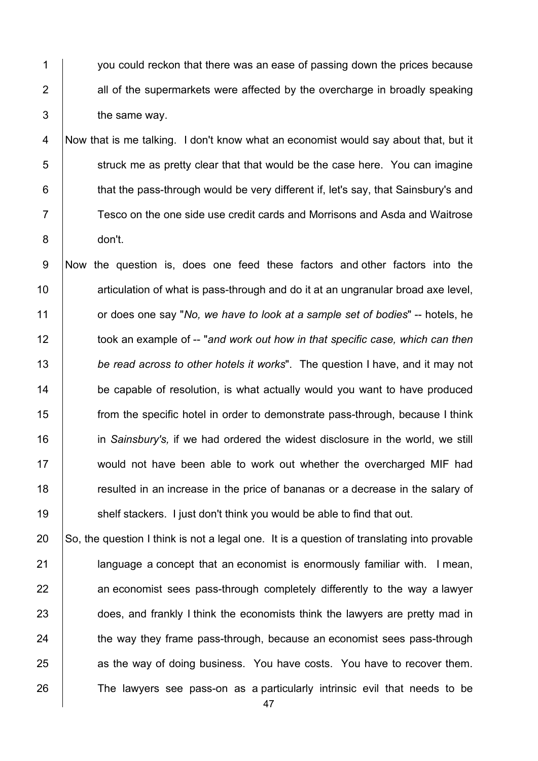1 you could reckon that there was an ease of passing down the prices because | all of the supermarkets were affected by the overcharge in broadly speaking  $3 \mid$  the same way.

 Now that is me talking. I don't know what an economist would say about that, but it struck me as pretty clear that that would be the case here. You can imagine **that the pass-through would be very different if, let's say, that Sainsbury's and** 7 Tesco on the one side use credit cards and Morrisons and Asda and Waitrose don't.

 Now the question is, does one feed these factors and other factors into the **Fig. 3** articulation of what is pass-through and do it at an ungranular broad axe level, or does one say "*No, we have to look at a sample set of bodies*" -- hotels, he **took an example of -- "and work out how in that specific case, which can then**  *be read across to other hotels it works*". The question I have, and it may not **be capable of resolution, is what actually would you want to have produced**  from the specific hotel in order to demonstrate pass-through, because I think in *Sainsbury's,* if we had ordered the widest disclosure in the world, we still would not have been able to work out whether the overcharged MIF had **Fig.** resulted in an increase in the price of bananas or a decrease in the salary of **Shelf stackers.** I just don't think you would be able to find that out.

20  $\vert$  So, the question I think is not a legal one. It is a question of translating into provable **|** language a concept that an economist is enormously familiar with. I mean,  $\parallel$  an economist sees pass-through completely differently to the way a lawyer 23 does, and frankly I think the economists think the lawyers are pretty mad in 24 the way they frame pass-through, because an economist sees pass-through 25 as the way of doing business. You have costs. You have to recover them. 26 The lawyers see pass-on as a particularly intrinsic evil that needs to be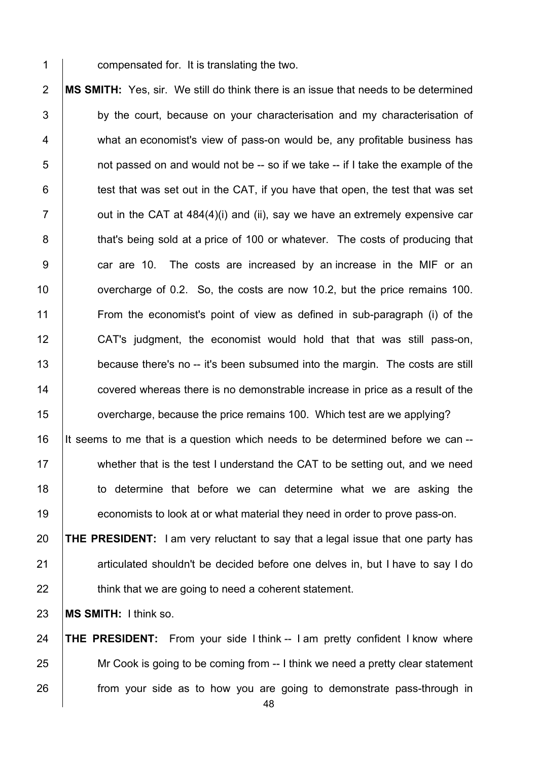compensated for. It is translating the two.

 **MS SMITH:** Yes, sir. We still do think there is an issue that needs to be determined 3 by the court, because on your characterisation and my characterisation of 4 what an economist's view of pass-on would be, any profitable business has  $5 \mid$  not passed on and would not be -- so if we take -- if I take the example of the | test that was set out in the CAT, if you have that open, the test that was set  $\vert$  out in the CAT at 484(4)(i) and (ii), say we have an extremely expensive car **that's being sold at a price of 100 or whatever.** The costs of producing that 9 car are 10. The costs are increased by an increase in the MIF or an **overcharge of 0.2.** So, the costs are now 10.2, but the price remains 100. From the economist's point of view as defined in sub-paragraph (i) of the CAT's judgment, the economist would hold that that was still pass-on, 13 because there's no -- it's been subsumed into the margin. The costs are still **covered whereas there is no demonstrable increase in price as a result of the overcharge, because the price remains 100.** Which test are we applying?

 It seems to me that is a question which needs to be determined before we can -- 17 Whether that is the test I understand the CAT to be setting out, and we need 18 to determine that before we can determine what we are asking the **economists to look at or what material they need in order to prove pass-on.** 

 **THE PRESIDENT:** I am very reluctant to say that a legal issue that one party has 21 articulated shouldn't be decided before one delves in, but I have to say I do  $\parallel$  think that we are going to need a coherent statement.

**MS SMITH:** I think so.

 **THE PRESIDENT:** From your side I think -- I am pretty confident I know where 25 Mr Cook is going to be coming from -- I think we need a pretty clear statement **from your side as to how you are going to demonstrate pass-through in**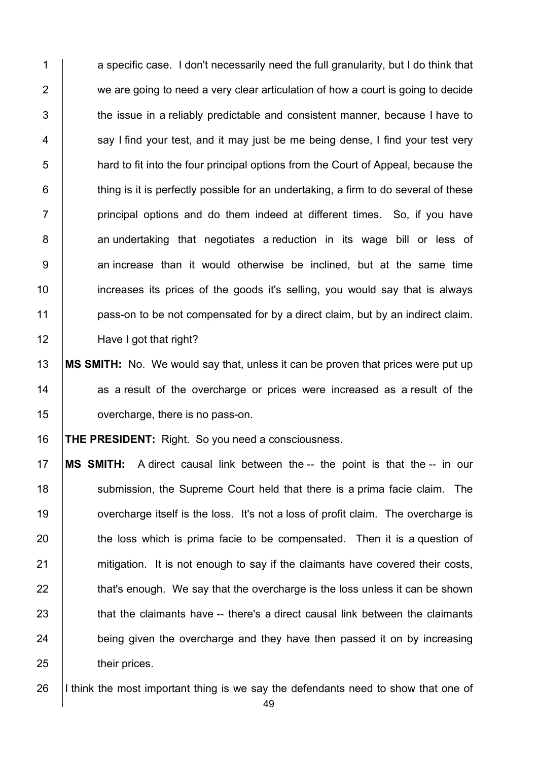1 a specific case. I don't necessarily need the full granularity, but I do think that 2 we are going to need a very clear articulation of how a court is going to decide  $\parallel$  the issue in a reliably predictable and consistent manner, because I have to say I find your test, and it may just be me being dense, I find your test very **hard to fit into the four principal options from the Court of Appeal, because the**   $\vert$  thing is it is perfectly possible for an undertaking, a firm to do several of these | principal options and do them indeed at different times. So, if you have 8 an undertaking that negotiates a reduction in its wage bill or less of 9 an increase than it would otherwise be inclined, but at the same time **increases its prices of the goods it's selling, you would say that is always pass-on to be not compensated for by a direct claim, but by an indirect claim.** 12 | Have I got that right?

 **MS SMITH:** No. We would say that, unless it can be proven that prices were put up as a result of the overcharge or prices were increased as a result of the **overcharge, there is no pass-on.** 

**THE PRESIDENT:** Right. So you need a consciousness.

 **MS SMITH:** A direct causal link between the -- the point is that the -- in our 18 Submission, the Supreme Court held that there is a prima facie claim. The **overcharge itself is the loss.** It's not a loss of profit claim. The overcharge is 20 the loss which is prima facie to be compensated. Then it is a question of 21 mitigation. It is not enough to say if the claimants have covered their costs, that's enough. We say that the overcharge is the loss unless it can be shown  $\parallel$  that the claimants have -- there's a direct causal link between the claimants 24 being given the overcharge and they have then passed it on by increasing **heir prices**.

26 I think the most important thing is we say the defendants need to show that one of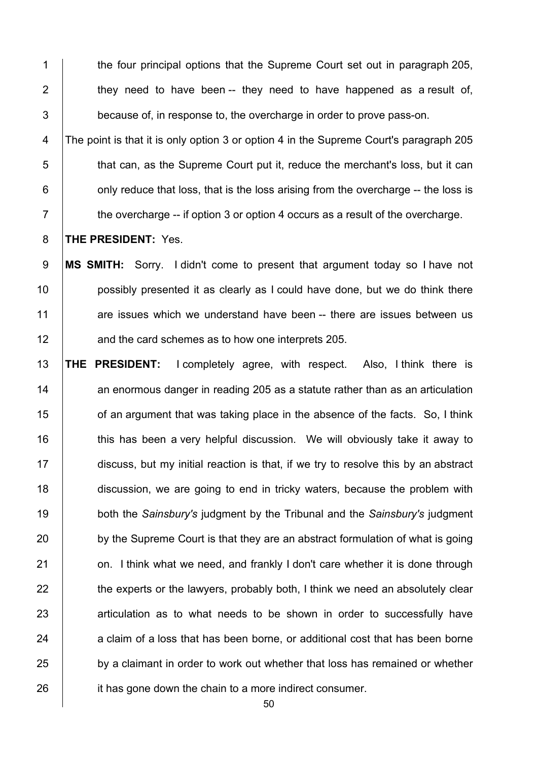1 the four principal options that the Supreme Court set out in paragraph 205,  $2 \mid$  they need to have been -- they need to have happened as a result of, 3 because of, in response to, the overcharge in order to prove pass-on. 4 The point is that it is only option 3 or option 4 in the Supreme Court's paragraph 205 5 **that can, as the Supreme Court put it, reduce the merchant's loss, but it can**  $6$  | only reduce that loss, that is the loss arising from the overcharge -- the loss is

 $7 \mid$  the overcharge -- if option 3 or option 4 occurs as a result of the overcharge.

8 **THE PRESIDENT:** Yes.

 **MS SMITH:** Sorry. I didn't come to present that argument today so I have not **possibly presented it as clearly as I could have done, but we do think there** 11 are issues which we understand have been -- there are issues between us **and the card schemes as to how one interprets 205.** 

13 **THE PRESIDENT:** I completely agree, with respect. Also, I think there is  $14$  an enormous danger in reading 205 as a statute rather than as an articulation 15 **15** of an argument that was taking place in the absence of the facts. So, I think 16 this has been a very helpful discussion. We will obviously take it away to 17 discuss, but my initial reaction is that, if we try to resolve this by an abstract 18 discussion, we are going to end in tricky waters, because the problem with 19 both the *Sainsbury's* judgment by the Tribunal and the *Sainsbury's* judgment 20 by the Supreme Court is that they are an abstract formulation of what is going 21 **on.** I think what we need, and frankly I don't care whether it is done through 22 the experts or the lawyers, probably both, I think we need an absolutely clear 23 articulation as to what needs to be shown in order to successfully have  $24$  a claim of a loss that has been borne, or additional cost that has been borne 25 by a claimant in order to work out whether that loss has remained or whether 26 **ignor** it has gone down the chain to a more indirect consumer.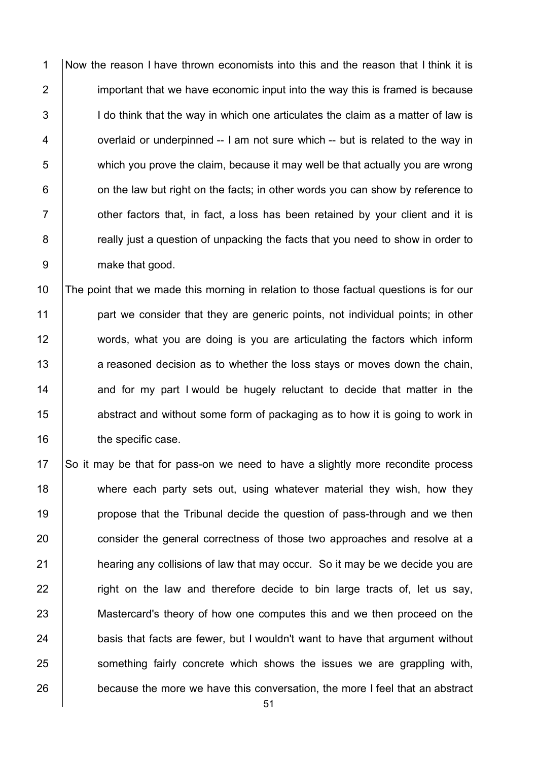Now the reason I have thrown economists into this and the reason that I think it is 2 important that we have economic input into the way this is framed is because 3 I do think that the way in which one articulates the claim as a matter of law is 4 | overlaid or underpinned -- I am not sure which -- but is related to the way in which you prove the claim, because it may well be that actually you are wrong | on the law but right on the facts; in other words you can show by reference to  $\parallel$  other factors that, in fact, a loss has been retained by your client and it is **Fig.** really just a question of unpacking the facts that you need to show in order to make that good.

10 The point that we made this morning in relation to those factual questions is for our 11 **part we consider that they are generic points, not individual points; in other** 12 words, what you are doing is you are articulating the factors which inform 13 a reasoned decision as to whether the loss stays or moves down the chain,  $14$  and for my part I would be hugely reluctant to decide that matter in the 15 **abstract and without some form of packaging as to how it is going to work in** 16 **the specific case.** 

17 So it may be that for pass-on we need to have a slightly more recondite process 18 where each party sets out, using whatever material they wish, how they 19 **propose that the Tribunal decide the question of pass-through and we then** 20 consider the general correctness of those two approaches and resolve at a 21 **hearing any collisions of law that may occur.** So it may be we decide you are  $22$   $\parallel$  right on the law and therefore decide to bin large tracts of, let us say, 23 Mastercard's theory of how one computes this and we then proceed on the 24 basis that facts are fewer, but I wouldn't want to have that argument without 25 Something fairly concrete which shows the issues we are grappling with, 26 because the more we have this conversation, the more I feel that an abstract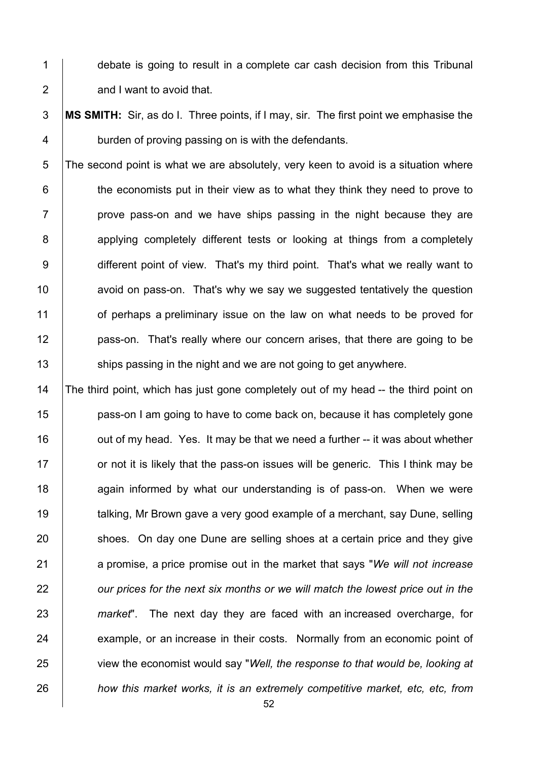1 debate is going to result in a complete car cash decision from this Tribunal **and I want to avoid that.** 

 **MS SMITH:** Sir, as do I. Three points, if I may, sir. The first point we emphasise the 4 burden of proving passing on is with the defendants.

 The second point is what we are absolutely, very keen to avoid is a situation where | the economists put in their view as to what they think they need to prove to | prove pass-on and we have ships passing in the night because they are 8 applying completely different tests or looking at things from a completely 9 different point of view. That's my third point. That's what we really want to **a**void on pass-on. That's why we say we suggested tentatively the question 11 of perhaps a preliminary issue on the law on what needs to be proved for **pass-on.** That's really where our concern arises, that there are going to be **Ships passing in the night and we are not going to get anywhere.** 

14 The third point, which has just gone completely out of my head -- the third point on **pass-on I am going to have to come back on, because it has completely gone**  $\parallel$  out of my head. Yes. It may be that we need a further -- it was about whether or not it is likely that the pass-on issues will be generic. This I think may be **18** again informed by what our understanding is of pass-on. When we were **talking, Mr Brown gave a very good example of a merchant, say Dune, selling** 20 shoes. On day one Dune are selling shoes at a certain price and they give a promise, a price promise out in the market that says "*We will not increase our prices for the next six months or we will match the lowest price out in the market*". The next day they are faced with an increased overcharge, for 24 example, or an increase in their costs. Normally from an economic point of view the economist would say "*Well, the response to that would be, looking at how this market works, it is an extremely competitive market, etc, etc, from*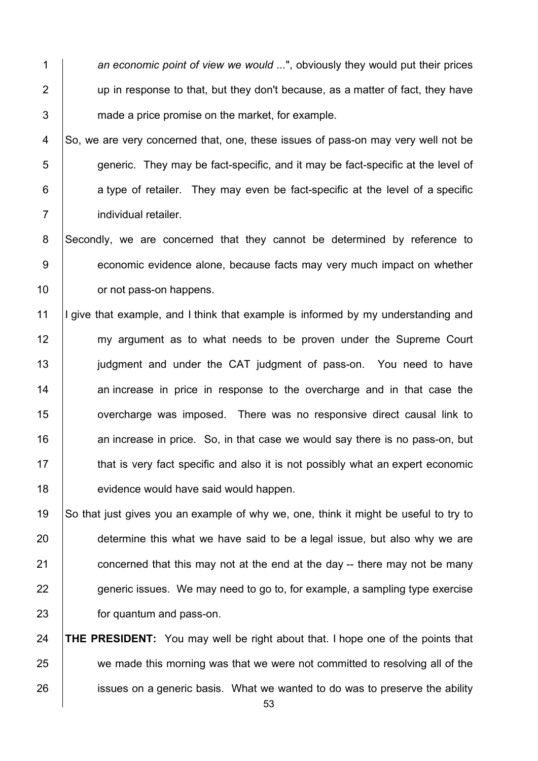1 *an economic point of view we would ...*", obviously they would put their prices  $2 \mid$  up in response to that, but they don't because, as a matter of fact, they have 3 made a price promise on the market, for example.

 So, we are very concerned that, one, these issues of pass-on may very well not be  $\overline{5}$  generic. They may be fact-specific, and it may be fact-specific at the level of a type of retailer. They may even be fact-specific at the level of a specific **individual retailer.** 

8 Secondly, we are concerned that they cannot be determined by reference to 9 economic evidence alone, because facts may very much impact on whether 10 **compared fracts** or not pass-on happens.

11 I give that example, and I think that example is informed by my understanding and 12 my argument as to what needs to be proven under the Supreme Court 13 | judgment and under the CAT judgment of pass-on. You need to have 14 an increase in price in response to the overcharge and in that case the 15 **overcharge was imposed.** There was no responsive direct causal link to  $16$  an increase in price. So, in that case we would say there is no pass-on, but 17 **that is very fact specific and also it is not possibly what an expert economic** 18 **evidence would have said would happen.** 

19 So that just gives you an example of why we, one, think it might be useful to try to 20 determine this what we have said to be a legal issue, but also why we are 21  $\vert$  concerned that this may not at the end at the day -- there may not be many 22 generic issues. We may need to go to, for example, a sampling type exercise 23 **for quantum and pass-on.** 

24 **THE PRESIDENT:** You may well be right about that. I hope one of the points that 25 we made this morning was that we were not committed to resolving all of the 26 issues on a generic basis. What we wanted to do was to preserve the ability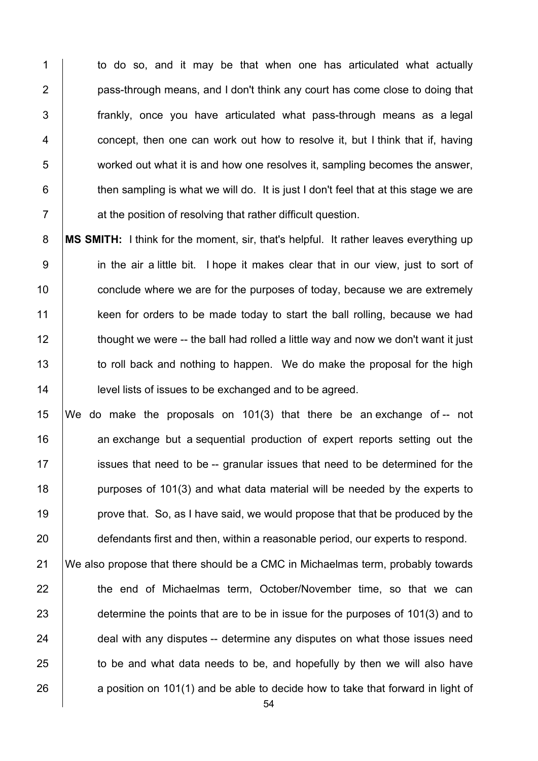1 to do so, and it may be that when one has articulated what actually **pass-through means, and I don't think any court has come close to doing that frankly**, once you have articulated what pass-through means as a legal 4 | concept, then one can work out how to resolve it, but I think that if, having worked out what it is and how one resolves it, sampling becomes the answer,  $\parallel$  then sampling is what we will do. It is just I don't feel that at this stage we are **Fig. 2** at the position of resolving that rather difficult question.

 **MS SMITH:** I think for the moment, sir, that's helpful. It rather leaves everything up 9 in the air a little bit. I hope it makes clear that in our view, just to sort of **conclude where we are for the purposes of today, because we are extremely keen for orders to be made today to start the ball rolling, because we had** 12 thought we were -- the ball had rolled a little way and now we don't want it just 13 to roll back and nothing to happen. We do make the proposal for the high **level lists of issues to be exchanged and to be agreed.** 

 We do make the proposals on 101(3) that there be an exchange of -- not 16 an exchange but a sequential production of expert reports setting out the **i** issues that need to be -- granular issues that need to be determined for the **purposes of 101(3)** and what data material will be needed by the experts to **prove that.** So, as I have said, we would propose that that be produced by the 20 defendants first and then, within a reasonable period, our experts to respond.

 We also propose that there should be a CMC in Michaelmas term, probably towards **the end of Michaelmas term, October/November time, so that we can** 23 determine the points that are to be in issue for the purposes of 101(3) and to 24 deal with any disputes -- determine any disputes on what those issues need to be and what data needs to be, and hopefully by then we will also have 26 a position on 101(1) and be able to decide how to take that forward in light of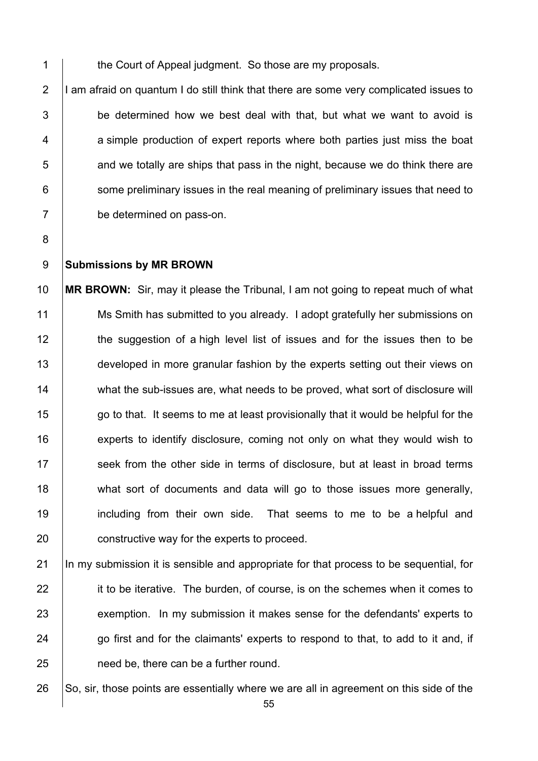1 the Court of Appeal judgment. So those are my proposals.

 $\vert$ I am afraid on quantum I do still think that there are some very complicated issues to be determined how we best deal with that, but what we want to avoid is 4 a simple production of expert reports where both parties just miss the boat and we totally are ships that pass in the night, because we do think there are some preliminary issues in the real meaning of preliminary issues that need to be determined on pass-on.

- 8
- 

#### 9 **Submissions by MR BROWN**

10 **MR BROWN:** Sir, may it please the Tribunal, I am not going to repeat much of what 11 Ms Smith has submitted to you already. I adopt gratefully her submissions on 12 the suggestion of a high level list of issues and for the issues then to be 13 developed in more granular fashion by the experts setting out their views on 14 what the sub-issues are, what needs to be proved, what sort of disclosure will 15 go to that. It seems to me at least provisionally that it would be helpful for the 16 **Experts to identify disclosure, coming not only on what they would wish to** 17 Seek from the other side in terms of disclosure, but at least in broad terms 18 what sort of documents and data will go to those issues more generally, 19 including from their own side. That seems to me to be a helpful and 20 **constructive way for the experts to proceed.** 

21 In my submission it is sensible and appropriate for that process to be sequential, for 22 it to be iterative. The burden, of course, is on the schemes when it comes to 23 exemption. In my submission it makes sense for the defendants' experts to  $24$   $\Box$  go first and for the claimants' experts to respond to that, to add to it and, if 25 **need be, there can be a further round.** 

26  $\vert$  So, sir, those points are essentially where we are all in agreement on this side of the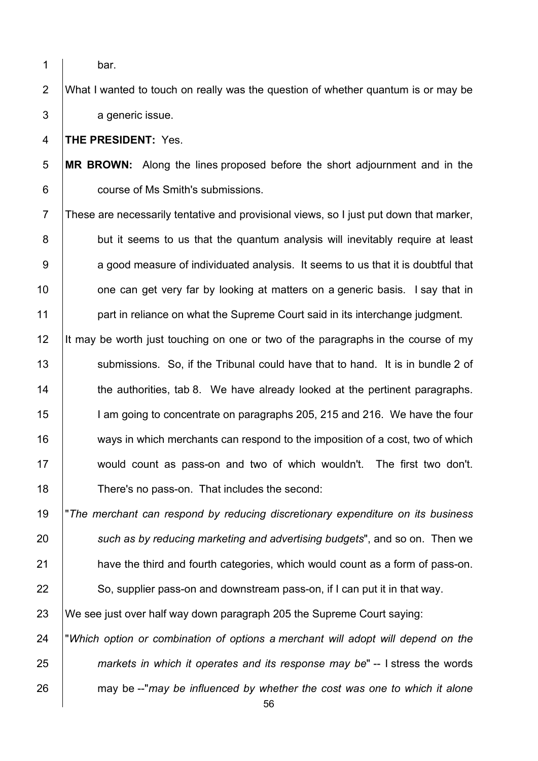- 
- 1 bar.

 What I wanted to touch on really was the question of whether quantum is or may be 3 a generic issue.

**THE PRESIDENT:** Yes.

 **MR BROWN:** Along the lines proposed before the short adjournment and in the **course of Ms Smith's submissions.** 

 These are necessarily tentative and provisional views, so I just put down that marker, 8 but it seems to us that the quantum analysis will inevitably require at least  $9 \mid$  a good measure of individuated analysis. It seems to us that it is doubtful that  $\parallel$  one can get very far by looking at matters on a generic basis. I say that in **part in reliance on what the Supreme Court said in its interchange judgment.** 

12 It may be worth just touching on one or two of the paragraphs in the course of my 13 Submissions. So, if the Tribunal could have that to hand. It is in bundle 2 of **the authorities, tab 8.** We have already looked at the pertinent paragraphs. **I** am going to concentrate on paragraphs 205, 215 and 216. We have the four ways in which merchants can respond to the imposition of a cost, two of which 17 would count as pass-on and two of which wouldn't. The first two don't. 18 There's no pass-on. That includes the second:

 "*The merchant can respond by reducing discretionary expenditure on its business such as by reducing marketing and advertising budgets*", and so on. Then we **have the third and fourth categories, which would count as a form of pass-on.** 22 So, supplier pass-on and downstream pass-on, if I can put it in that way.

We see just over half way down paragraph 205 the Supreme Court saying:

 "*Which option or combination of options a merchant will adopt will depend on the markets in which it operates and its response may be*" -- I stress the words may be --"*may be influenced by whether the cost was one to which it alone*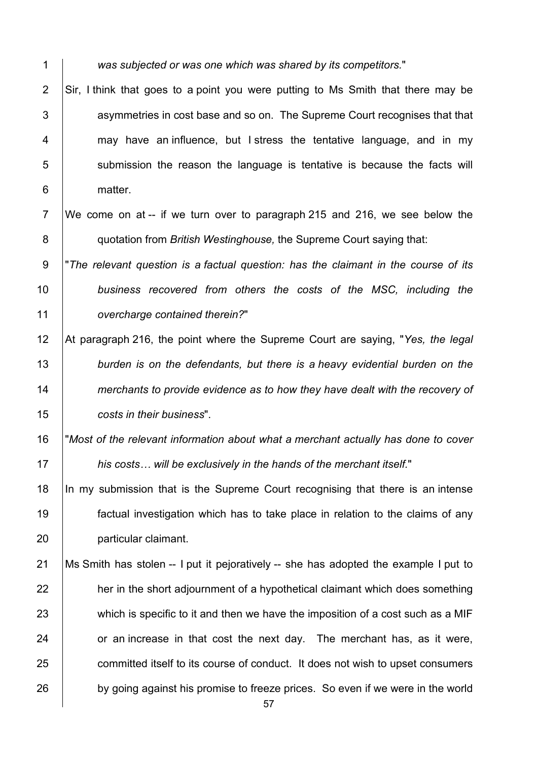*was subjected or was one which was shared by its competitors.*"

2  $\vert$  Sir, I think that goes to a point you were putting to Ms Smith that there may be 3 decript asymmetries in cost base and so on. The Supreme Court recognises that that 4 may have an influence, but I stress the tentative language, and in my submission the reason the language is tentative is because the facts will 6 | matter.

 We come on at -- if we turn over to paragraph 215 and 216, we see below the **quotation from** *British Westinghouse*, the Supreme Court saying that:

 "*The relevant question is a factual question: has the claimant in the course of its business recovered from others the costs of the MSC, including the overcharge contained therein?*"

- At paragraph 216, the point where the Supreme Court are saying, "*Yes, the legal burden is on the defendants, but there is a heavy evidential burden on the merchants to provide evidence as to how they have dealt with the recovery of costs in their business*".
- "*Most of the relevant information about what a merchant actually has done to cover his costs… will be exclusively in the hands of the merchant itself.*"

 In my submission that is the Supreme Court recognising that there is an intense factual investigation which has to take place in relation to the claims of any particular claimant.

21 | Ms Smith has stolen -- I put it pejoratively -- she has adopted the example I put to her in the short adiournment of a hypothetical claimant which does something 23 which is specific to it and then we have the imposition of a cost such as a MIF or an increase in that cost the next day. The merchant has, as it were, 25 committed itself to its course of conduct. It does not wish to upset consumers 26 by going against his promise to freeze prices. So even if we were in the world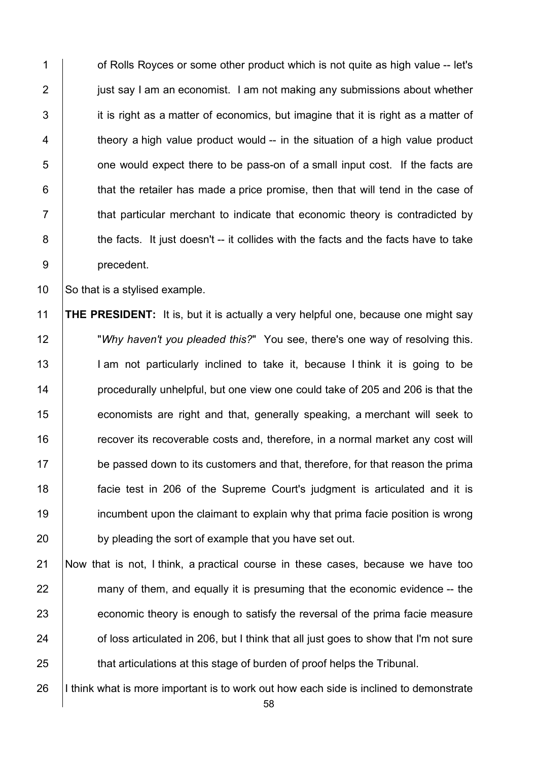**1** of Rolls Royces or some other product which is not quite as high value -- let's **just say I am an economist. I am not making any submissions about whether**  it is right as a matter of economics, but imagine that it is right as a matter of  $\parallel$  theory a high value product would -- in the situation of a high value product **b** one would expect there to be pass-on of a small input cost. If the facts are  $\vert$  that the retailer has made a price promise, then that will tend in the case of  $\parallel$  that particular merchant to indicate that economic theory is contradicted by 8 the facts. It just doesn't -- it collides with the facts and the facts have to take precedent.

10 So that is a stylised example.

 **THE PRESIDENT:** It is, but it is actually a very helpful one, because one might say "*Why haven't you pleaded this?*" You see, there's one way of resolving this. 13 | I am not particularly inclined to take it, because I think it is going to be **procedurally unhelpful, but one view one could take of 205 and 206 is that the economists are right and that, generally speaking, a merchant will seek to Fig.** recover its recoverable costs and, therefore, in a normal market any cost will 17 be passed down to its customers and that, therefore, for that reason the prima facie test in 206 of the Supreme Court's judgment is articulated and it is **incumbent upon the claimant to explain why that prima facie position is wrong** 20 by pleading the sort of example that you have set out.

 Now that is not, I think, a practical course in these cases, because we have too 22 many of them, and equally it is presuming that the economic evidence -- the 23 economic theory is enough to satisfy the reversal of the prima facie measure **of loss articulated in 206, but I think that all just goes to show that I'm not sure that articulations at this stage of burden of proof helps the Tribunal.** 

26 I think what is more important is to work out how each side is inclined to demonstrate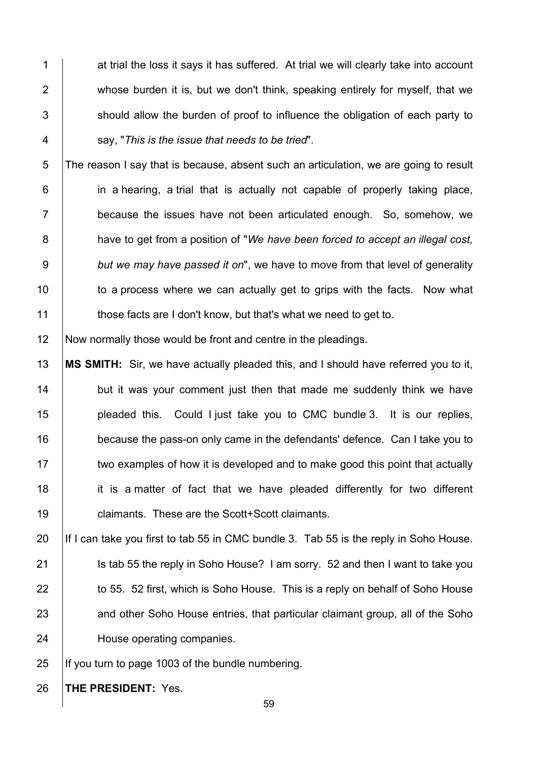1 at trial the loss it says it has suffered. At trial we will clearly take into account 2 whose burden it is, but we don't think, speaking entirely for myself, that we 3 Should allow the burden of proof to influence the obligation of each party to 4 say, "*This is the issue that needs to be tried*".

 The reason I say that is because, absent such an articulation, we are going to result **in a hearing, a trial that is actually not capable of properly taking place,**  because the issues have not been articulated enough. So, somehow, we have to get from a position of "*We have been forced to accept an illegal cost, but we may have passed it on*", we have to move from that level of generality 10 to a process where we can actually get to grips with the facts. Now what **those facts are I don't know, but that's what we need to get to.** 

12 Now normally those would be front and centre in the pleadings.

 **MS SMITH:** Sir, we have actually pleaded this, and I should have referred you to it, **but it was your comment just then that made me suddenly think we have pleaded this.** Could I just take you to CMC bundle 3. It is our replies, 16 because the pass-on only came in the defendants' defence. Can I take you to 17 two examples of how it is developed and to make good this point that actually it is a matter of fact that we have pleaded differently for two different **claimants.** These are the Scott+Scott claimants.

20 If I can take you first to tab 55 in CMC bundle 3. Tab 55 is the reply in Soho House. 21 Is tab 55 the reply in Soho House? I am sorry. 52 and then I want to take you 22 **to 55. 52 first, which is Soho House. This is a reply on behalf of Soho House** 23 and other Soho House entries, that particular claimant group, all of the Soho 24 House operating companies.

25  $\parallel$  If you turn to page 1003 of the bundle numbering.

26 **THE PRESIDENT:** Yes.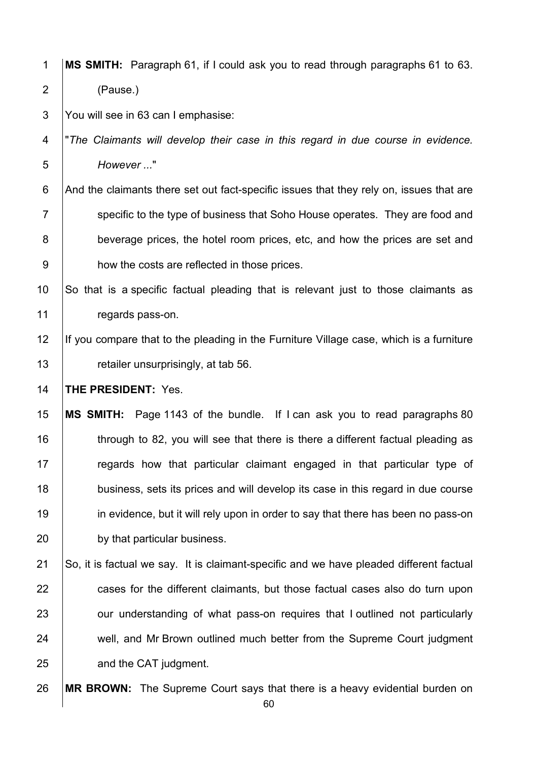1 **MS SMITH:** Paragraph 61, if I could ask you to read through paragraphs 61 to 63. 2 (Pause.)

3 You will see in 63 can I emphasise:

4 "*The Claimants will develop their case in this regard in due course in evidence.*  5 *However ...*"

6 And the claimants there set out fact-specific issues that they rely on, issues that are 7 Specific to the type of business that Soho House operates. They are food and 8 beverage prices, the hotel room prices, etc, and how the prices are set and 9 how the costs are reflected in those prices.

10 So that is a specific factual pleading that is relevant just to those claimants as 11 | regards pass-on.

12 If you compare that to the pleading in the Furniture Village case, which is a furniture 13 **Fig. 3** retailer unsurprisingly, at tab 56.

14 **THE PRESIDENT:** Yes.

15 **MS SMITH:** Page 1143 of the bundle. If I can ask you to read paragraphs 80 16 through to 82, you will see that there is there a different factual pleading as 17 **Figure 2** regards how that particular claimant engaged in that particular type of 18 business, sets its prices and will develop its case in this regard in due course 19 in evidence, but it will rely upon in order to say that there has been no pass-on 20 by that particular business.

 $21$  So, it is factual we say. It is claimant-specific and we have pleaded different factual 22 cases for the different claimants, but those factual cases also do turn upon 23 **J** our understanding of what pass-on requires that I outlined not particularly 24 well, and Mr Brown outlined much better from the Supreme Court judgment 25 **and the CAT judgment.** 

26 **MR BROWN:** The Supreme Court says that there is a heavy evidential burden on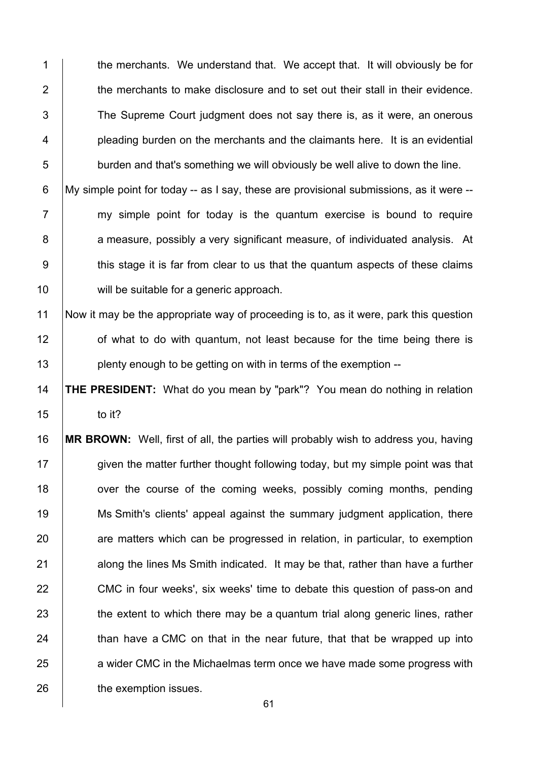1 the merchants. We understand that. We accept that. It will obviously be for 2  $\parallel$  the merchants to make disclosure and to set out their stall in their evidence. 3 The Supreme Court judgment does not say there is, as it were, an onerous 4 **pleading burden on the merchants and the claimants here.** It is an evidential  $5$   $\vert$  burden and that's something we will obviously be well alive to down the line.

6  $\mid$  My simple point for today -- as I say, these are provisional submissions, as it were -- $7$  my simple point for today is the quantum exercise is bound to require 8 a measure, possibly a very significant measure, of individuated analysis. At 9 this stage it is far from clear to us that the quantum aspects of these claims 10 | will be suitable for a generic approach.

11 Now it may be the appropriate way of proceeding is to, as it were, park this question 12 of what to do with quantum, not least because for the time being there is 13 **plenty enough to be getting on with in terms of the exemption** --

14 **THE PRESIDENT:** What do you mean by "park"? You mean do nothing in relation  $15$  to it?

16 **MR BROWN:** Well, first of all, the parties will probably wish to address you, having 17 given the matter further thought following today, but my simple point was that 18 over the course of the coming weeks, possibly coming months, pending 19 Ms Smith's clients' appeal against the summary judgment application, there 20 are matters which can be progressed in relation, in particular, to exemption 21 along the lines Ms Smith indicated. It may be that, rather than have a further 22 CMC in four weeks', six weeks' time to debate this question of pass-on and  $23$  the extent to which there may be a quantum trial along generic lines, rather  $24$   $\parallel$  than have a CMC on that in the near future, that that be wrapped up into 25 a wider CMC in the Michaelmas term once we have made some progress with 26 **the exemption issues.**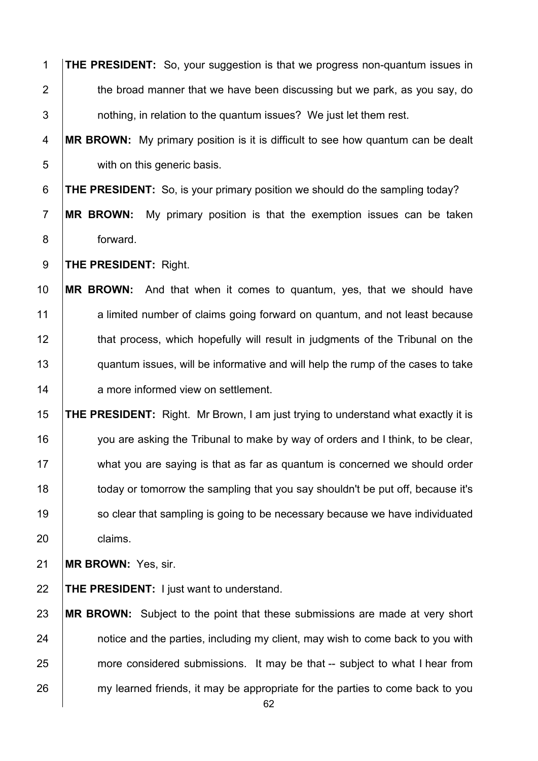| $\mathbf{1}$   | <b>THE PRESIDENT:</b> So, your suggestion is that we progress non-quantum issues in      |
|----------------|------------------------------------------------------------------------------------------|
| $\overline{2}$ | the broad manner that we have been discussing but we park, as you say, do                |
| 3              | nothing, in relation to the quantum issues? We just let them rest.                       |
| 4              | MR BROWN: My primary position is it is difficult to see how quantum can be dealt         |
| 5              | with on this generic basis.                                                              |
| 6              | <b>THE PRESIDENT:</b> So, is your primary position we should do the sampling today?      |
| $\overline{7}$ | <b>MR BROWN:</b><br>My primary position is that the exemption issues can be taken        |
| $\bf 8$        | forward.                                                                                 |
| $9\,$          | <b>THE PRESIDENT: Right.</b>                                                             |
| 10             | <b>MR BROWN:</b><br>And that when it comes to quantum, yes, that we should have          |
| 11             | a limited number of claims going forward on quantum, and not least because               |
| 12             | that process, which hopefully will result in judgments of the Tribunal on the            |
| 13             | quantum issues, will be informative and will help the rump of the cases to take          |
| 14             | a more informed view on settlement.                                                      |
| 15             | <b>THE PRESIDENT:</b> Right. Mr Brown, I am just trying to understand what exactly it is |
| 16             | you are asking the Tribunal to make by way of orders and I think, to be clear,           |
| 17             | what you are saying is that as far as quantum is concerned we should order               |
| 18             | today or tomorrow the sampling that you say shouldn't be put off, because it's           |
| 19             | so clear that sampling is going to be necessary because we have individuated             |
| 20             | claims.                                                                                  |
| 21             | MR BROWN: Yes, sir.                                                                      |
| 22             | <b>THE PRESIDENT:</b> I just want to understand.                                         |
| 23             | MR BROWN: Subject to the point that these submissions are made at very short             |
| 24             | notice and the parties, including my client, may wish to come back to you with           |
| 25             | more considered submissions. It may be that -- subject to what I hear from               |
| 26             | my learned friends, it may be appropriate for the parties to come back to you            |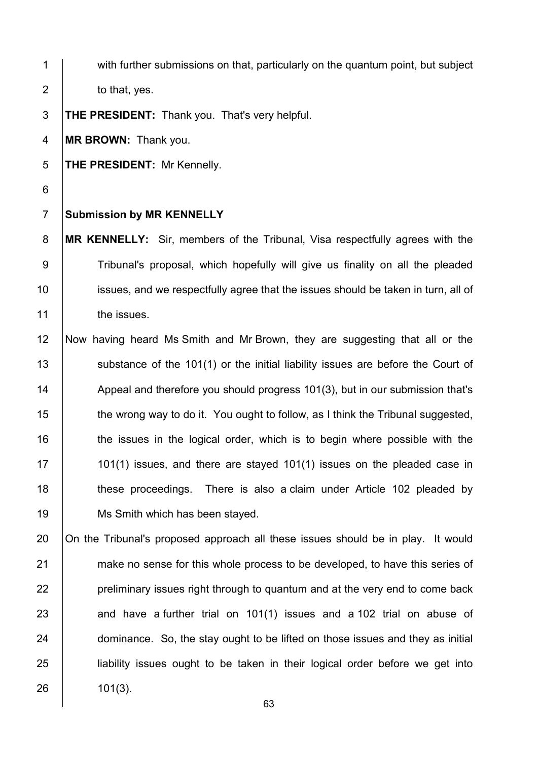1 with further submissions on that, particularly on the quantum point, but subject  $2 \quad$  to that, yes. 3 **THE PRESIDENT:** Thank you. That's very helpful. 4 **MR BROWN:** Thank you. 5 **THE PRESIDENT:** Mr Kennelly. 6 7 **Submission by MR KENNELLY** 8 **MR KENNELLY:** Sir, members of the Tribunal, Visa respectfully agrees with the 9 Tribunal's proposal, which hopefully will give us finality on all the pleaded 10 issues, and we respectfully agree that the issues should be taken in turn, all of 11 the issues. 12 Now having heard Ms Smith and Mr Brown, they are suggesting that all or the 13 Substance of the 101(1) or the initial liability issues are before the Court of 14 Appeal and therefore you should progress 101(3), but in our submission that's 15 the wrong way to do it. You ought to follow, as I think the Tribunal suggested, 16 the issues in the logical order, which is to begin where possible with the 17 101(1) issues, and there are stayed 101(1) issues on the pleaded case in 18 **these proceedings.** There is also a claim under Article 102 pleaded by 19 | Ms Smith which has been stayed. 20 On the Tribunal's proposed approach all these issues should be in play. It would

21 make no sense for this whole process to be developed, to have this series of | preliminary issues right through to quantum and at the very end to come back and have a further trial on 101(1) issues and a 102 trial on abuse of **dominance.** So, the stay ought to be lifted on those issues and they as initial **i** liability issues ought to be taken in their logical order before we get into  $26$  101(3).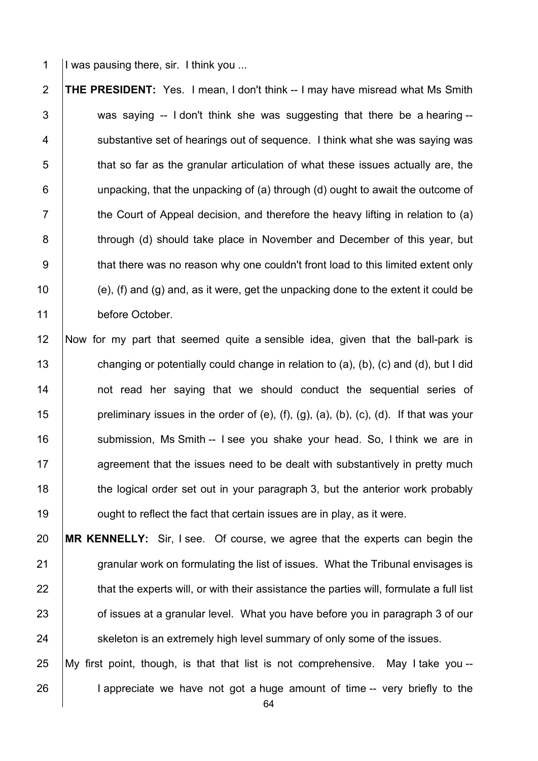1 I was pausing there, sir. I think you ...

2 **THE PRESIDENT:** Yes. I mean, I don't think -- I may have misread what Ms Smith  $3$   $\vert$  was saying -- I don't think she was suggesting that there be a hearing --4 Substantive set of hearings out of sequence. I think what she was saying was  $5$   $\parallel$  that so far as the granular articulation of what these issues actually are, the  $6$  | unpacking, that the unpacking of (a) through (d) ought to await the outcome of  $7 \mid$  the Court of Appeal decision, and therefore the heavy lifting in relation to (a) 8 **through (d) should take place in November and December of this year, but** 9 that there was no reason why one couldn't front load to this limited extent only 10  $\vert$  (e), (f) and (g) and, as it were, get the unpacking done to the extent it could be 11 before October.

12 Now for my part that seemed quite a sensible idea, given that the ball-park is 13 changing or potentially could change in relation to (a), (b), (c) and (d), but I did 14 | not read her saying that we should conduct the sequential series of 15 **preliminary issues in the order of (e), (f), (g), (a), (b), (c), (d). If that was your** 16 | submission, Ms Smith -- I see you shake your head. So, I think we are in 17 **Againg 17** agreement that the issues need to be dealt with substantively in pretty much 18 the logical order set out in your paragraph 3, but the anterior work probably 19 **19** ought to reflect the fact that certain issues are in play, as it were.

20 **MR KENNELLY:** Sir, I see. Of course, we agree that the experts can begin the 21 granular work on formulating the list of issues. What the Tribunal envisages is  $22$  that the experts will, or with their assistance the parties will, formulate a full list 23 **Fig. 3** of issues at a granular level. What you have before you in paragraph 3 of our 24 Skeleton is an extremely high level summary of only some of the issues.

25 My first point, though, is that that list is not comprehensive. May I take you -- 26 **I** I appreciate we have not got a huge amount of time -- very briefly to the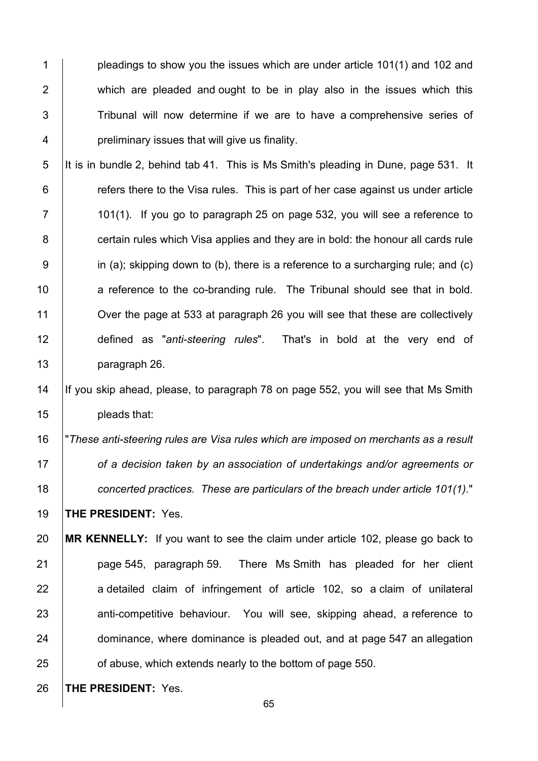**pleadings to show you the issues which are under article 101(1) and 102 and 102** 2 which are pleaded and ought to be in play also in the issues which this 3 Tribunal will now determine if we are to have a comprehensive series of **preliminary issues that will give us finality.** 

5 It is in bundle 2, behind tab 41. This is Ms Smith's pleading in Dune, page 531. It  $\vert$  refers there to the Visa rules. This is part of her case against us under article  $7 \mid$  101(1). If you go to paragraph 25 on page 532, you will see a reference to **certain rules which Visa applies and they are in bold: the honour all cards rule**  in (a); skipping down to (b), there is a reference to a surcharging rule; and (c) 10 a reference to the co-branding rule. The Tribunal should see that in bold. **Over the page at 533 at paragraph 26 you will see that these are collectively**  defined as "*anti-steering rules*". That's in bold at the very end of paragraph 26.

### 14 If you skip ahead, please, to paragraph 78 on page 552, you will see that Ms Smith **pleads that:**

 "*These anti-steering rules are Visa rules which are imposed on merchants as a result of a decision taken by an association of undertakings and/or agreements or concerted practices. These are particulars of the breach under article 101(1)*." **THE PRESIDENT:** Yes.

 **MR KENNELLY:** If you want to see the claim under article 102, please go back to **page 545, paragraph 59.** There Ms Smith has pleaded for her client 22 | a detailed claim of infringement of article 102, so a claim of unilateral 23 anti-competitive behaviour. You will see, skipping ahead, a reference to **dominance, where dominance is pleaded out, and at page 547 an allegation of abuse, which extends nearly to the bottom of page 550.** 

**THE PRESIDENT:** Yes.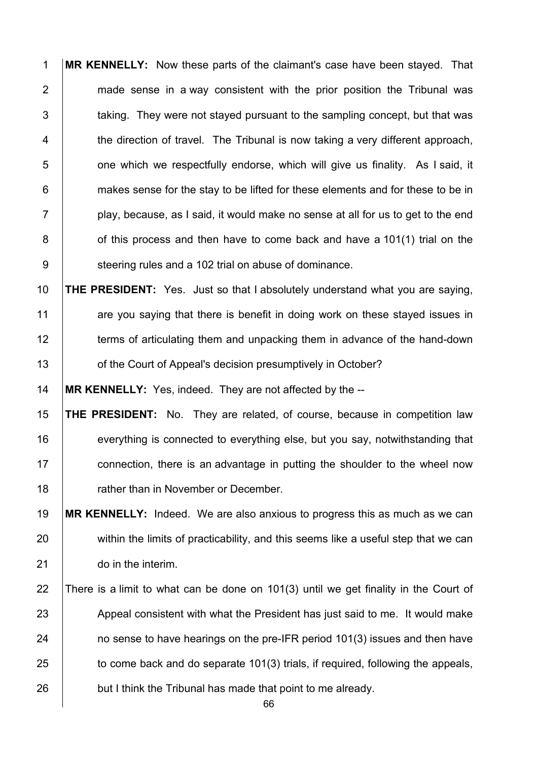**MR KENNELLY:** Now these parts of the claimant's case have been stayed. That **made sense in a way consistent with the prior position the Tribunal was**   $\vert$  taking. They were not staved pursuant to the sampling concept, but that was  $\parallel$  the direction of travel. The Tribunal is now taking a very different approach, **b** one which we respectfully endorse, which will give us finality. As I said, it **Fig.** makes sense for the stay to be lifted for these elements and for these to be in  $7 \vert$  play, because, as I said, it would make no sense at all for us to get to the end 8 of this process and then have to come back and have a 101(1) trial on the 9 Steering rules and a 102 trial on abuse of dominance.

 **THE PRESIDENT:** Yes. Just so that I absolutely understand what you are saying, 11 are you saying that there is benefit in doing work on these stayed issues in 12 terms of articulating them and unpacking them in advance of the hand-down **1** of the Court of Appeal's decision presumptively in October?

**MR KENNELLY:** Yes, indeed. They are not affected by the --

 **THE PRESIDENT:** No. They are related, of course, because in competition law 16 everything is connected to everything else, but you say, notwithstanding that **connection, there is an advantage in putting the shoulder to the wheel now Fig. 4** rather than in November or December.

 **MR KENNELLY:** Indeed. We are also anxious to progress this as much as we can 20 within the limits of practicability, and this seems like a useful step that we can **do in the interim.** 

22 There is a limit to what can be done on 101(3) until we get finality in the Court of 23 Appeal consistent with what the President has just said to me. It would make **ho sense to have hearings on the pre-IFR period 101(3) issues and then have**  to come back and do separate 101(3) trials, if required, following the appeals, 26 but I think the Tribunal has made that point to me already.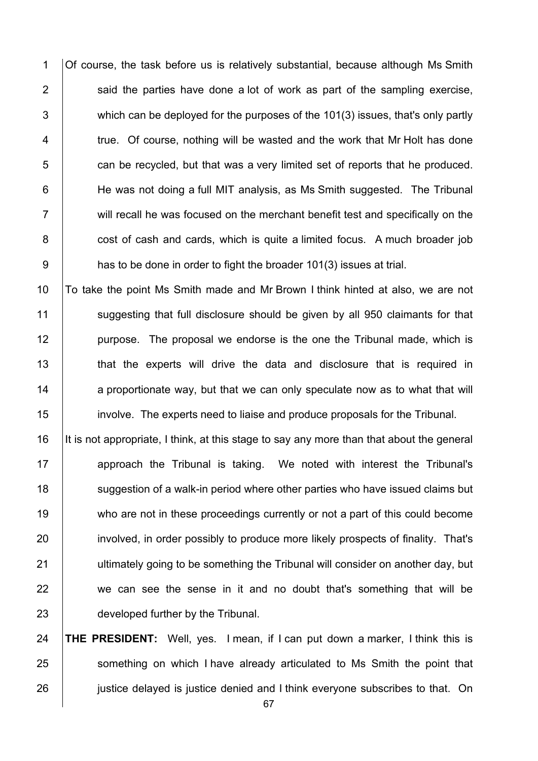1 Of course, the task before us is relatively substantial, because although Ms Smith 2  $\vert$  said the parties have done a lot of work as part of the sampling exercise, 3 which can be deployed for the purposes of the 101(3) issues, that's only partly 4 true. Of course, nothing will be wasted and the work that Mr Holt has done  $5$  can be recycled, but that was a very limited set of reports that he produced. 6 | He was not doing a full MIT analysis, as Ms Smith suggested. The Tribunal 7 T will recall he was focused on the merchant benefit test and specifically on the 8 cost of cash and cards, which is quite a limited focus. A much broader job 9 **has to be done in order to fight the broader 101(3) issues at trial.** 

 To take the point Ms Smith made and Mr Brown I think hinted at also, we are not 11 Suggesting that full disclosure should be given by all 950 claimants for that **purpose.** The proposal we endorse is the one the Tribunal made, which is **that the experts will drive the data and disclosure that is required in**  a proportionate way, but that we can only speculate now as to what that will involve. The experts need to liaise and produce proposals for the Tribunal.

16 It is not appropriate, I think, at this stage to say any more than that about the general 17 | approach the Tribunal is taking. We noted with interest the Tribunal's 18 Suggestion of a walk-in period where other parties who have issued claims but 19 who are not in these proceedings currently or not a part of this could become 20 involved, in order possibly to produce more likely prospects of finality. That's 21 **ultimately going to be something the Tribunal will consider on another day, but** 22 we can see the sense in it and no doubt that's something that will be 23 **developed further by the Tribunal.** 

24 **THE PRESIDENT:** Well, yes. I mean, if I can put down a marker, I think this is 25 Something on which I have already articulated to Ms Smith the point that 26 **justice delayed is justice denied and I think everyone subscribes to that.** On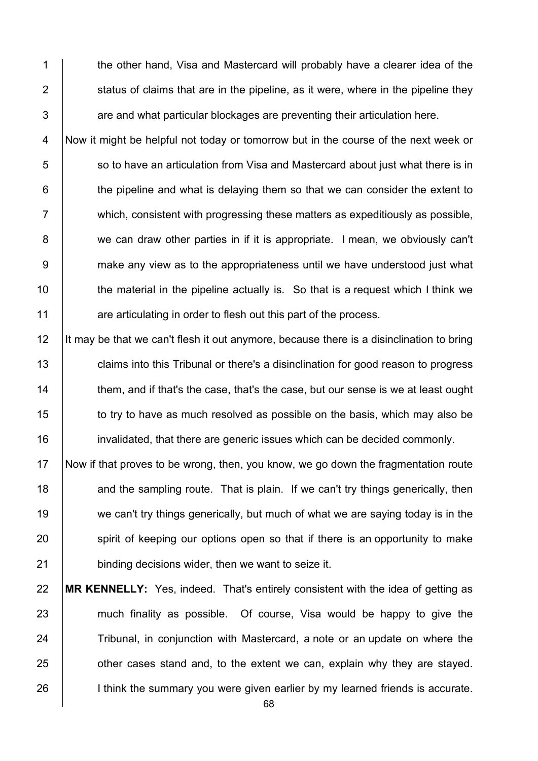1 the other hand. Visa and Mastercard will probably have a clearer idea of the 2  $\parallel$  status of claims that are in the pipeline, as it were, where in the pipeline they  $3$   $\parallel$  are and what particular blockages are preventing their articulation here.

4 Now it might be helpful not today or tomorrow but in the course of the next week or 5 Supersum So to have an articulation from Visa and Mastercard about just what there is in  $6$   $\vert$  the pipeline and what is delaying them so that we can consider the extent to 7 which, consistent with progressing these matters as expeditiously as possible, 8 we can draw other parties in if it is appropriate. I mean, we obviously can't 9 make any view as to the appropriateness until we have understood just what 10 the material in the pipeline actually is. So that is a request which I think we 11 are articulating in order to flesh out this part of the process.

12 It may be that we can't flesh it out anymore, because there is a disinclination to bring 13 claims into this Tribunal or there's a disinclination for good reason to progress 14 them, and if that's the case, that's the case, but our sense is we at least ought 15 to try to have as much resolved as possible on the basis, which may also be 16 invalidated, that there are generic issues which can be decided commonly.

17 Now if that proves to be wrong, then, you know, we go down the fragmentation route 18 and the sampling route. That is plain. If we can't try things generically, then 19 we can't try things generically, but much of what we are saying today is in the 20 spirit of keeping our options open so that if there is an opportunity to make 21 **binding decisions wider, then we want to seize it.** 

22 **MR KENNELLY:** Yes, indeed. That's entirely consistent with the idea of getting as 23 much finality as possible. Of course, Visa would be happy to give the 24 Tribunal, in conjunction with Mastercard, a note or an update on where the  $25$   $\Box$  other cases stand and, to the extent we can, explain why they are stayed. 26 **I** I think the summary you were given earlier by my learned friends is accurate.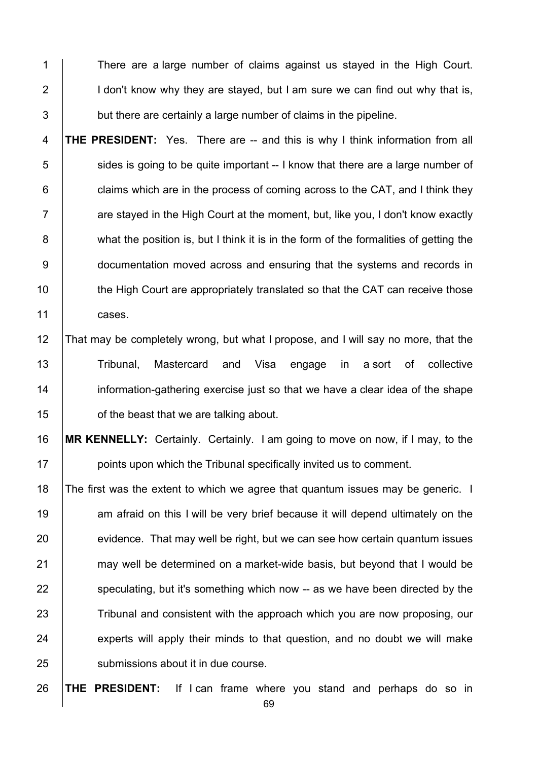1 There are a large number of claims against us staved in the High Court. I don't know why they are stayed, but I am sure we can find out why that is,  $\vert$  but there are certainly a large number of claims in the pipeline.

 **THE PRESIDENT:** Yes. There are -- and this is why I think information from all sides is going to be quite important -- I know that there are a large number of  $\vert$  claims which are in the process of coming across to the CAT, and I think they  $7 \mid$  are staved in the High Court at the moment, but, like you, I don't know exactly 8 what the position is, but I think it is in the form of the formalities of getting the **documentation moved across and ensuring that the systems and records in** 10 the High Court are appropriately translated so that the CAT can receive those 11 cases.

## That may be completely wrong, but what I propose, and I will say no more, that the 13 | Tribunal, Mastercard and Visa engage in a sort of collective **information-gathering exercise just so that we have a clear idea of the shape b** of the beast that we are talking about.

 **MR KENNELLY:** Certainly. Certainly. I am going to move on now, if I may, to the **points upon which the Tribunal specifically invited us to comment.** 

18 The first was the extent to which we agree that quantum issues may be generic. I 19 am afraid on this I will be very brief because it will depend ultimately on the evidence. That may well be right, but we can see how certain quantum issues 21 may well be determined on a market-wide basis, but beyond that I would be speculating, but it's something which now -- as we have been directed by the 23 Tribunal and consistent with the approach which you are now proposing, our experts will apply their minds to that question, and no doubt we will make **Submissions about it in due course.** 

**THE PRESIDENT:** If I can frame where you stand and perhaps do so in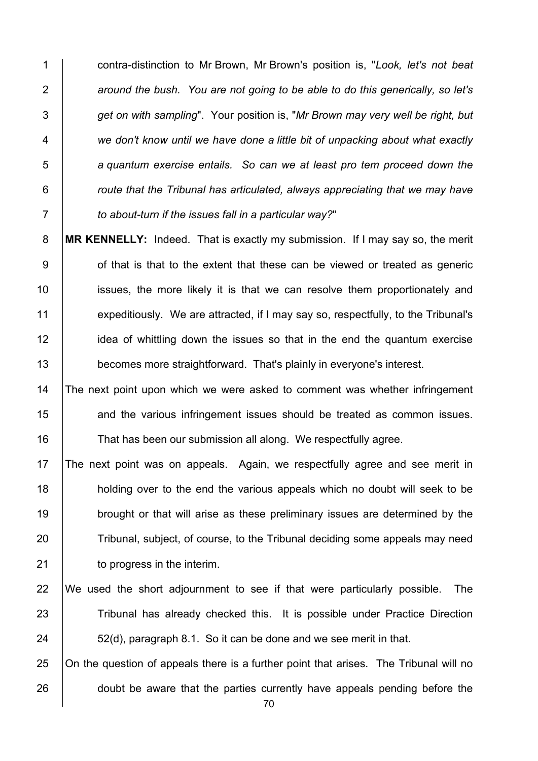contra-distinction to Mr Brown, Mr Brown's position is, "*Look, let's not beat around the bush. You are not going to be able to do this generically, so let's get on with sampling*". Your position is, "*Mr Brown may very well be right, but we don't know until we have done a little bit of unpacking about what exactly a quantum exercise entails. So can we at least pro tem proceed down the route that the Tribunal has articulated, always appreciating that we may have to about-turn if the issues fall in a particular way?*"

 **MR KENNELLY:** Indeed. That is exactly my submission. If I may say so, the merit 9 of that is that to the extent that these can be viewed or treated as generic **ignosing is in** issues, the more likely it is that we can resolve them proportionately and 11 expeditiously. We are attracted, if I may say so, respectfully, to the Tribunal's **idea of whittling down the issues so that in the end the quantum exercise becomes more straightforward.** That's plainly in everyone's interest.

14 The next point upon which we were asked to comment was whether infringement **and the various infringement issues should be treated as common issues.** 16 That has been our submission all along. We respectfully agree.

 The next point was on appeals. Again, we respectfully agree and see merit in **holding over to the end the various appeals which no doubt will seek to be brought or that will arise as these preliminary issues are determined by the** 20 Tribunal, subject, of course, to the Tribunal deciding some appeals may need **b** to progress in the interim.

 We used the short adjournment to see if that were particularly possible. The 23 Tribunal has already checked this. It is possible under Practice Direction 24  $\vert$  52(d), paragraph 8.1. So it can be done and we see merit in that.

25 On the question of appeals there is a further point that arises. The Tribunal will no 26 doubt be aware that the parties currently have appeals pending before the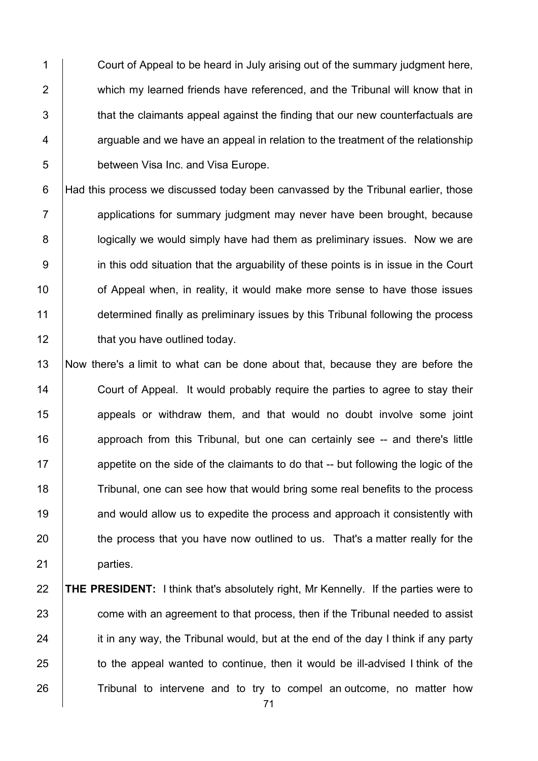1 Court of Appeal to be heard in July arising out of the summary judgment here, 2 **which my learned friends have referenced, and the Tribunal will know that in**  $3$   $\parallel$  that the claimants appeal against the finding that our new counterfactuals are  $4 \mid$  arguable and we have an appeal in relation to the treatment of the relationship 5 **between Visa Inc. and Visa Europe.** 

6 Had this process we discussed today been canvassed by the Tribunal earlier, those 7 applications for summary judgment may never have been brought, because 8 **|** logically we would simply have had them as preliminary issues. Now we are 9 in this odd situation that the arguability of these points is in issue in the Court 10 | of Appeal when, in reality, it would make more sense to have those issues 11 determined finally as preliminary issues by this Tribunal following the process 12 **that you have outlined today.** 

13 Now there's a limit to what can be done about that, because they are before the 14 Court of Appeal. It would probably require the parties to agree to stay their 15 **1** appeals or withdraw them, and that would no doubt involve some joint 16 **All approach from this Tribunal, but one can certainly see -- and there's little** 17 **a**ppetite on the side of the claimants to do that -- but following the logic of the 18 Tribunal, one can see how that would bring some real benefits to the process 19 **and would allow us to expedite the process and approach it consistently with** 20 the process that you have now outlined to us. That's a matter really for the 21 | parties.

# 22 **THE PRESIDENT:** I think that's absolutely right, Mr Kennelly. If the parties were to 23 **come with an agreement to that process, then if the Tribunal needed to assist**  $24$  it in any way, the Tribunal would, but at the end of the day I think if any party 25 to the appeal wanted to continue, then it would be ill-advised I think of the 26 Tribunal to intervene and to try to compel an outcome, no matter how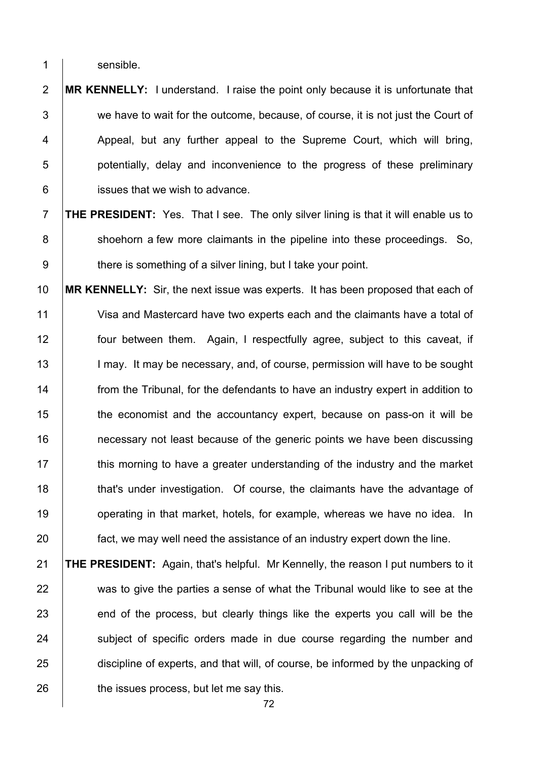1 sensible.

- **MR KENNELLY:** I understand. I raise the point only because it is unfortunate that  $\vert$  we have to wait for the outcome, because, of course, it is not just the Court of 4 Appeal, but any further appeal to the Supreme Court, which will bring, **b** potentially, delay and inconvenience to the progress of these preliminary **issues that we wish to advance.**
- **THE PRESIDENT:** Yes. That I see. The only silver lining is that it will enable us to 8 Shoehorn a few more claimants in the pipeline into these proceedings. So, 9 there is something of a silver lining, but I take your point.
- **MR KENNELLY:** Sir, the next issue was experts. It has been proposed that each of Visa and Mastercard have two experts each and the claimants have a total of four between them. Again, I respectfully agree, subject to this caveat, if 13 | I may. It may be necessary, and, of course, permission will have to be sought **from the Tribunal, for the defendants to have an industry expert in addition to the economist and the accountancy expert, because on pass-on it will be** 16 16 10 necessary not least because of the generic points we have been discussing **this morning to have a greater understanding of the industry and the market that's under investigation.** Of course, the claimants have the advantage of **operating in that market, hotels, for example, whereas we have no idea.** In **fact, we may well need the assistance of an industry expert down the line.**
- **THE PRESIDENT:** Again, that's helpful. Mr Kennelly, the reason I put numbers to it 22 was to give the parties a sense of what the Tribunal would like to see at the 23 end of the process, but clearly things like the experts you call will be the 24 Subject of specific orders made in due course regarding the number and 25 discipline of experts, and that will, of course, be informed by the unpacking of **the issues process, but let me say this.**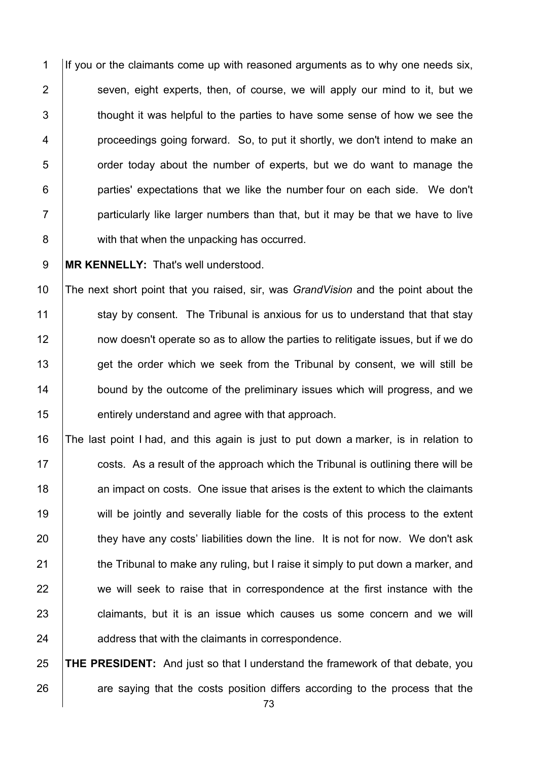If you or the claimants come up with reasoned arguments as to why one needs six, 2 | seven, eight experts, then, of course, we will apply our mind to it, but we  $\vert$  thought it was helpful to the parties to have some sense of how we see the **proceedings going forward.** So, to put it shortly, we don't intend to make an **b** order today about the number of experts, but we do want to manage the **parties'** expectations that we like the number four on each side. We don't | particularly like larger numbers than that, but it may be that we have to live **with that when the unpacking has occurred.** 

**MR KENNELLY:** That's well understood.

 The next short point that you raised, sir, was *GrandVision* and the point about the 11 stay by consent. The Tribunal is anxious for us to understand that that stay **12** now doesn't operate so as to allow the parties to relitigate issues, but if we do 13 get the order which we seek from the Tribunal by consent, we will still be **bound by the outcome of the preliminary issues which will progress, and we entirely understand and agree with that approach.** 

 The last point I had, and this again is just to put down a marker, is in relation to  $\sim$  costs. As a result of the approach which the Tribunal is outlining there will be **18** an impact on costs. One issue that arises is the extent to which the claimants 19 will be jointly and severally liable for the costs of this process to the extent 20 they have any costs' liabilities down the line. It is not for now. We don't ask 21 the Tribunal to make any ruling, but I raise it simply to put down a marker, and we will seek to raise that in correspondence at the first instance with the **claimants, but it is an issue which causes us some concern and we will address that with the claimants in correspondence.** 

 **THE PRESIDENT:** And just so that I understand the framework of that debate, you are saying that the costs position differs according to the process that the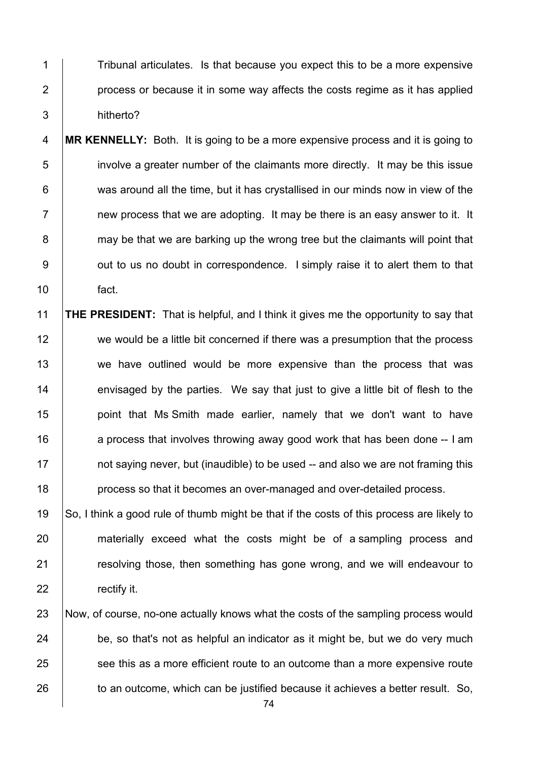1 Tribunal articulates. Is that because you expect this to be a more expensive 2 | process or because it in some way affects the costs regime as it has applied 3 hitherto?

- 4 **MR KENNELLY:** Both. It is going to be a more expensive process and it is going to 5 involve a greater number of the claimants more directly. It may be this issue 6 was around all the time, but it has crystallised in our minds now in view of the  $7 \mid$  new process that we are adopting. It may be there is an easy answer to it. It 8 may be that we are barking up the wrong tree but the claimants will point that 9 | out to us no doubt in correspondence. I simply raise it to alert them to that 10 fact.
- 11 **THE PRESIDENT:** That is helpful, and I think it gives me the opportunity to say that 12 we would be a little bit concerned if there was a presumption that the process 13 we have outlined would be more expensive than the process that was 14 envisaged by the parties. We say that just to give a little bit of flesh to the 15 | point that Ms Smith made earlier, namely that we don't want to have 16 **16** a process that involves throwing away good work that has been done -- I am 17 **not saying never, but (inaudible) to be used -- and also we are not framing this** 18 **process so that it becomes an over-managed and over-detailed process.**
- 19 So, I think a good rule of thumb might be that if the costs of this process are likely to 20 materially exceed what the costs might be of a sampling process and 21 **Fig. 21** resolving those, then something has gone wrong, and we will endeavour to 22 **rectify it.**
- 23 Now, of course, no-one actually knows what the costs of the sampling process would  $24$  be, so that's not as helpful an indicator as it might be, but we do very much 25 see this as a more efficient route to an outcome than a more expensive route 26 to an outcome, which can be justified because it achieves a better result. So,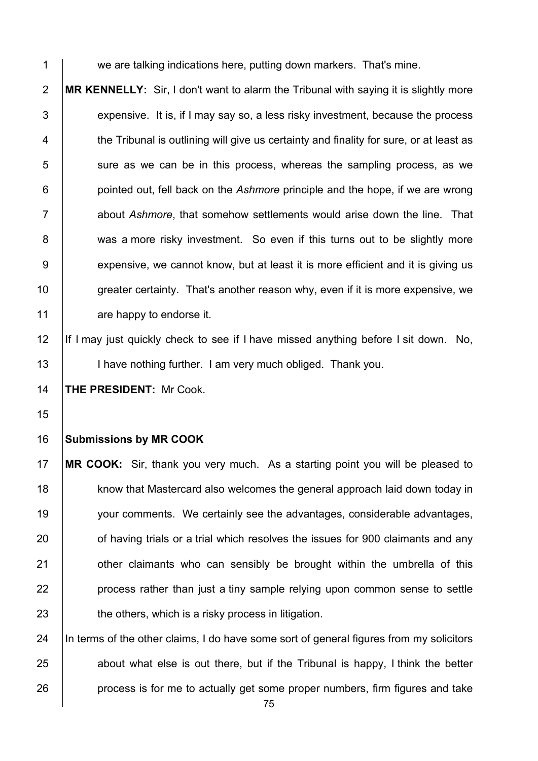1 we are talking indications here, putting down markers. That's mine.

 **MR KENNELLY:** Sir, I don't want to alarm the Tribunal with saying it is slightly more  $\vert$  expensive. It is, if I may say so, a less risky investment, because the process 4 the Tribunal is outlining will give us certainty and finality for sure, or at least as sure as we can be in this process, whereas the sampling process, as we pointed out, fell back on the *Ashmore* principle and the hope, if we are wrong about *Ashmore*, that somehow settlements would arise down the line. That 8 was a more risky investment. So even if this turns out to be slightly more 9 expensive, we cannot know, but at least it is more efficient and it is giving us 10 greater certainty. That's another reason why, even if it is more expensive, we **are happy to endorse it.** 

12 If I may just quickly check to see if I have missed anything before I sit down. No, 13 | I have nothing further. I am very much obliged. Thank you.

**THE PRESIDENT:** Mr Cook.

## **Submissions by MR COOK**

 **MR COOK:** Sir, thank you very much. As a starting point you will be pleased to 18 know that Mastercard also welcomes the general approach laid down today in your comments. We certainly see the advantages, considerable advantages, **b** of having trials or a trial which resolves the issues for 900 claimants and any **1** other claimants who can sensibly be brought within the umbrella of this **process rather than just a tiny sample relying upon common sense to settle**  $\parallel$  the others, which is a risky process in litigation.

24 In terms of the other claims, I do have some sort of general figures from my solicitors about what else is out there, but if the Tribunal is happy, I think the better **process is for me to actually get some proper numbers, firm figures and take**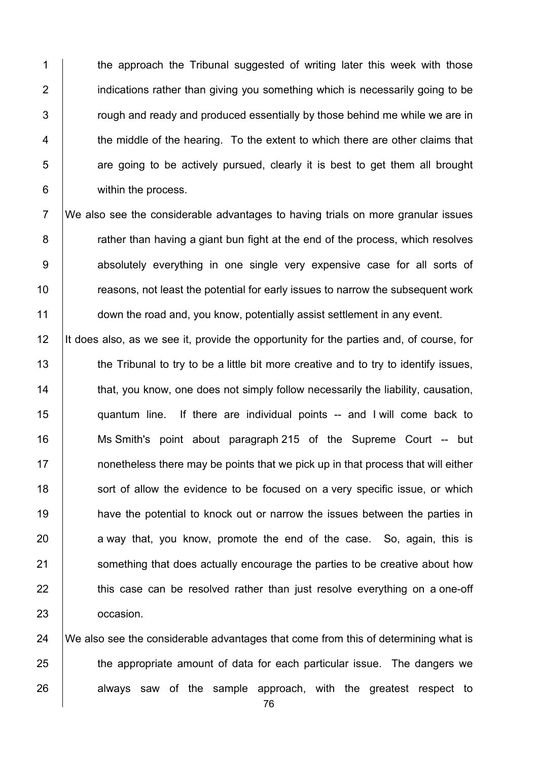1 the approach the Tribunal suggested of writing later this week with those **i** indications rather than giving you something which is necessarily going to be  $\vert$  rough and ready and produced essentially by those behind me while we are in  $\parallel$  the middle of the hearing. To the extent to which there are other claims that  $\vert$  are going to be actively pursued, clearly it is best to get them all brought 6 | within the process.

7 We also see the considerable advantages to having trials on more granular issues 8 **8** rather than having a giant bun fight at the end of the process, which resolves 9 absolutely everything in one single very expensive case for all sorts of 10 **Fig. 3** reasons, not least the potential for early issues to narrow the subsequent work 11 down the road and, you know, potentially assist settlement in any event.

12 It does also, as we see it, provide the opportunity for the parties and, of course, for 13 the Tribunal to try to be a little bit more creative and to try to identify issues, **that, you know, one does not simply follow necessarily the liability, causation,**  quantum line. If there are individual points -- and I will come back to Ms Smith's point about paragraph 215 of the Supreme Court -- but **nonetheless there may be points that we pick up in that process that will either** 18 Sort of allow the evidence to be focused on a very specific issue, or which **have the potential to knock out or narrow the issues between the parties in**  a way that, you know, promote the end of the case. So, again, this is 21 Something that does actually encourage the parties to be creative about how  $\parallel$  this case can be resolved rather than just resolve everything on a one-off **occasion**.

24  $\parallel$  We also see the considerable advantages that come from this of determining what is 25 the appropriate amount of data for each particular issue. The dangers we 26 always saw of the sample approach, with the greatest respect to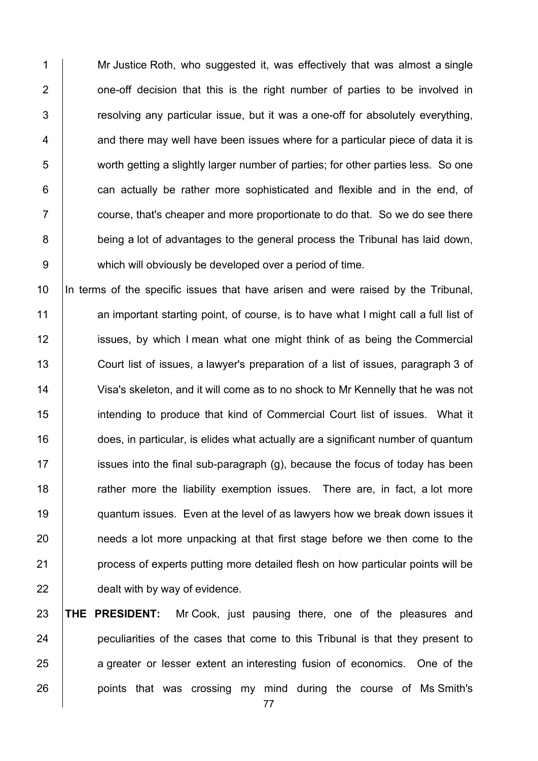1 Mr Justice Roth, who suggested it, was effectively that was almost a single 2 **1** one-off decision that this is the right number of parties to be involved in  $3$   $\vert$  resolving any particular issue, but it was a one-off for absolutely everything,  $4 \mid$  and there may well have been issues where for a particular piece of data it is 5 worth getting a slightly larger number of parties; for other parties less. So one  $6$   $\vert$  can actually be rather more sophisticated and flexible and in the end, of  $7 \mid$  course, that's cheaper and more proportionate to do that. So we do see there 8 being a lot of advantages to the general process the Tribunal has laid down, 9 which will obviously be developed over a period of time.

10 In terms of the specific issues that have arisen and were raised by the Tribunal, 11 an important starting point, of course, is to have what I might call a full list of 12 **ignor** issues, by which I mean what one might think of as being the Commercial 13 Court list of issues, a lawyer's preparation of a list of issues, paragraph 3 of 14 Visa's skeleton, and it will come as to no shock to Mr Kennelly that he was not 15 **intending to produce that kind of Commercial Court list of issues.** What it 16 does, in particular, is elides what actually are a significant number of quantum 17 issues into the final sub-paragraph  $(g)$ , because the focus of today has been 18 The rather more the liability exemption issues. There are, in fact, a lot more 19 **quantum issues.** Even at the level of as lawyers how we break down issues it 20 **needs** a lot more unpacking at that first stage before we then come to the 21 **process of experts putting more detailed flesh on how particular points will be** 22 **dealt with by way of evidence.** 

 **THE PRESIDENT:** Mr Cook, just pausing there, one of the pleasures and **peculiarities of the cases that come to this Tribunal is that they present to** 25 a greater or lesser extent an interesting fusion of economics. One of the **points** that was crossing my mind during the course of Ms Smith's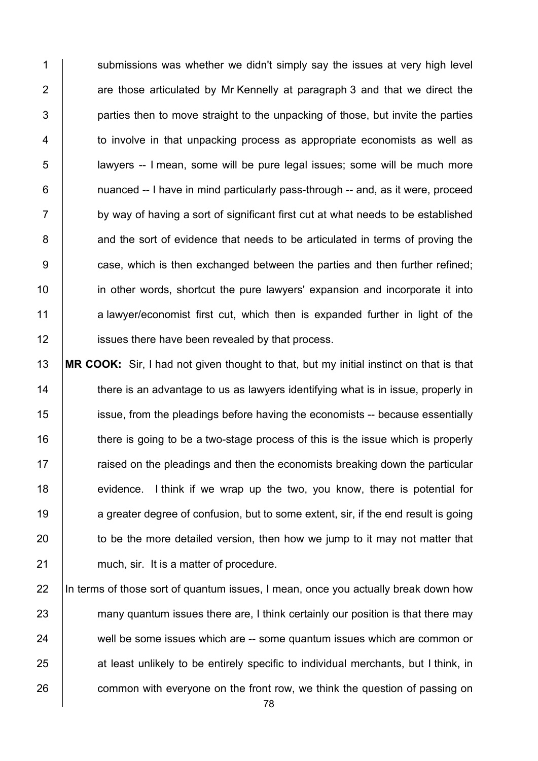1 Submissions was whether we didn't simply say the issues at very high level  $2$   $\vert$  are those articulated by Mr Kennelly at paragraph 3 and that we direct the  $3$  | parties then to move straight to the unpacking of those, but invite the parties 4 to involve in that unpacking process as appropriate economists as well as 5 lawyers -- I mean, some will be pure legal issues; some will be much more  $6$  | nuanced -- I have in mind particularly pass-through -- and, as it were, proceed  $7 \vert$  by way of having a sort of significant first cut at what needs to be established 8 and the sort of evidence that needs to be articulated in terms of proving the 9 **case, which is then exchanged between the parties and then further refined;** 10 **in other words, shortcut the pure lawyers' expansion and incorporate it into** 11 a lawyer/economist first cut, which then is expanded further in light of the 12 **issues there have been revealed by that process.** 

13 **MR COOK:** Sir, I had not given thought to that, but my initial instinct on that is that 14 there is an advantage to us as lawyers identifying what is in issue, properly in 15 issue, from the pleadings before having the economists -- because essentially 16 there is going to be a two-stage process of this is the issue which is properly  $17$  raised on the pleadings and then the economists breaking down the particular 18 evidence. I think if we wrap up the two, you know, there is potential for 19 a greater degree of confusion, but to some extent, sir, if the end result is going  $20$  to be the more detailed version, then how we jump to it may not matter that 21 much, sir. It is a matter of procedure.

22 In terms of those sort of quantum issues, I mean, once you actually break down how 23 many quantum issues there are, I think certainly our position is that there may 24 well be some issues which are -- some quantum issues which are common or 25 at least unlikely to be entirely specific to individual merchants, but I think, in 26 common with everyone on the front row, we think the question of passing on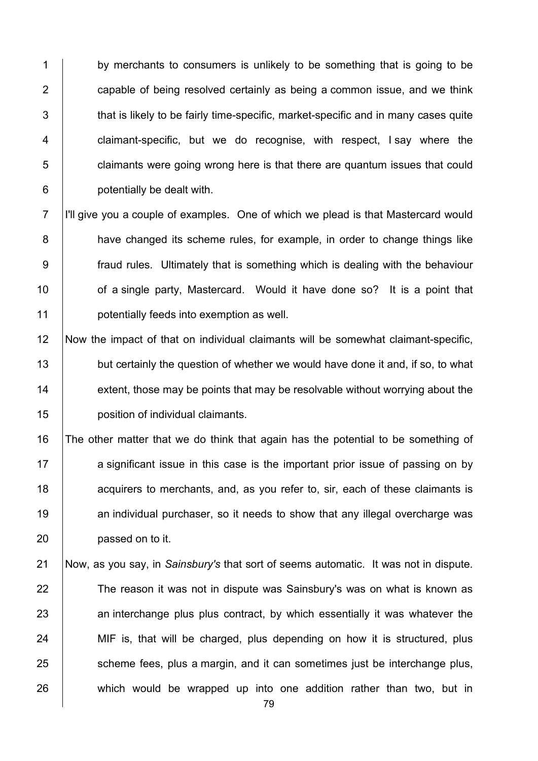1 by merchants to consumers is unlikely to be something that is going to be **capable of being resolved certainly as being a common issue, and we think**   $\parallel$  that is likely to be fairly time-specific, market-specific and in many cases quite **claimant-specific, but we do recognise, with respect, I say where the**   $\Box$  claimants were going wrong here is that there are quantum issues that could potentially be dealt with.

 I'll give you a couple of examples. One of which we plead is that Mastercard would **have changed its scheme rules, for example, in order to change things like**  fraud rules. Ultimately that is something which is dealing with the behaviour **of a single party, Mastercard.** Would it have done so? It is a point that **potentially feeds into exemption as well.** 

 Now the impact of that on individual claimants will be somewhat claimant-specific, 13 but certainly the question of whether we would have done it and, if so, to what extent, those may be points that may be resolvable without worrying about the position of individual claimants.

 The other matter that we do think that again has the potential to be something of 17 a significant issue in this case is the important prior issue of passing on by **dec** acquirers to merchants, and, as you refer to, sir, each of these claimants is 19 10 an individual purchaser, so it needs to show that any illegal overcharge was **passed on to it.** 

 Now, as you say, in *Sainsbury's* that sort of seems automatic. It was not in dispute. 22 The reason it was not in dispute was Sainsbury's was on what is known as 23 an interchange plus plus contract, by which essentially it was whatever the 24 MIF is, that will be charged, plus depending on how it is structured, plus 25 Scheme fees, plus a margin, and it can sometimes just be interchange plus, 26 which would be wrapped up into one addition rather than two, but in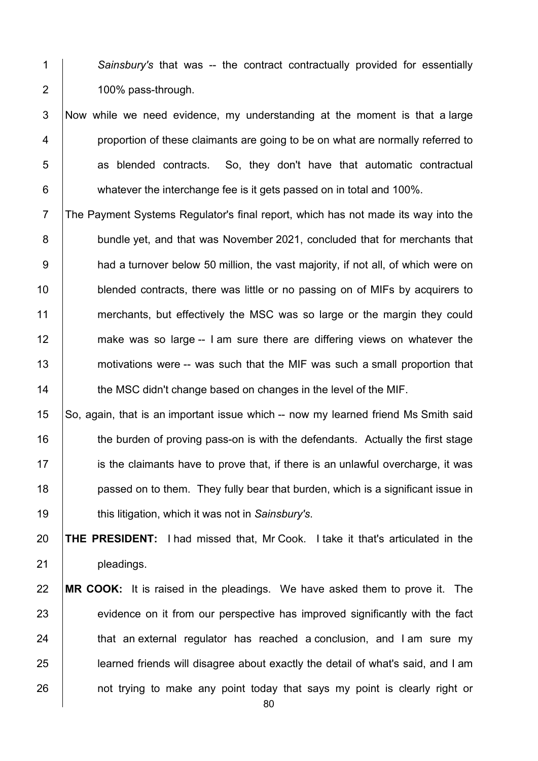*Sainsbury's* that was -- the contract contractually provided for essentially 2 | 100% pass-through.

 Now while we need evidence, my understanding at the moment is that a large **proportion of these claimants are going to be on what are normally referred to** 5 as blended contracts. So, they don't have that automatic contractual whatever the interchange fee is it gets passed on in total and 100%.

 The Payment Systems Regulator's final report, which has not made its way into the 8 bundle yet, and that was November 2021, concluded that for merchants that **had a turnover below 50 million, the vast majority, if not all, of which were on blended contracts, there was little or no passing on of MIFs by acquirers to** 11 merchants, but effectively the MSC was so large or the margin they could 12 make was so large -- I am sure there are differing views on whatever the **motivations were -- was such that the MIF was such a small proportion that the MSC didn't change based on changes in the level of the MIF.** 

15 So, again, that is an important issue which -- now my learned friend Ms Smith said 16 the burden of proving pass-on is with the defendants. Actually the first stage 17 is the claimants have to prove that, if there is an unlawful overcharge, it was **passed on to them.** They fully bear that burden, which is a significant issue in this litigation, which it was not in *Sainsbury's*.

 **THE PRESIDENT:** I had missed that, Mr Cook. I take it that's articulated in the 21 | pleadings.

## **MR COOK:** It is raised in the pleadings. We have asked them to prove it. The 23 evidence on it from our perspective has improved significantly with the fact  $\parallel$  that an external regulator has reached a conclusion, and I am sure my **learned friends will disagree about exactly the detail of what's said, and I am not trying to make any point today that says my point is clearly right or**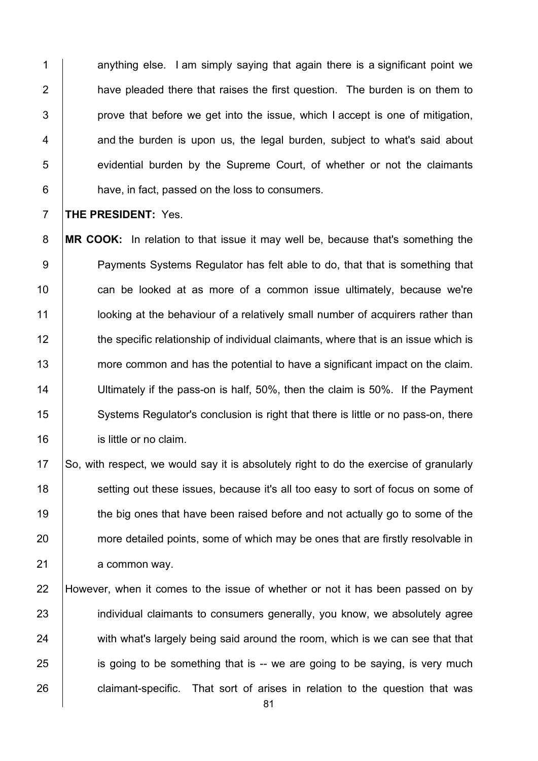$\vert$  anything else. I am simply saving that again there is a significant point we **have pleaded there that raises the first question.** The burden is on them to | prove that before we get into the issue, which I accept is one of mitigation,  $\vert$  and the burden is upon us, the legal burden, subject to what's said about **EXC** evidential burden by the Supreme Court, of whether or not the claimants **have, in fact, passed on the loss to consumers.** 

7 **THE PRESIDENT:** Yes.

8 **MR COOK:** In relation to that issue it may well be, because that's something the 9 Payments Systems Regulator has felt able to do, that that is something that 10 **can be looked at as more of a common issue ultimately, because we're** 11 **letch** looking at the behaviour of a relatively small number of acquirers rather than 12 the specific relationship of individual claimants, where that is an issue which is 13 more common and has the potential to have a significant impact on the claim. 14 | Ultimately if the pass-on is half, 50%, then the claim is 50%. If the Payment 15 Systems Regulator's conclusion is right that there is little or no pass-on, there 16 **is little or no claim.** 

17 So, with respect, we would say it is absolutely right to do the exercise of granularly 18 Setting out these issues, because it's all too easy to sort of focus on some of 19 the big ones that have been raised before and not actually go to some of the 20 more detailed points, some of which may be ones that are firstly resolvable in 21 a common way.

22 However, when it comes to the issue of whether or not it has been passed on by 23 individual claimants to consumers generally, you know, we absolutely agree  $24$  with what's largely being said around the room, which is we can see that that  $25$  is going to be something that is -- we are going to be saying, is very much 26 **claimant-specific.** That sort of arises in relation to the question that was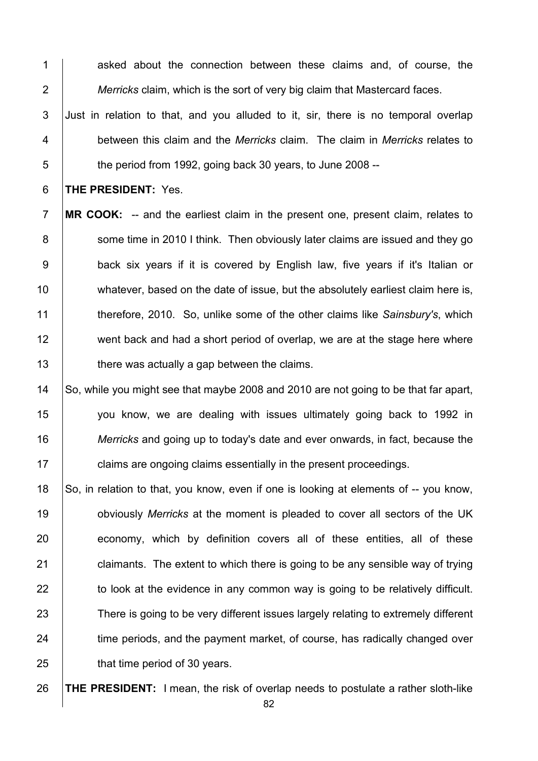1 asked about the connection between these claims and, of course, the 2 *Merricks* claim, which is the sort of very big claim that Mastercard faces.

3 Just in relation to that, and you alluded to it, sir, there is no temporal overlap 4 between this claim and the *Merricks* claim. The claim in *Merricks* relates to  $\overline{5}$   $\overline{5}$  the period from 1992, going back 30 years, to June 2008 --

6 **THE PRESIDENT:** Yes.

7 **MR COOK:** -- and the earliest claim in the present one, present claim, relates to 8 Some time in 2010 I think. Then obviously later claims are issued and they go 9 **back six years if it is covered by English law, five years if it's Italian or** 10 | whatever, based on the date of issue, but the absolutely earliest claim here is, 11 therefore, 2010. So, unlike some of the other claims like *Sainsbury's*, which 12 went back and had a short period of overlap, we are at the stage here where  $13$   $\parallel$  there was actually a gap between the claims.

14 So, while you might see that maybe 2008 and 2010 are not going to be that far apart, you know, we are dealing with issues ultimately going back to 1992 in *Merricks* and going up to today's date and ever onwards, in fact, because the  $\Box$  claims are ongoing claims essentially in the present proceedings.

18 So, in relation to that, you know, even if one is looking at elements of -- you know, 19 obviously *Merricks* at the moment is pleaded to cover all sectors of the UK 20 economy, which by definition covers all of these entities, all of these 21  $\vert$  claimants. The extent to which there is going to be any sensible way of trying  $22$   $\parallel$  to look at the evidence in any common way is going to be relatively difficult. 23 There is going to be very different issues largely relating to extremely different 24 time periods, and the payment market, of course, has radically changed over 25 **hat time period of 30 years.** 

26 **THE PRESIDENT:** I mean, the risk of overlap needs to postulate a rather sloth-like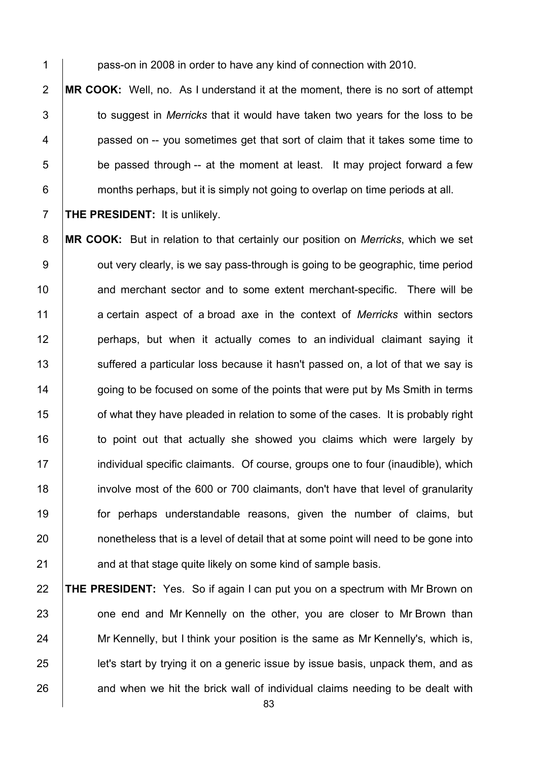**bass-on in 2008 in order to have any kind of connection with 2010.** 

 **MR COOK:** Well, no. As I understand it at the moment, there is no sort of attempt 3 to suggest in *Merricks* that it would have taken two vears for the loss to be **passed on -- you sometimes get that sort of claim that it takes some time to**  | be passed through -- at the moment at least. It may project forward a few **find in the months perhaps, but it is simply not going to overlap on time periods at all.** 

**THE PRESIDENT:** It is unlikely.

 **MR COOK:** But in relation to that certainly our position on *Merricks*, which we set  $9 \mid$  out very clearly, is we say pass-through is going to be geographic, time period 10 and merchant sector and to some extent merchant-specific. There will be a certain aspect of a broad axe in the context of *Merricks* within sectors **perhaps, but when it actually comes to an individual claimant saying it** 13 Suffered a particular loss because it hasn't passed on, a lot of that we say is 14 going to be focused on some of the points that were put by Ms Smith in terms **15** of what they have pleaded in relation to some of the cases. It is probably right 16 to point out that actually she showed you claims which were largely by **individual specific claimants. Of course, groups one to four (inaudible), which**  involve most of the 600 or 700 claimants, don't have that level of granularity for perhaps understandable reasons, given the number of claims, but **nonetheless that is a level of detail that at some point will need to be gone into** 21 and at that stage quite likely on some kind of sample basis.

 **THE PRESIDENT:** Yes. So if again I can put you on a spectrum with Mr Brown on 23 one end and Mr Kennelly on the other, you are closer to Mr Brown than 24 Mr Kennelly, but I think your position is the same as Mr Kennelly's, which is, **let's start by trying it on a generic issue by issue basis, unpack them, and as** and when we hit the brick wall of individual claims needing to be dealt with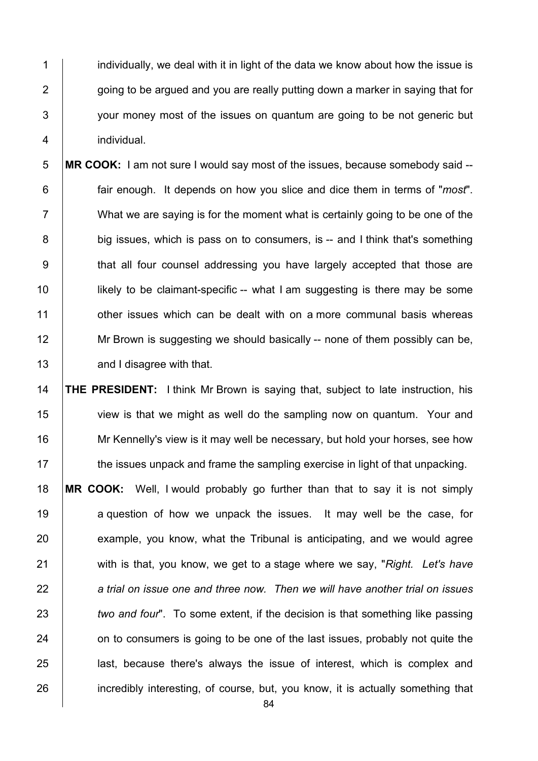1 individually, we deal with it in light of the data we know about how the issue is  $\parallel$  going to be argued and you are really putting down a marker in saying that for  $\vert$  vour money most of the issues on quantum are going to be not generic but individual.

 **MR COOK:** I am not sure I would say most of the issues, because somebody said -- fair enough. It depends on how you slice and dice them in terms of "*most*". What we are saying is for the moment what is certainly going to be one of the 8 big issues, which is pass on to consumers, is -- and I think that's something 9 | that all four counsel addressing you have largely accepted that those are **likely to be claimant-specific** -- what I am suggesting is there may be some **1** other issues which can be dealt with on a more communal basis whereas 12 Mr Brown is suggesting we should basically -- none of them possibly can be, **and I disagree with that.** 

14 **THE PRESIDENT:** I think Mr Brown is saying that, subject to late instruction, his 15 view is that we might as well do the sampling now on quantum. Your and 16 Mr Kennelly's view is it may well be necessary, but hold your horses, see how  $17$  the issues unpack and frame the sampling exercise in light of that unpacking.

18 **MR COOK:** Well, I would probably go further than that to say it is not simply 19 a question of how we unpack the issues. It may well be the case, for  $20$  example, you know, what the Tribunal is anticipating, and we would agree 21 with is that, you know, we get to a stage where we say, "*Right. Let's have* 22 *a trial on issue one and three now. Then we will have another trial on issues*  23 *two and four*". To some extent, if the decision is that something like passing 24 on to consumers is going to be one of the last issues, probably not quite the 25 **last, because there's always the issue of interest, which is complex and** 26 incredibly interesting, of course, but, you know, it is actually something that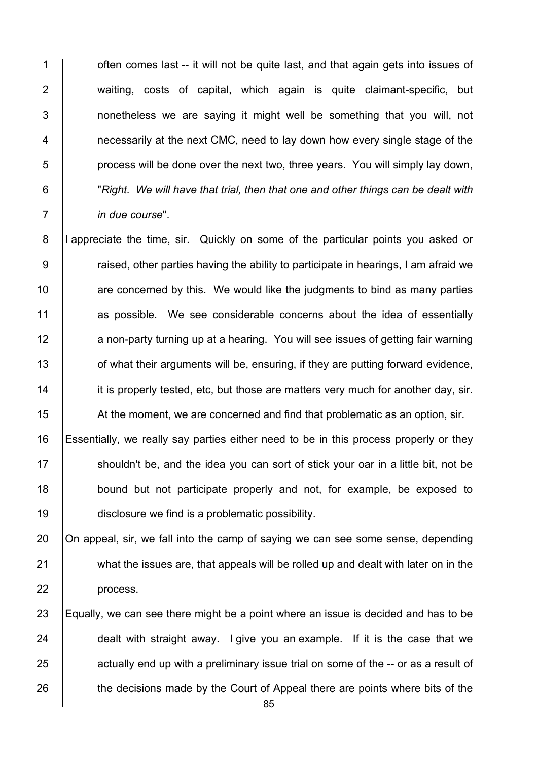**1** often comes last -- it will not be quite last, and that again gets into issues of waiting, costs of capital, which again is quite claimant-specific, but **1** nonetheless we are saving it might well be something that you will, not **1** necessarily at the next CMC, need to lay down how every single stage of the  $\overline{5}$  | process will be done over the next two, three years. You will simply lay down, "*Right. We will have that trial, then that one and other things can be dealt with in due course*".

8 |I appreciate the time, sir. Quickly on some of the particular points you asked or  $9 \mid$  raised, other parties having the ability to participate in hearings, I am afraid we  $10$  are concerned by this. We would like the judgments to bind as many parties 11 as possible. We see considerable concerns about the idea of essentially 12 a non-party turning up at a hearing. You will see issues of getting fair warning 13 of what their arguments will be, ensuring, if they are putting forward evidence, 14 it is properly tested, etc, but those are matters very much for another day, sir. 15 At the moment, we are concerned and find that problematic as an option, sir.

 Essentially, we really say parties either need to be in this process properly or they 17 shouldn't be, and the idea you can sort of stick your oar in a little bit, not be **bound but not participate properly and not, for example, be exposed to** disclosure we find is a problematic possibility.

20  $\vert$  On appeal, sir, we fall into the camp of saying we can see some sense, depending 21 what the issues are, that appeals will be rolled up and dealt with later on in the 22 | process.

23 Equally, we can see there might be a point where an issue is decided and has to be 24 dealt with straight away. I give you an example. If it is the case that we  $25$  actually end up with a preliminary issue trial on some of the -- or as a result of 26 the decisions made by the Court of Appeal there are points where bits of the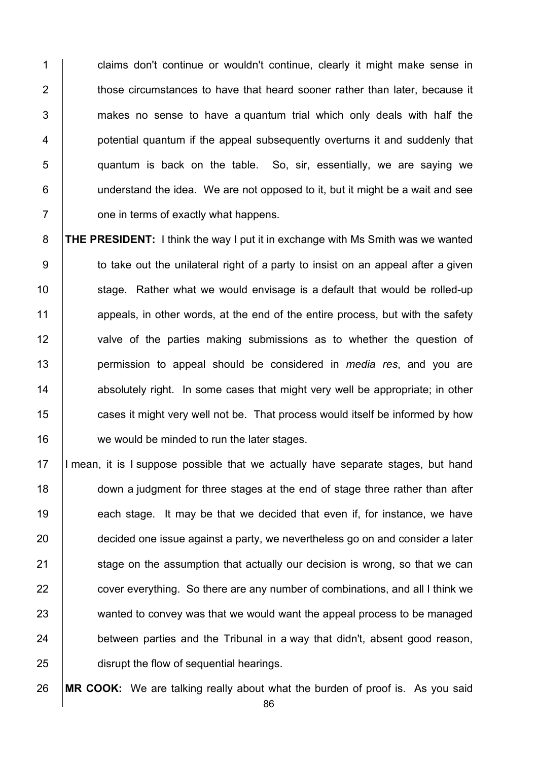1 claims don't continue or wouldn't continue, clearly it might make sense in  $\parallel$  those circumstances to have that heard sooner rather than later, because it | makes no sense to have a quantum trial which only deals with half the **potential quantum if the appeal subsequently overturns it and suddenly that**   $\vert$  quantum is back on the table. So, sir, essentially, we are saying we understand the idea. We are not opposed to it, but it might be a wait and see **Fig. 2** one in terms of exactly what happens.

8 **THE PRESIDENT:** I think the way I put it in exchange with Ms Smith was we wanted  $9 \mid$  to take out the unilateral right of a party to insist on an appeal after a given 10 Stage. Rather what we would envisage is a default that would be rolled-up 11 appeals, in other words, at the end of the entire process, but with the safety 12 valve of the parties making submissions as to whether the question of 13 permission to appeal should be considered in *media res*, and you are 14 **14** absolutely right. In some cases that might very well be appropriate; in other 15 **cases it might very well not be.** That process would itself be informed by how 16 we would be minded to run the later stages.

17 I mean, it is I suppose possible that we actually have separate stages, but hand 18 down a judgment for three stages at the end of stage three rather than after 19 each stage. It may be that we decided that even if, for instance, we have 20 decided one issue against a party, we nevertheless go on and consider a later  $21$  stage on the assumption that actually our decision is wrong, so that we can 22 cover everything. So there are any number of combinations, and all I think we 23 wanted to convey was that we would want the appeal process to be managed  $24$  between parties and the Tribunal in a way that didn't, absent good reason, 25 **distupt the flow of sequential hearings.** 

26 **MR COOK:** We are talking really about what the burden of proof is. As you said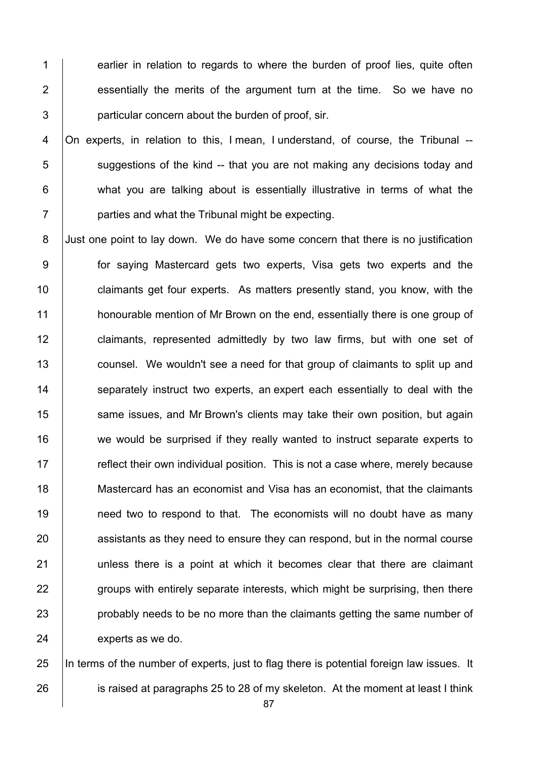1 earlier in relation to regards to where the burden of proof lies, quite often 2 **essentially the merits of the argument turn at the time.** So we have no 3 **particular concern about the burden of proof, sir.** 

 On experts, in relation to this, I mean, I understand, of course, the Tribunal -- suggestions of the kind -- that you are not making any decisions today and **what you are talking about is essentially illustrative in terms of what the parties and what the Tribunal might be expecting.** 

8 Just one point to lay down. We do have some concern that there is no justification 9 for saying Mastercard gets two experts, Visa gets two experts and the 10 **claimants get four experts.** As matters presently stand, you know, with the 11 **honourable mention of Mr Brown on the end, essentially there is one group of** 12 **claimants, represented admittedly by two law firms, but with one set of** 13 **counsel.** We wouldn't see a need for that group of claimants to split up and 14 Separately instruct two experts, an expert each essentially to deal with the 15 Same issues, and Mr Brown's clients may take their own position, but again 16 we would be surprised if they really wanted to instruct separate experts to  $17$  reflect their own individual position. This is not a case where, merely because 18 Mastercard has an economist and Visa has an economist, that the claimants 19 **need two to respond to that.** The economists will no doubt have as many 20 assistants as they need to ensure they can respond, but in the normal course 21 | unless there is a point at which it becomes clear that there are claimant 22 groups with entirely separate interests, which might be surprising, then there 23 **probably needs to be no more than the claimants getting the same number of** 24 experts as we do.

25 In terms of the number of experts, just to flag there is potential foreign law issues. It 26 is raised at paragraphs 25 to 28 of my skeleton. At the moment at least I think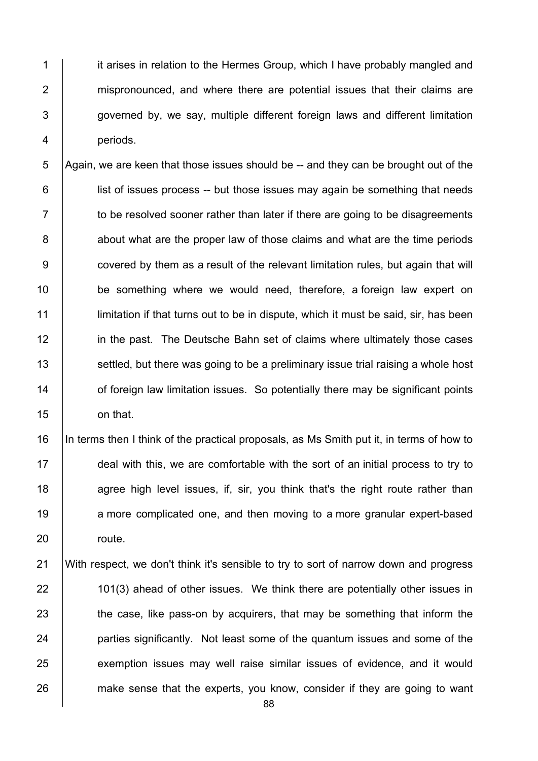1 it arises in relation to the Hermes Group, which I have probably mangled and 2 mispronounced, and where there are potential issues that their claims are  $3$   $\vert$  governed by, we say, multiple different foreign laws and different limitation 4 periods.

5 Again, we are keen that those issues should be  $-$  and they can be brought out of the 6 **i** list of issues process -- but those issues may again be something that needs  $7 \mid$  to be resolved sooner rather than later if there are going to be disagreements 8 about what are the proper law of those claims and what are the time periods 9 **covered by them as a result of the relevant limitation rules, but again that will** 10 **be something where we would need, therefore, a foreign law expert on** 11 **I** limitation if that turns out to be in dispute, which it must be said, sir, has been 12 **in the past.** The Deutsche Bahn set of claims where ultimately those cases 13 Settled, but there was going to be a preliminary issue trial raising a whole host 14 **14** of foreign law limitation issues. So potentially there may be significant points 15 on that.

16 |In terms then I think of the practical proposals, as Ms Smith put it, in terms of how to 17 deal with this, we are comfortable with the sort of an initial process to try to 18 agree high level issues, if, sir, you think that's the right route rather than 19 a more complicated one, and then moving to a more granular expert-based 20 | route.

21 With respect, we don't think it's sensible to try to sort of narrow down and progress 22 101(3) ahead of other issues. We think there are potentially other issues in 23 the case, like pass-on by acquirers, that may be something that inform the 24 **parties significantly.** Not least some of the quantum issues and some of the 25 exemption issues may well raise similar issues of evidence, and it would 26 make sense that the experts, you know, consider if they are going to want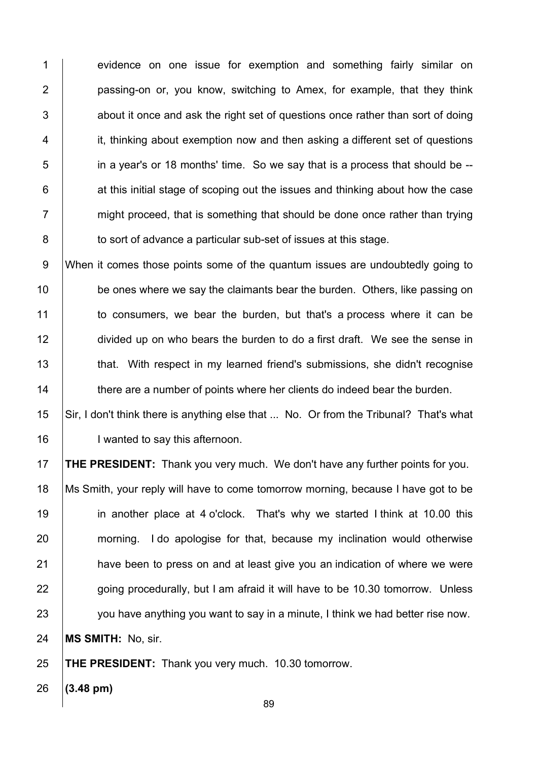1 evidence on one issue for exemption and something fairly similar on **passing-on or, you know, switching to Amex, for example, that they think**   $\vert$  about it once and ask the right set of questions once rather than sort of doing it, thinking about exemption now and then asking a different set of questions in a year's or 18 months' time. So we say that is a process that should be --  $\vert$  at this initial stage of scoping out the issues and thinking about how the case  $7 \mid$  might proceed, that is something that should be done once rather than trying **to sort of advance a particular sub-set of issues at this stage.** 

9 When it comes those points some of the quantum issues are undoubtedly going to **be ones where we say the claimants bear the burden. Others, like passing on** 11 to consumers, we bear the burden, but that's a process where it can be 12 divided up on who bears the burden to do a first draft. We see the sense in **that.** With respect in my learned friend's submissions, she didn't recognise 14 there are a number of points where her clients do indeed bear the burden.

15 Sir, I don't think there is anything else that ... No. Or from the Tribunal? That's what 16 | I wanted to say this afternoon.

 **THE PRESIDENT:** Thank you very much. We don't have any further points for you. Ms Smith, your reply will have to come tomorrow morning, because I have got to be in another place at 4 o'clock. That's why we started I think at 10.00 this 20 morning. I do apologise for that, because my inclination would otherwise **have been to press on and at least give you an indication of where we were going procedurally, but I am afraid it will have to be 10.30 tomorrow. Unless** 23 you have anything you want to say in a minute, I think we had better rise now. **MS SMITH:** No, sir.

**THE PRESIDENT:** Thank you very much. 10.30 tomorrow.

**(3.48 pm)**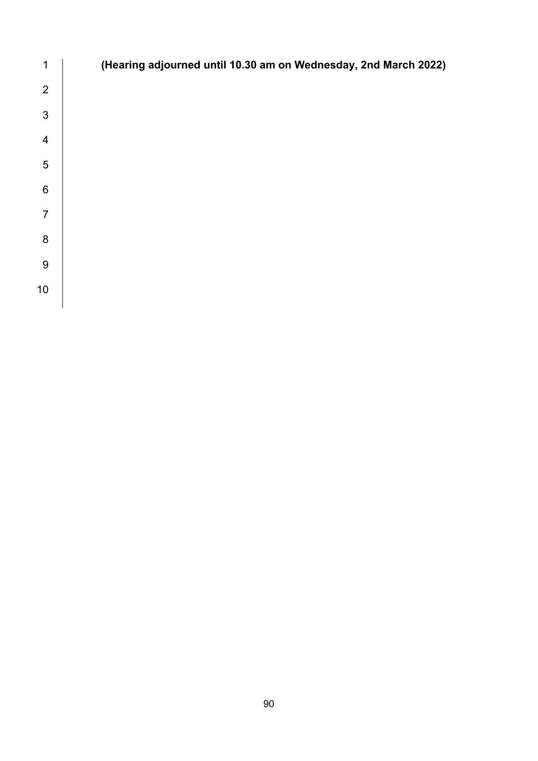| 1              | (Hearing adjourned until 10.30 am on Wednesday, 2nd March 2022) |
|----------------|-----------------------------------------------------------------|
| $\overline{2}$ |                                                                 |
| $\mathfrak{S}$ |                                                                 |
| $\overline{4}$ |                                                                 |
| 5              |                                                                 |
| $\,6$          |                                                                 |
| $\overline{7}$ |                                                                 |
| 8              |                                                                 |
| $9\,$          |                                                                 |
| 10             |                                                                 |
|                |                                                                 |